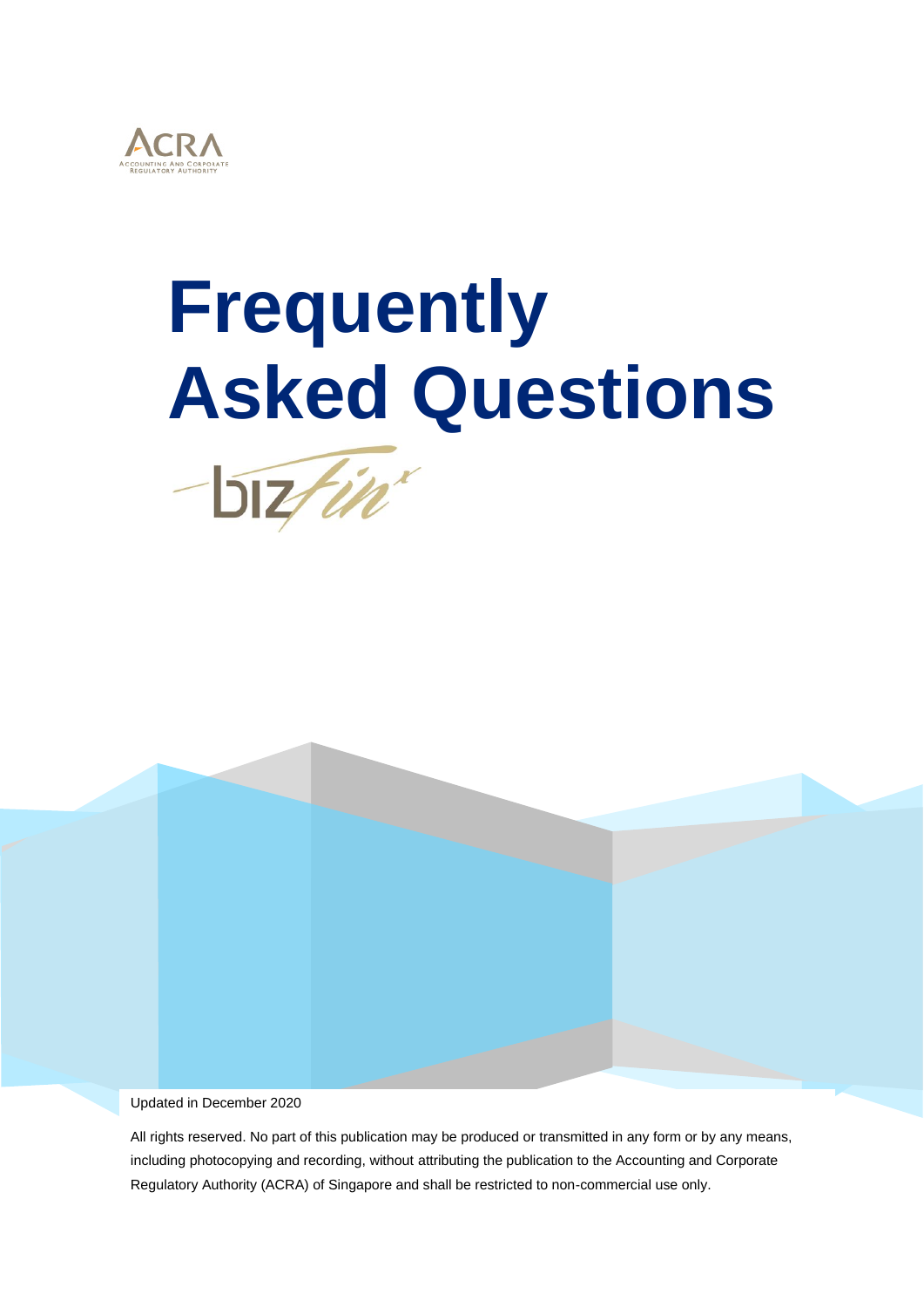

# **Frequently Asked Questions**



Updated in December 2020

All rights reserved. No part of this publication may be produced or transmitted in any form or by any means, including photocopying and recording, without attributing the publication to the Accounting and Corporate Regulatory Authority (ACRA) of Singapore and shall be restricted to non-commercial use only.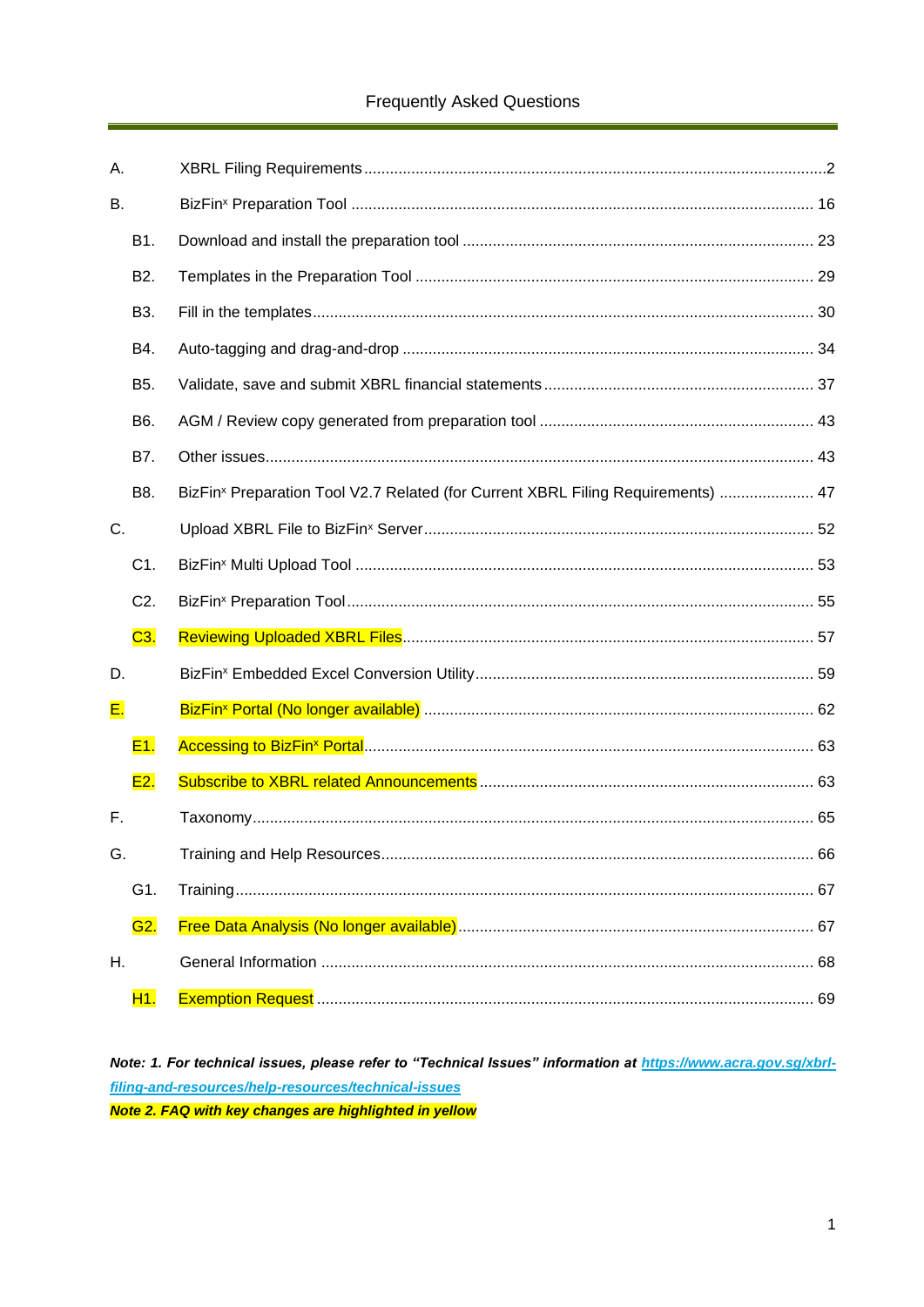## **Frequently Asked Questions**

| А.        |                  |                                                                                              |
|-----------|------------------|----------------------------------------------------------------------------------------------|
| <b>B.</b> |                  |                                                                                              |
|           | B1.              |                                                                                              |
|           | B <sub>2</sub> . |                                                                                              |
|           | B3.              |                                                                                              |
|           | B4.              |                                                                                              |
|           | B <sub>5</sub> . |                                                                                              |
|           | B6.              |                                                                                              |
|           | B7.              |                                                                                              |
|           | B8.              | BizFin <sup>x</sup> Preparation Tool V2.7 Related (for Current XBRL Filing Requirements)  47 |
| C.        |                  |                                                                                              |
|           | C1.              |                                                                                              |
|           | C <sub>2</sub> . |                                                                                              |
|           | C3.              |                                                                                              |
| D.        |                  |                                                                                              |
| E.        |                  |                                                                                              |
|           | E1.              |                                                                                              |
|           | E2.              |                                                                                              |
| F.        |                  |                                                                                              |
| G.        |                  |                                                                                              |
|           | G1.              |                                                                                              |
|           | G2.              |                                                                                              |
| Η.        |                  |                                                                                              |
|           | H1.              |                                                                                              |

Note: 1. For technical issues, please refer to "Technical Issues" information at https://www.acra.gov.sg/xbrlfiling-and-resources/help-resources/technical-issues Note 2. FAQ with key changes are highlighted in yellow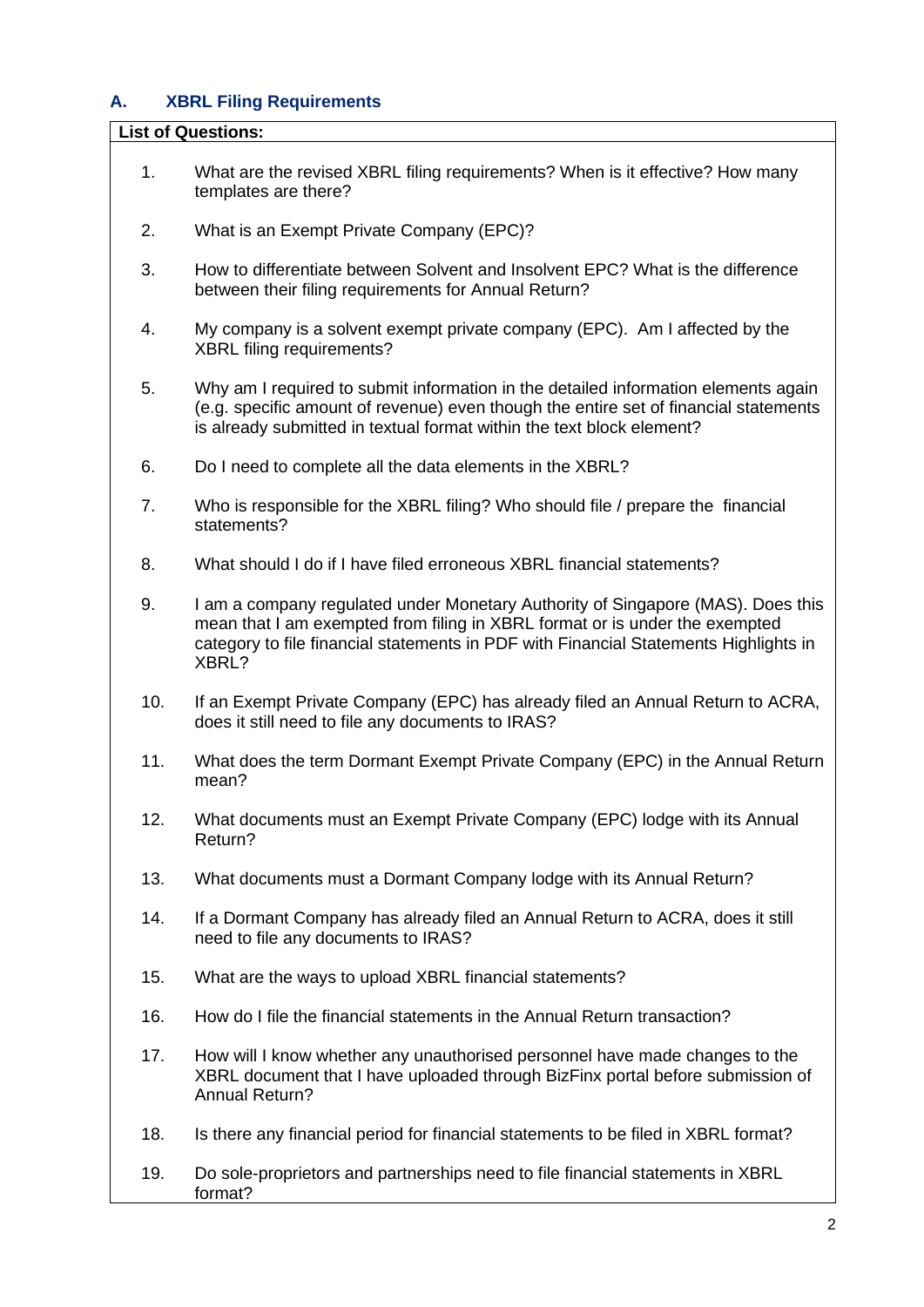## <span id="page-2-0"></span>**A. XBRL Filing Requirements**

#### **List of Questions:**

- 1. [What are the revised XBRL filing requirements? When is it effective? How many](#page-4-0)  [templates are there?](#page-4-0)
- 2. [What is an Exempt Private Company \(EPC\)?](#page-7-0)
- 3. [How to differentiate between Solvent and Insolvent EPC? What is the difference](#page-7-1)  [between their filing requirements for Annual Return?](#page-7-1)
- 4. [My company is a solvent exempt private company \(EPC\). Am I affected by the](#page-8-0)  [XBRL filing requirements?](#page-8-0)
- 5. [Why am I required to submit information in the detailed information elements again](#page-8-1)  [\(e.g. specific amount of revenue\) even though the entire set of financial statements](#page-8-1)  [is already submitted in textual format within the text block element?](#page-8-1)
- 6. [Do I need to complete all the data elements in the XBRL?](#page-9-0)
- 7. [Who is responsible for the XBRL filing? Who should file / prepare the financial](#page-9-1)  [statements?](#page-9-1)
- 8. [What should I do if I have filed erroneous XBRL financial statements?](#page-9-2)
- 9. I am a [company regulated under Monetary Authority of Singapore \(MAS\). Does this](#page-10-0)  [mean that I am exempted from filing in XBRL format or is under the exempted](#page-10-0)  [category to file financial statements in PDF with Financial Statements Highlights in](#page-10-0)  [XBRL?](#page-10-0)
- 10. [If an Exempt Private Company \(EPC\) has already filed an Annual Return to ACRA,](#page-10-1)  [does it still need to file any documents to IRAS?](#page-10-1)
- 11. [What does the term Dormant Exempt Private Company \(EPC\) in the Annual Return](#page-11-0)  [mean?](#page-11-0)
- 12. [What documents must an Exempt Private Company \(EPC\) lodge with its Annual](#page-11-1)  [Return?](#page-11-1)
- 13. [What documents must a Dormant Company lodge with its Annual Return?](#page-11-2)
- 14. [If a Dormant Company has already filed an Annual Return to ACRA, does it still](#page-11-3)  [need to file any documents to IRAS?](#page-11-3)
- 15. [What are the ways to upload XBRL financial statements?](#page-12-0)
- 16. [How do I file the financial statements in the Annual Return transaction?](#page-12-1)
- 17. [How will I know whether any unauthorised personnel have made changes to the](#page-12-2)  [XBRL document that I have uploaded through BizFinx portal before submission of](#page-12-2)  [Annual Return?](#page-12-2)
- 18. [Is there any financial period for financial statements to be filed in XBRL format?](#page-12-3)
- 19. [Do sole-proprietors and partnerships need to file financial statements in XBRL](#page-12-4)  [format?](#page-12-4)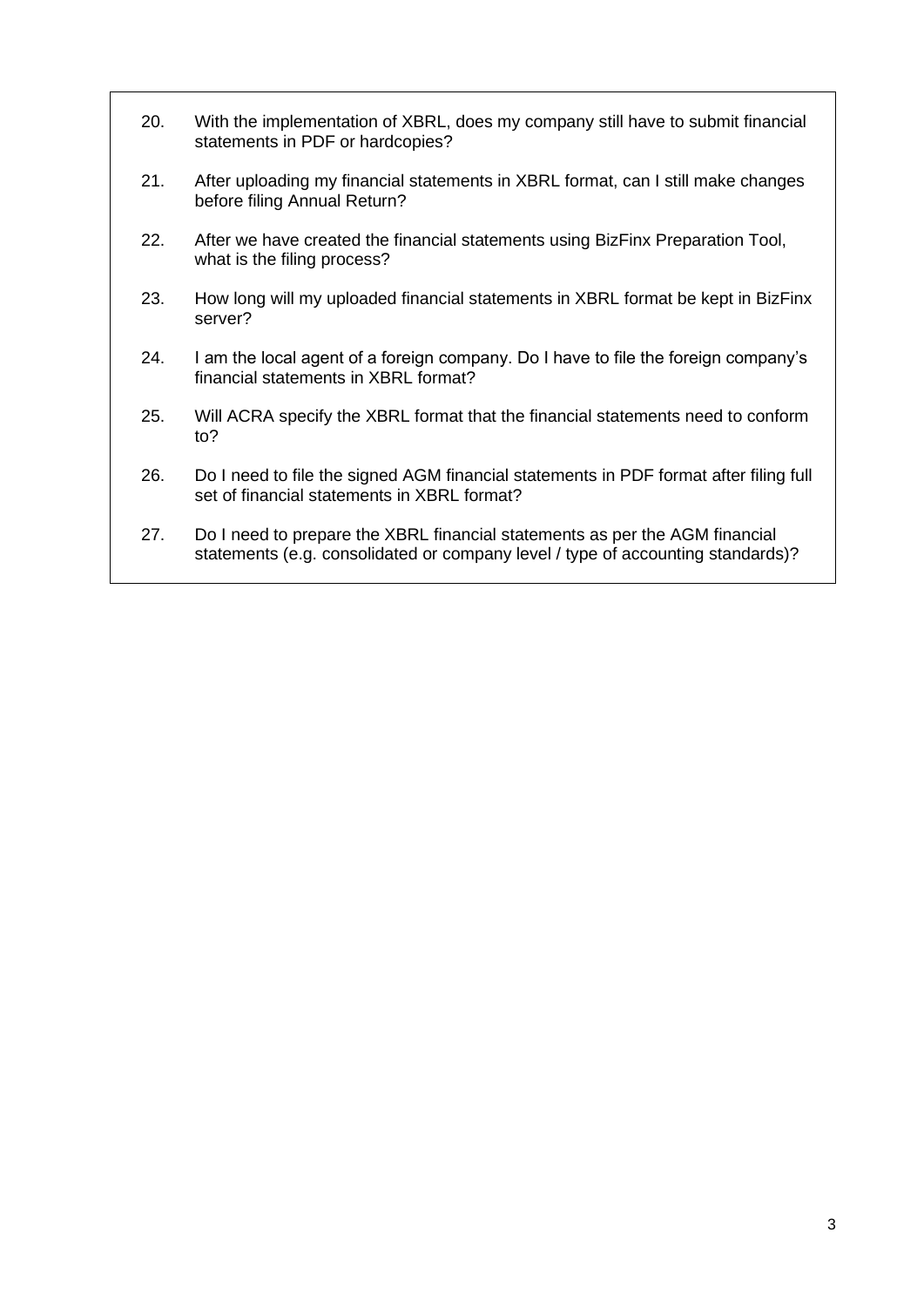- 20. [With the implementation of XBRL, does my company still have to submit financial](#page-13-0)  [statements in PDF or hardcopies?](#page-13-0)
- 21. [After uploading my financial statements in XBRL format, can I still make changes](#page-13-1)  [before filing Annual Return?](#page-13-1)
- 22. [After we have created the financial statements using BizFinx Preparation Tool,](#page-13-2)  [what is the filing process?](#page-13-2)
- 23. [How long will my uploaded financial statements in XBRL format be kept in BizFinx](#page-13-3)  [server?](#page-13-3)
- 24. [I am the local agent of a foreign company. Do I have to file the foreign company's](#page-14-0)  [financial statements in XBRL format?](#page-14-0)
- 25. [Will ACRA specify the XBRL format that the financial statements need to conform](#page-14-1)  [to?](#page-14-1)
- 26. [Do I need to file the signed AGM financial statements in PDF format after filing full](#page-14-2)  [set of financial statements in XBRL format?](#page-14-2)
- 27. [Do I need to prepare the XBRL financial statements as per the AGM financial](#page-14-3)  [statements \(e.g. consolidated or company level / type of accounting standards\)?](#page-14-3)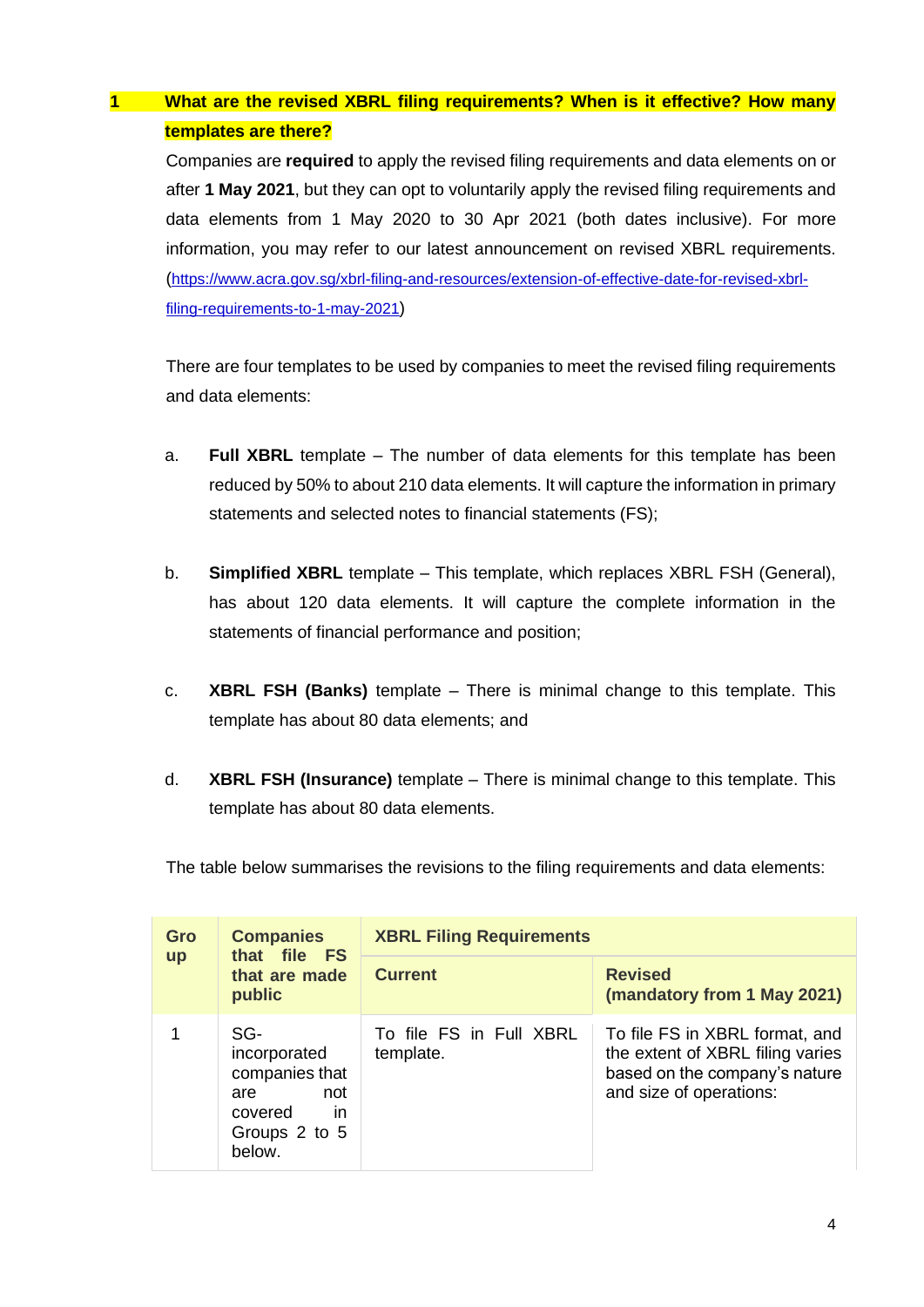## <span id="page-4-0"></span>**1 What are the revised XBRL filing requirements? When is it effective? How many templates are there?**

Companies are **required** to apply the revised filing requirements and data elements on or after **1 May 2021**, but they can opt to voluntarily apply the revised filing requirements and data elements from 1 May 2020 to 30 Apr 2021 (both dates inclusive). For more information, you may refer to our latest announcement on revised XBRL requirements. ([https://www.acra.gov.sg/xbrl-filing-and-resources/extension-of-effective-date-for-revised-xbrl](https://www.acra.gov.sg/xbrl-filing-and-resources/extension-of-effective-date-for-revised-xbrl-filing-requirements-to-1-may-2021)[filing-requirements-to-1-may-2021](https://www.acra.gov.sg/xbrl-filing-and-resources/extension-of-effective-date-for-revised-xbrl-filing-requirements-to-1-may-2021))

There are four templates to be used by companies to meet the revised filing requirements and data elements:

- a. **Full XBRL** template The number of data elements for this template has been reduced by 50% to about 210 data elements. It will capture the information in primary statements and selected notes to financial statements (FS);
- b. **Simplified XBRL** template This template, which replaces XBRL FSH (General), has about 120 data elements. It will capture the complete information in the statements of financial performance and position;
- c. **XBRL FSH (Banks)** template There is minimal change to this template. This template has about 80 data elements; and
- d. **XBRL FSH (Insurance)** template There is minimal change to this template. This template has about 80 data elements.

The table below summarises the revisions to the filing requirements and data elements:

| Gro       | <b>Companies</b><br>that file FS<br>that are made<br>public                                     | <b>XBRL Filing Requirements</b>      |                                                                                                                                |  |
|-----------|-------------------------------------------------------------------------------------------------|--------------------------------------|--------------------------------------------------------------------------------------------------------------------------------|--|
| <b>up</b> |                                                                                                 | <b>Current</b>                       | <b>Revised</b><br>(mandatory from 1 May 2021)                                                                                  |  |
|           | SG-<br>incorporated<br>companies that<br>not<br>are<br>covered<br>in<br>Groups 2 to 5<br>below. | To file FS in Full XBRL<br>template. | To file FS in XBRL format, and<br>the extent of XBRL filing varies<br>based on the company's nature<br>and size of operations: |  |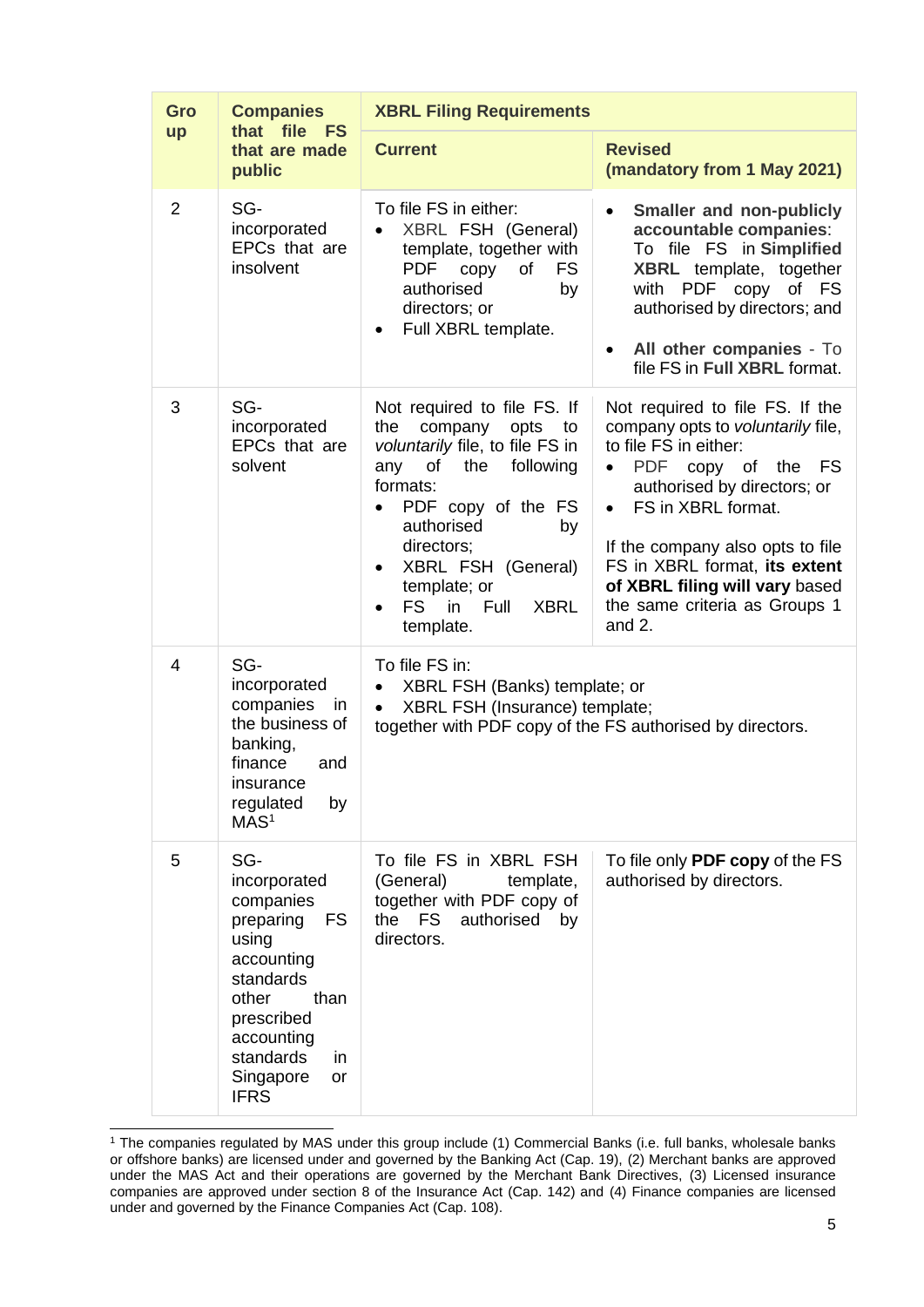| Gro            | <b>Companies</b>                                                                                                                                                                          | <b>XBRL Filing Requirements</b>                                                                                                                                                                                                                                                                           |                                                                                                                                                                                                                                                                                                                                              |
|----------------|-------------------------------------------------------------------------------------------------------------------------------------------------------------------------------------------|-----------------------------------------------------------------------------------------------------------------------------------------------------------------------------------------------------------------------------------------------------------------------------------------------------------|----------------------------------------------------------------------------------------------------------------------------------------------------------------------------------------------------------------------------------------------------------------------------------------------------------------------------------------------|
| up             | that file<br><b>FS</b><br>that are made<br>public                                                                                                                                         | <b>Current</b>                                                                                                                                                                                                                                                                                            | <b>Revised</b><br>(mandatory from 1 May 2021)                                                                                                                                                                                                                                                                                                |
| 2              | SG-<br>incorporated<br>EPCs that are<br>insolvent                                                                                                                                         | To file FS in either:<br>XBRL FSH (General)<br>template, together with<br><b>PDF</b><br>copy<br>of<br>FS<br>authorised<br>by<br>directors; or<br>Full XBRL template.                                                                                                                                      | <b>Smaller and non-publicly</b><br>$\bullet$<br>accountable companies:<br>To file FS in Simplified<br>XBRL template, together<br>with PDF copy of FS<br>authorised by directors; and<br>All other companies - To<br>$\bullet$<br>file FS in Full XBRL format.                                                                                |
| 3              | SG-<br>incorporated<br>EPCs that are<br>solvent                                                                                                                                           | Not required to file FS. If<br>company<br>the<br>opts<br>to<br>voluntarily file, to file FS in<br>following<br>any<br>of the<br>formats:<br>PDF copy of the FS<br>authorised<br>by<br>directors;<br>XBRL FSH (General)<br>$\bullet$<br>template; or<br>FS <b>F</b><br>in Full<br><b>XBRL</b><br>template. | Not required to file FS. If the<br>company opts to voluntarily file,<br>to file FS in either:<br>PDF copy of the<br>FS<br>$\bullet$<br>authorised by directors; or<br>• FS in XBRL format.<br>If the company also opts to file<br>FS in XBRL format, its extent<br>of XBRL filing will vary based<br>the same criteria as Groups 1<br>and 2. |
| $\overline{4}$ | SG-<br>incorporated<br>companies<br>in.<br>the business of<br>banking,<br>finance<br>and<br>insurance<br>regulated<br>by<br>MAS <sup>1</sup>                                              | To file FS in:<br>XBRL FSH (Banks) template; or<br>٠<br>XBRL FSH (Insurance) template;<br>$\bullet$<br>together with PDF copy of the FS authorised by directors.                                                                                                                                          |                                                                                                                                                                                                                                                                                                                                              |
| 5              | SG-<br>incorporated<br>companies<br>preparing<br>FS<br>using<br>accounting<br>standards<br>than<br>other<br>prescribed<br>accounting<br>standards<br>in<br>Singapore<br>or<br><b>IFRS</b> | To file FS in XBRL FSH<br>(General)<br>template,<br>together with PDF copy of<br>the<br><b>FS</b><br>authorised<br>by<br>directors.                                                                                                                                                                       | To file only PDF copy of the FS<br>authorised by directors.                                                                                                                                                                                                                                                                                  |

<sup>&</sup>lt;sup>1</sup> The companies regulated by MAS under this group include (1) Commercial Banks (i.e. full banks, wholesale banks or offshore banks) are licensed under and governed by the Banking Act (Cap. 19), (2) Merchant banks are approved under the MAS Act and their operations are governed by the Merchant Bank Directives, (3) Licensed insurance companies are approved under section 8 of the Insurance Act (Cap. 142) and (4) Finance companies are licensed under and governed by the Finance Companies Act (Cap. 108).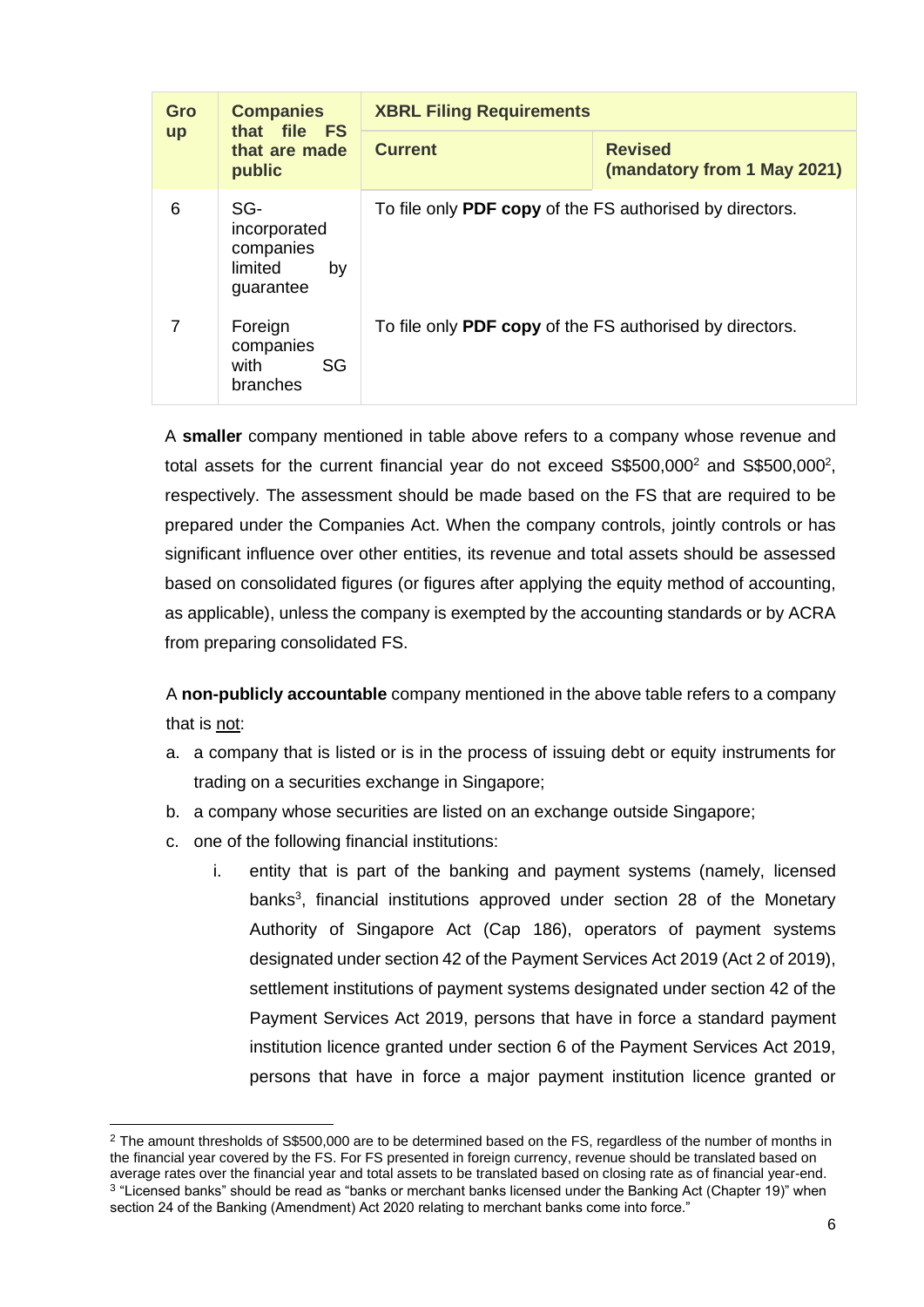| Gro       | <b>Companies</b><br>that file FS<br>that are made<br>public    | <b>XBRL Filing Requirements</b>                          |                                               |
|-----------|----------------------------------------------------------------|----------------------------------------------------------|-----------------------------------------------|
| <b>up</b> |                                                                | <b>Current</b>                                           | <b>Revised</b><br>(mandatory from 1 May 2021) |
| 6         | SG-<br>incorporated<br>companies<br>limited<br>by<br>guarantee | To file only PDF copy of the FS authorised by directors. |                                               |
| 7         | Foreign<br>companies<br>with<br>SG<br>branches                 | To file only PDF copy of the FS authorised by directors. |                                               |

A **smaller** company mentioned in table above refers to a company whose revenue and total assets for the current financial year do not exceed  $$$500,000^2$  and  $$$500,000^2$ , respectively. The assessment should be made based on the FS that are required to be prepared under the Companies Act. When the company controls, jointly controls or has significant influence over other entities, its revenue and total assets should be assessed based on consolidated figures (or figures after applying the equity method of accounting, as applicable), unless the company is exempted by the accounting standards or by ACRA from preparing consolidated FS.

A **non-publicly accountable** company mentioned in the above table refers to a company that is not:

- a. a company that is listed or is in the process of issuing debt or equity instruments for trading on a securities exchange in Singapore;
- b. a company whose securities are listed on an exchange outside Singapore;
- c. one of the following financial institutions:
	- i. entity that is part of the banking and payment systems (namely, licensed banks<sup>3</sup>, financial institutions approved under section 28 of the Monetary Authority of Singapore Act (Cap 186), operators of payment systems designated under section 42 of the Payment Services Act 2019 (Act 2 of 2019), settlement institutions of payment systems designated under section 42 of the Payment Services Act 2019, persons that have in force a standard payment institution licence granted under section 6 of the Payment Services Act 2019, persons that have in force a major payment institution licence granted or

 $2$  The amount thresholds of S\$500,000 are to be determined based on the FS, regardless of the number of months in the financial year covered by the FS. For FS presented in foreign currency, revenue should be translated based on average rates over the financial year and total assets to be translated based on closing rate as of financial year-end.  $^3$  "Licensed banks" should be read as "banks or merchant banks licensed under the Banking Act (Chapter 19)" when section 24 of the Banking (Amendment) Act 2020 relating to merchant banks come into force."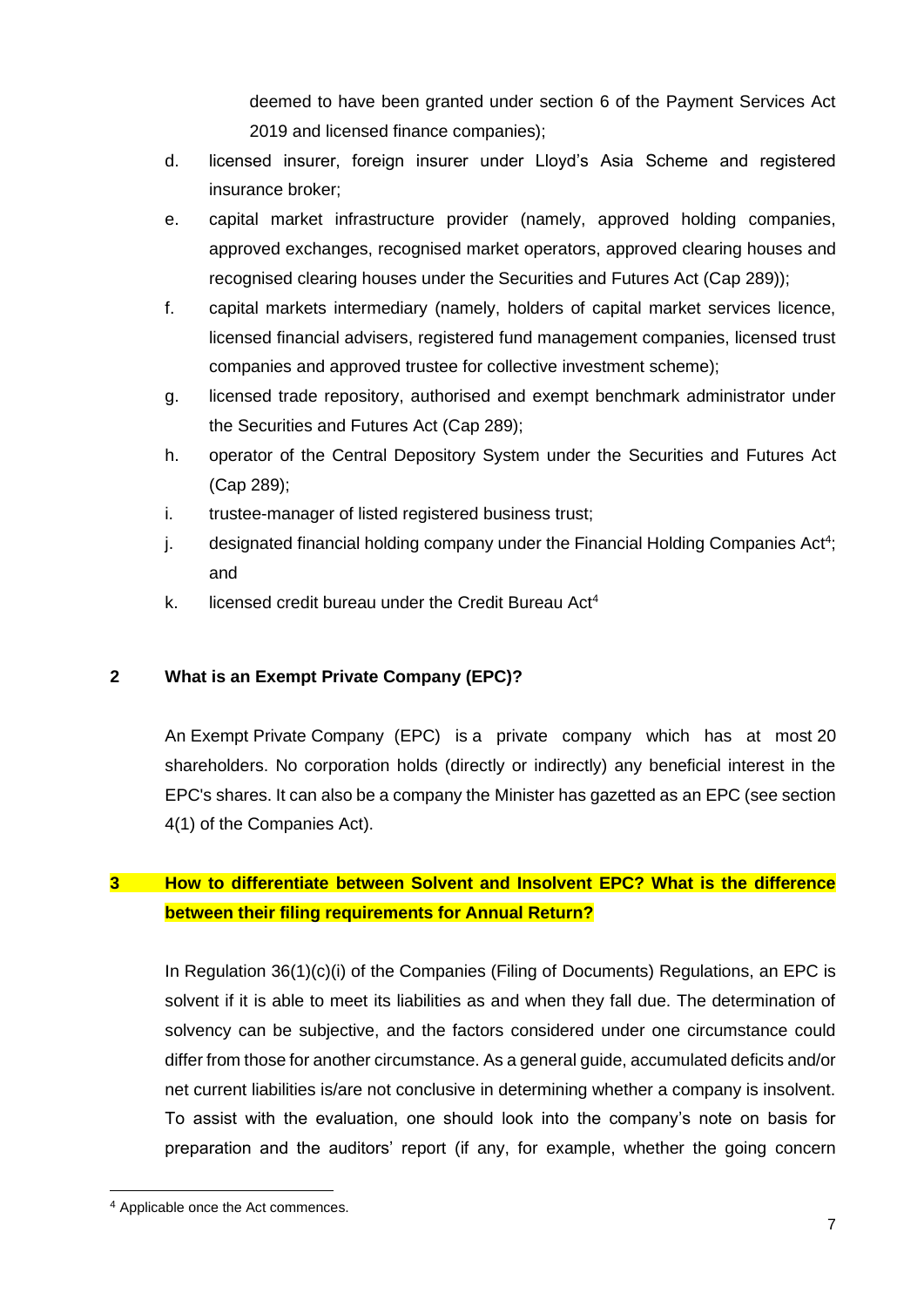deemed to have been granted under section 6 of the Payment Services Act 2019 and licensed finance companies);

- d. licensed insurer, foreign insurer under Lloyd's Asia Scheme and registered insurance broker;
- e. capital market infrastructure provider (namely, approved holding companies, approved exchanges, recognised market operators, approved clearing houses and recognised clearing houses under the Securities and Futures Act (Cap 289));
- f. capital markets intermediary (namely, holders of capital market services licence, licensed financial advisers, registered fund management companies, licensed trust companies and approved trustee for collective investment scheme);
- g. licensed trade repository, authorised and exempt benchmark administrator under the Securities and Futures Act (Cap 289);
- h. operator of the Central Depository System under the Securities and Futures Act (Cap 289);
- i. trustee-manager of listed registered business trust;
- j. designated financial holding company under the Financial Holding Companies Act<sup>4</sup>; and
- k. licensed credit bureau under the Credit Bureau Act<sup>4</sup>

## <span id="page-7-0"></span>**2 What is an Exempt Private Company (EPC)?**

An Exempt Private Company (EPC) is a private company which has at most 20 shareholders. No corporation holds (directly or indirectly) any beneficial interest in the EPC's shares. It can also be a company the Minister has gazetted as an EPC (see section 4(1) of the Companies Act).

## <span id="page-7-1"></span>**3 How to differentiate between Solvent and Insolvent EPC? What is the difference between their filing requirements for Annual Return?**

In Regulation 36(1)(c)(i) of the Companies (Filing of Documents) Regulations, an EPC is solvent if it is able to meet its liabilities as and when they fall due. The determination of solvency can be subjective, and the factors considered under one circumstance could differ from those for another circumstance. As a general guide, accumulated deficits and/or net current liabilities is/are not conclusive in determining whether a company is insolvent. To assist with the evaluation, one should look into the company's note on basis for preparation and the auditors' report (if any, for example, whether the going concern

<sup>4</sup> Applicable once the Act commences.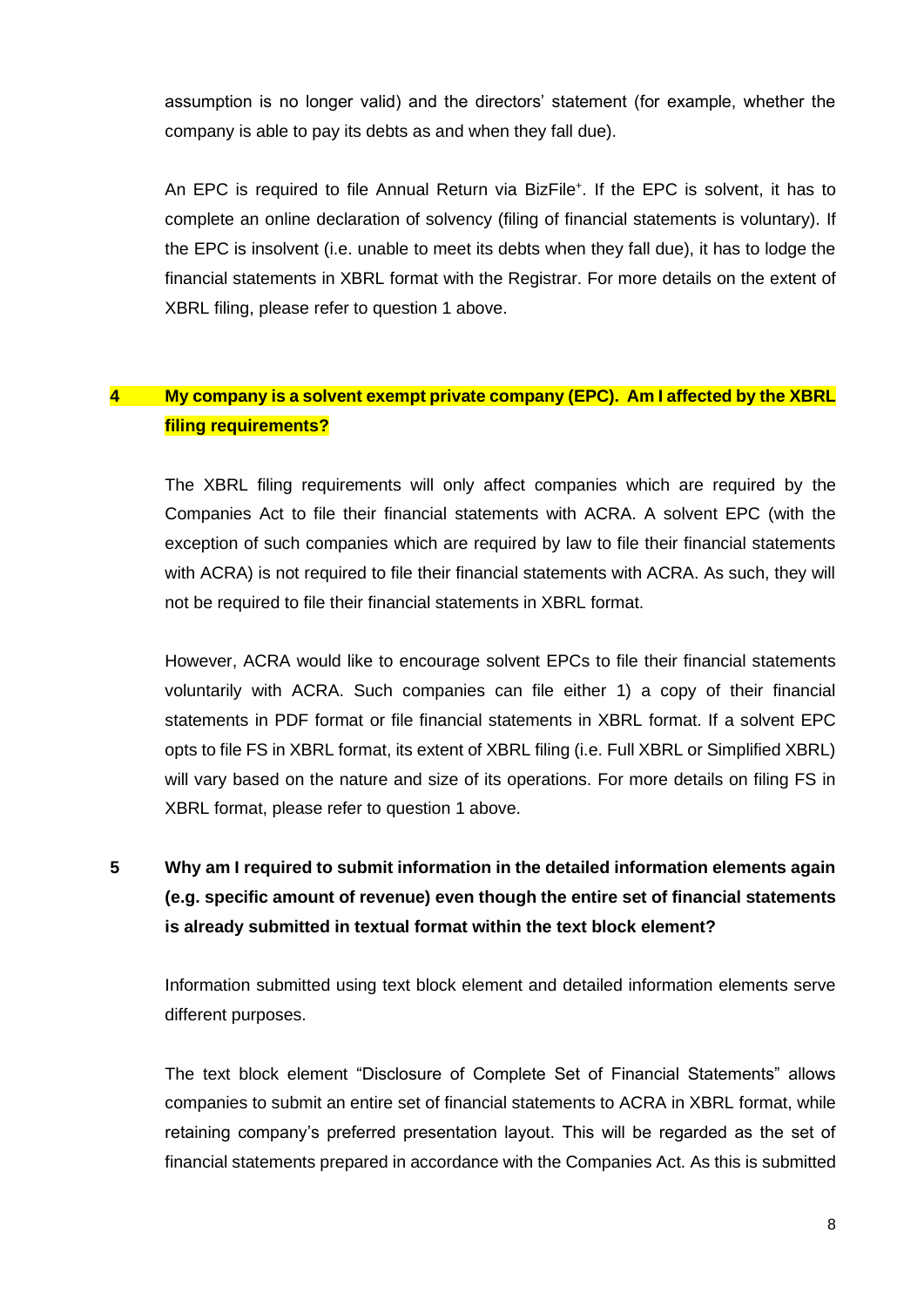assumption is no longer valid) and the directors' statement (for example, whether the company is able to pay its debts as and when they fall due).

An EPC is required to file Annual Return via BizFile<sup>+</sup>. If the EPC is solvent, it has to complete an online declaration of solvency (filing of financial statements is voluntary). If the EPC is insolvent (i.e. unable to meet its debts when they fall due), it has to lodge the financial statements in XBRL format with the Registrar. For more details on the extent of XBRL filing, please refer to question 1 above.

## <span id="page-8-0"></span>**4 My company is a solvent exempt private company (EPC). Am I affected by the XBRL filing requirements?**

The XBRL filing requirements will only affect companies which are required by the Companies Act to file their financial statements with ACRA. A solvent EPC (with the exception of such companies which are required by law to file their financial statements with ACRA) is not required to file their financial statements with ACRA. As such, they will not be required to file their financial statements in XBRL format.

However, ACRA would like to encourage solvent EPCs to file their financial statements voluntarily with ACRA. Such companies can file either 1) a copy of their financial statements in PDF format or file financial statements in XBRL format. If a solvent EPC opts to file FS in XBRL format, its extent of XBRL filing (i.e. Full XBRL or Simplified XBRL) will vary based on the nature and size of its operations. For more details on filing FS in XBRL format, please refer to question 1 above.

# <span id="page-8-1"></span>**5 Why am I required to submit information in the detailed information elements again (e.g. specific amount of revenue) even though the entire set of financial statements is already submitted in textual format within the text block element?**

Information submitted using text block element and detailed information elements serve different purposes.

The text block element "Disclosure of Complete Set of Financial Statements" allows companies to submit an entire set of financial statements to ACRA in XBRL format, while retaining company's preferred presentation layout. This will be regarded as the set of financial statements prepared in accordance with the Companies Act. As this is submitted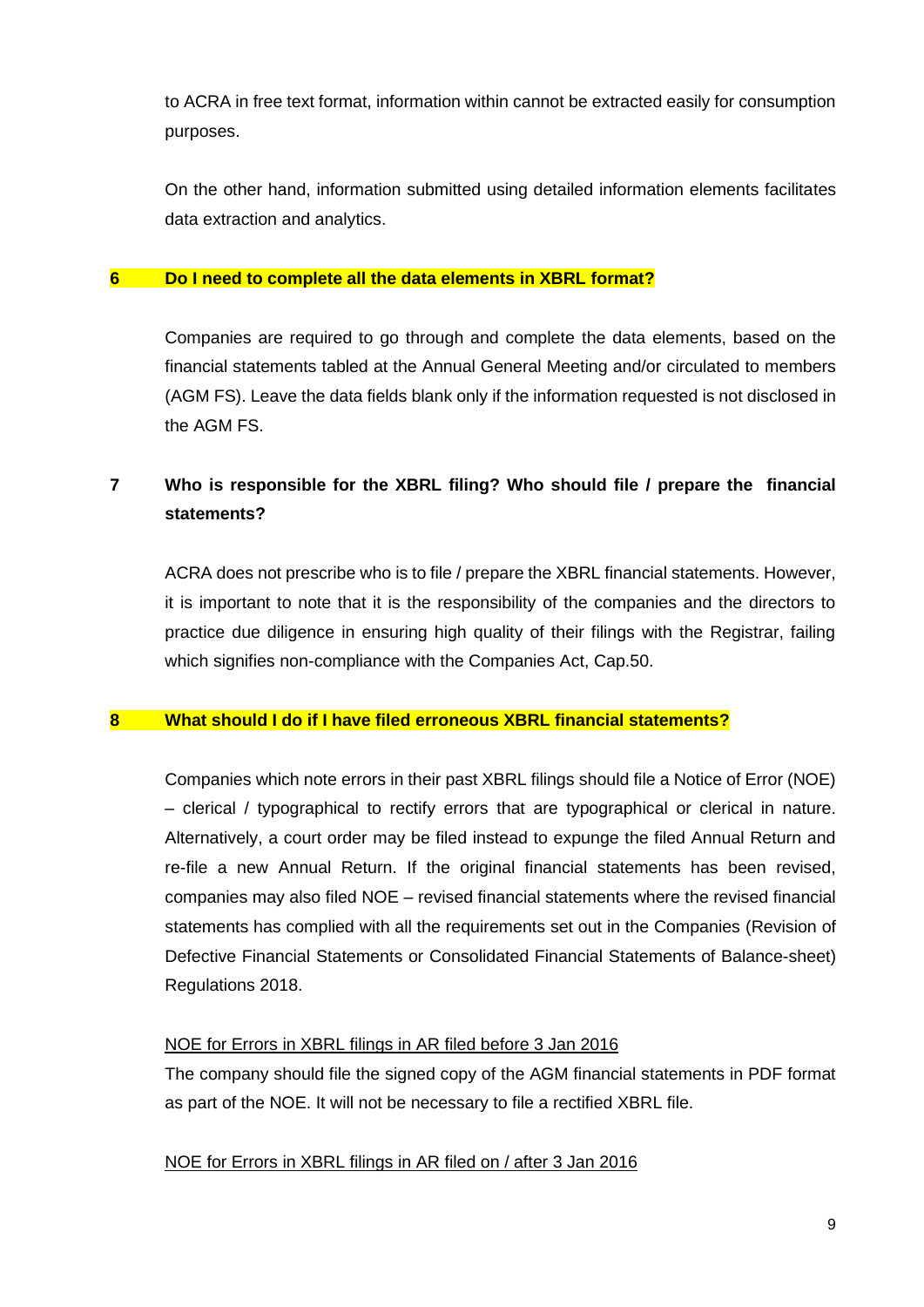to ACRA in free text format, information within cannot be extracted easily for consumption purposes.

On the other hand, information submitted using detailed information elements facilitates data extraction and analytics.

#### <span id="page-9-0"></span>**6 Do I need to complete all the data elements in XBRL format?**

Companies are required to go through and complete the data elements, based on the financial statements tabled at the Annual General Meeting and/or circulated to members (AGM FS). Leave the data fields blank only if the information requested is not disclosed in the AGM FS.

## <span id="page-9-1"></span>**7 Who is responsible for the XBRL filing? Who should file / prepare the financial statements?**

ACRA does not prescribe who is to file / prepare the XBRL financial statements. However, it is important to note that it is the responsibility of the companies and the directors to practice due diligence in ensuring high quality of their filings with the Registrar, failing which signifies non-compliance with the Companies Act, Cap.50.

## <span id="page-9-2"></span>**8 What should I do if I have filed erroneous XBRL financial statements?**

Companies which note errors in their past XBRL filings should file a Notice of Error (NOE) – clerical / typographical to rectify errors that are typographical or clerical in nature. Alternatively, a court order may be filed instead to expunge the filed Annual Return and re-file a new Annual Return. If the original financial statements has been revised, companies may also filed NOE – revised financial statements where the revised financial statements has complied with all the requirements set out in the Companies (Revision of Defective Financial Statements or Consolidated Financial Statements of Balance-sheet) Regulations 2018.

## NOE for Errors in XBRL filings in AR filed before 3 Jan 2016

The company should file the signed copy of the AGM financial statements in PDF format as part of the NOE. It will not be necessary to file a rectified XBRL file.

#### NOE for Errors in XBRL filings in AR filed on / after 3 Jan 2016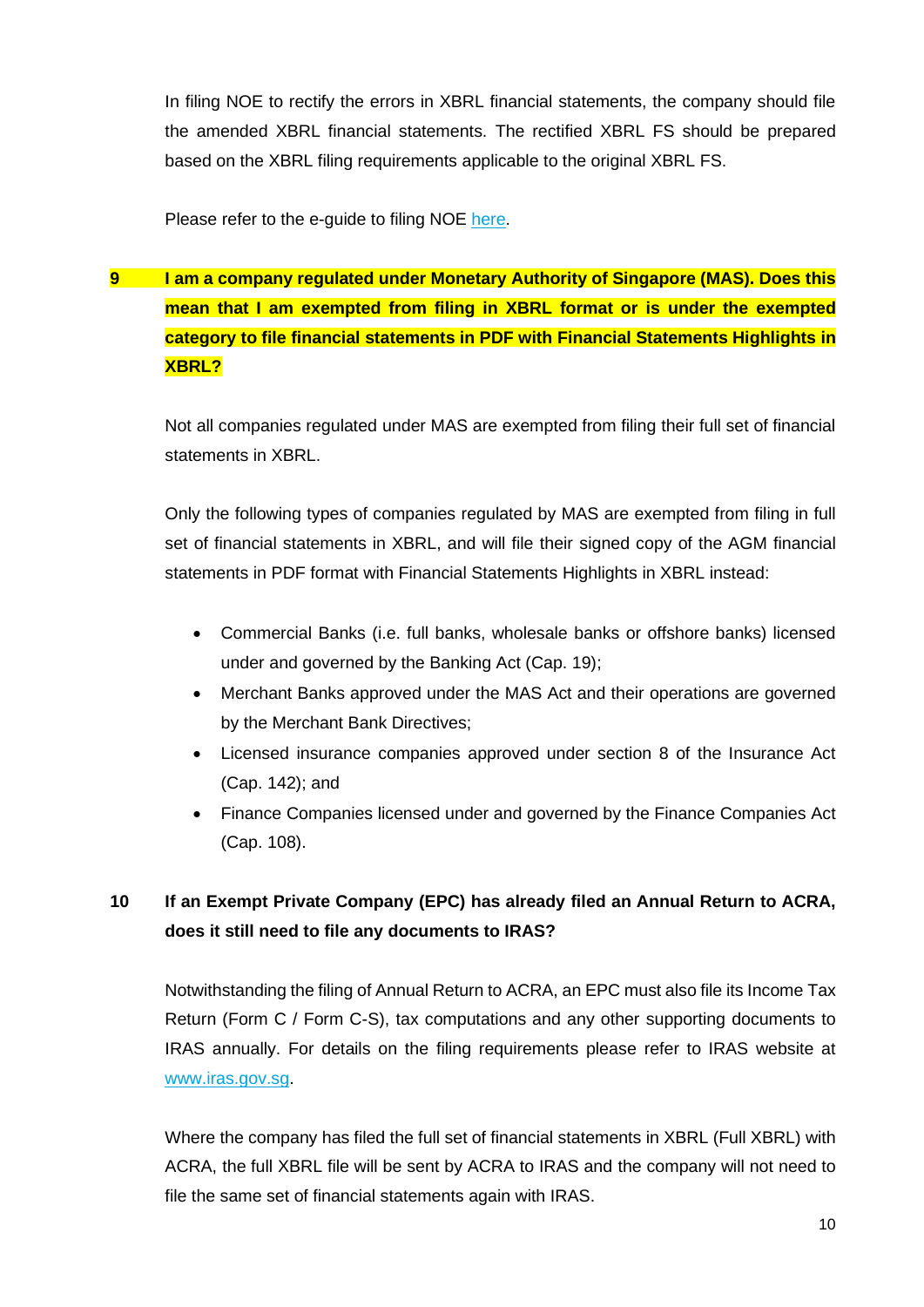In filing NOE to rectify the errors in XBRL financial statements, the company should file the amended XBRL financial statements. The rectified XBRL FS should be prepared based on the XBRL filing requirements applicable to the original XBRL FS.

Please refer to the e-guide to filing NOE [here.](http://www.acra.gov.sg/how-to-guides/filing-a-notice-of-error-(noe))

<span id="page-10-0"></span>**9 I am a company regulated under Monetary Authority of Singapore (MAS). Does this mean that I am exempted from filing in XBRL format or is under the exempted category to file financial statements in PDF with Financial Statements Highlights in XBRL?**

Not all companies regulated under MAS are exempted from filing their full set of financial statements in XBRL.

Only the following types of companies regulated by MAS are exempted from filing in full set of financial statements in XBRL, and will file their signed copy of the AGM financial statements in PDF format with Financial Statements Highlights in XBRL instead:

- Commercial Banks (i.e. full banks, wholesale banks or offshore banks) licensed under and governed by the Banking Act (Cap. 19);
- Merchant Banks approved under the MAS Act and their operations are governed by the Merchant Bank Directives;
- Licensed insurance companies approved under section 8 of the Insurance Act (Cap. 142); and
- Finance Companies licensed under and governed by the Finance Companies Act (Cap. 108).

# <span id="page-10-1"></span>**10 If an Exempt Private Company (EPC) has already filed an Annual Return to ACRA, does it still need to file any documents to IRAS?**

Notwithstanding the filing of Annual Return to ACRA, an EPC must also file its Income Tax Return (Form C / Form C-S), tax computations and any other supporting documents to IRAS annually. For details on the filing requirements please refer to IRAS website at [www.iras.gov.sg.](http://www.iras.gov.sg/)

Where the company has filed the full set of financial statements in XBRL (Full XBRL) with ACRA, the full XBRL file will be sent by ACRA to IRAS and the company will not need to file the same set of financial statements again with IRAS.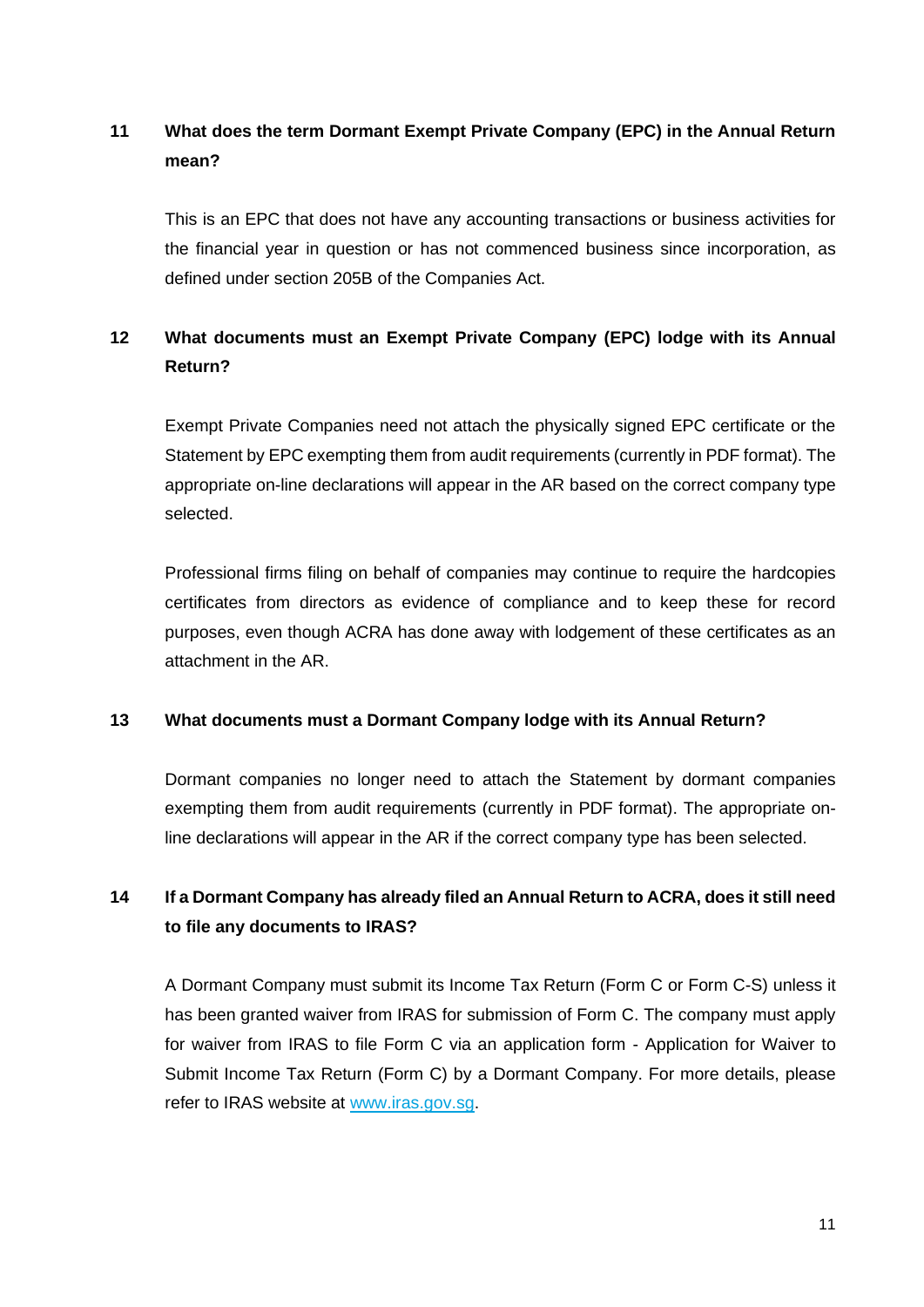## <span id="page-11-0"></span>**11 What does the term Dormant Exempt Private Company (EPC) in the Annual Return mean?**

This is an EPC that does not have any accounting transactions or business activities for the financial year in question or has not commenced business since incorporation, as defined under section 205B of the Companies Act.

# <span id="page-11-1"></span>**12 What documents must an Exempt Private Company (EPC) lodge with its Annual Return?**

Exempt Private Companies need not attach the physically signed EPC certificate or the Statement by EPC exempting them from audit requirements (currently in PDF format). The appropriate on-line declarations will appear in the AR based on the correct company type selected.

Professional firms filing on behalf of companies may continue to require the hardcopies certificates from directors as evidence of compliance and to keep these for record purposes, even though ACRA has done away with lodgement of these certificates as an attachment in the AR.

## <span id="page-11-2"></span>**13 What documents must a Dormant Company lodge with its Annual Return?**

Dormant companies no longer need to attach the Statement by dormant companies exempting them from audit requirements (currently in PDF format). The appropriate online declarations will appear in the AR if the correct company type has been selected.

## <span id="page-11-3"></span>**14 If a Dormant Company has already filed an Annual Return to ACRA, does it still need to file any documents to IRAS?**

A Dormant Company must submit its Income Tax Return (Form C or Form C-S) unless it has been granted waiver from IRAS for submission of Form C. The company must apply for waiver from IRAS to file Form C via an application form - Application for Waiver to Submit Income Tax Return (Form C) by a Dormant Company. For more details, please refer to IRAS website at [www.iras.gov.sg.](http://www.iras.gov.sg/)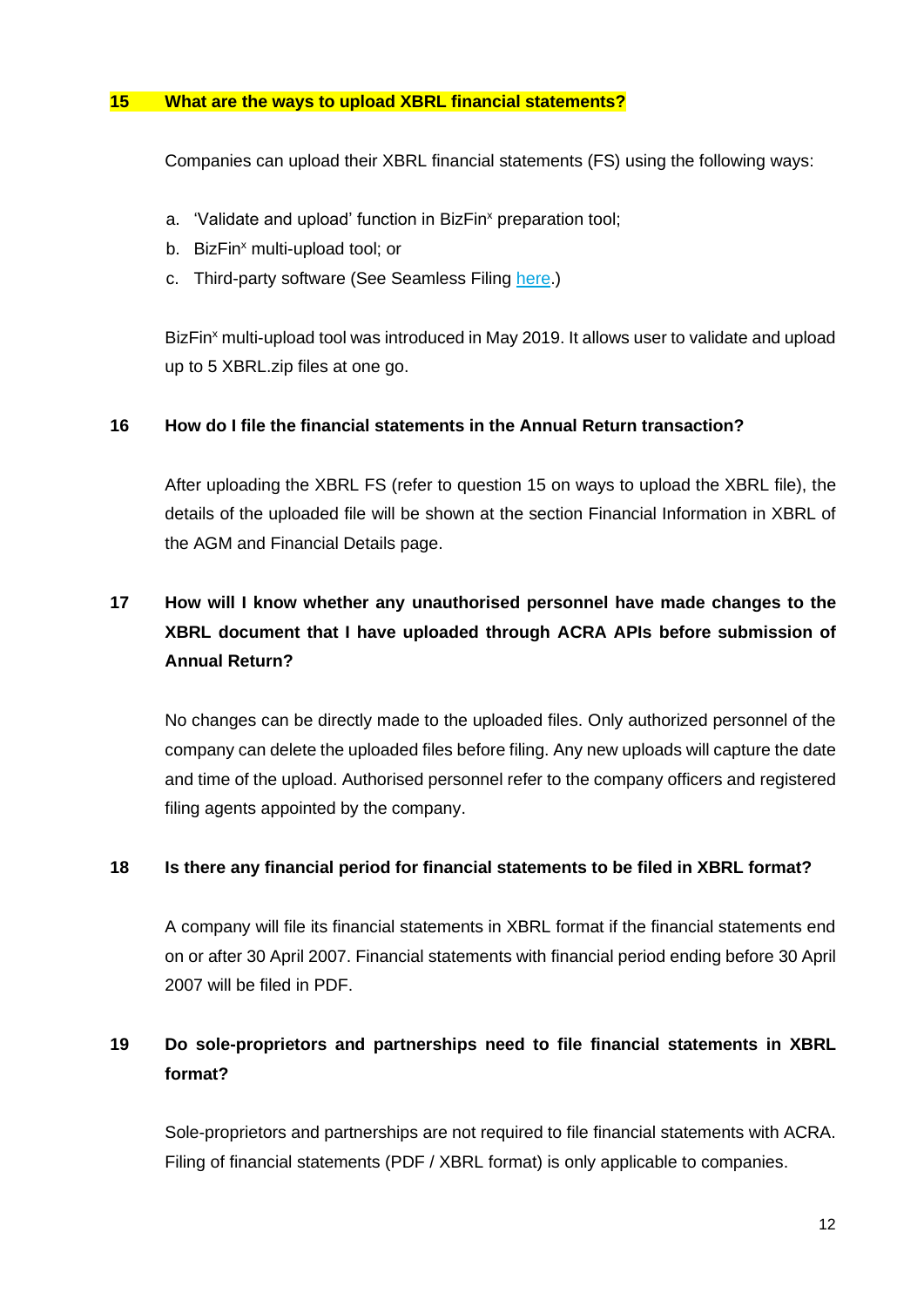#### <span id="page-12-0"></span>**15 What are the ways to upload XBRL financial statements?**

Companies can upload their XBRL financial statements (FS) using the following ways:

- a. 'Validate and upload' function in BizFin<sup>x</sup> preparation tool;
- b. BizFin<sup>x</sup> multi-upload tool; or
- c. Third-party software (See Seamless Filing [here.](https://www.acra.gov.sg/announcements/acra-iras-seamless-filing-initiative))

BizFin<sup>x</sup> multi-upload tool was introduced in May 2019. It allows user to validate and upload up to 5 XBRL.zip files at one go.

#### <span id="page-12-1"></span>**16 How do I file the financial statements in the Annual Return transaction?**

After uploading the XBRL FS (refer to question 15 on ways to upload the XBRL file), the details of the uploaded file will be shown at the section Financial Information in XBRL of the AGM and Financial Details page.

# <span id="page-12-2"></span>**17 How will I know whether any unauthorised personnel have made changes to the XBRL document that I have uploaded through ACRA APIs before submission of Annual Return?**

No changes can be directly made to the uploaded files. Only authorized personnel of the company can delete the uploaded files before filing. Any new uploads will capture the date and time of the upload. Authorised personnel refer to the company officers and registered filing agents appointed by the company.

#### <span id="page-12-3"></span>**18 Is there any financial period for financial statements to be filed in XBRL format?**

A company will file its financial statements in XBRL format if the financial statements end on or after 30 April 2007. Financial statements with financial period ending before 30 April 2007 will be filed in PDF.

# <span id="page-12-4"></span>**19 Do sole-proprietors and partnerships need to file financial statements in XBRL format?**

Sole-proprietors and partnerships are not required to file financial statements with ACRA. Filing of financial statements (PDF / XBRL format) is only applicable to companies.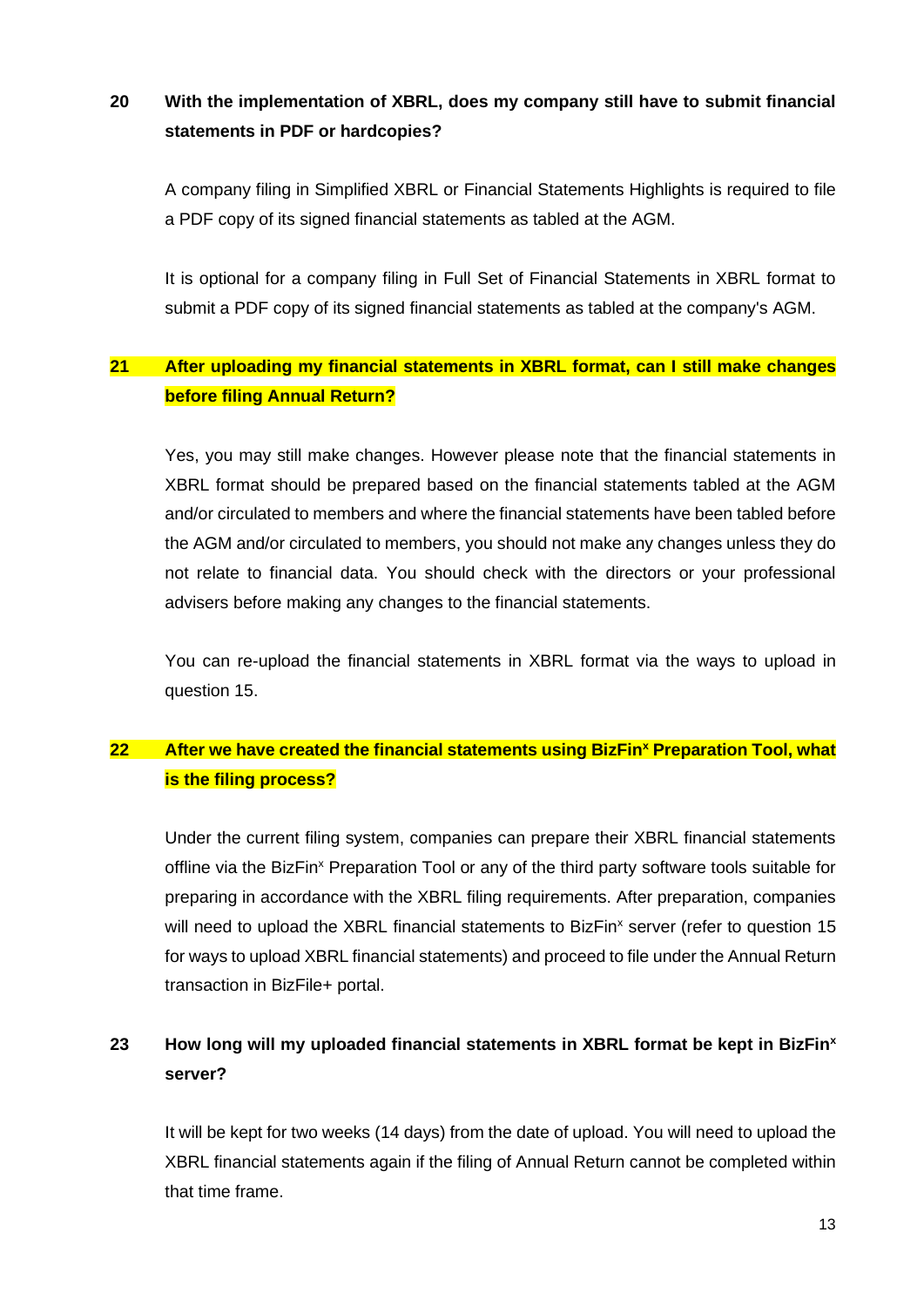## <span id="page-13-0"></span>**20 With the implementation of XBRL, does my company still have to submit financial statements in PDF or hardcopies?**

A company filing in Simplified XBRL or Financial Statements Highlights is required to file a PDF copy of its signed financial statements as tabled at the AGM.

It is optional for a company filing in Full Set of Financial Statements in XBRL format to submit a PDF copy of its signed financial statements as tabled at the company's AGM.

## <span id="page-13-1"></span>**21 After uploading my financial statements in XBRL format, can I still make changes before filing Annual Return?**

Yes, you may still make changes. However please note that the financial statements in XBRL format should be prepared based on the financial statements tabled at the AGM and/or circulated to members and where the financial statements have been tabled before the AGM and/or circulated to members, you should not make any changes unless they do not relate to financial data. You should check with the directors or your professional advisers before making any changes to the financial statements.

You can re-upload the financial statements in XBRL format via the ways to upload in question 15.

# <span id="page-13-2"></span>**22 After we have created the financial statements using BizFin<sup>x</sup> Preparation Tool, what is the filing process?**

Under the current filing system, companies can prepare their XBRL financial statements offline via the BizFin<sup>x</sup> Preparation Tool or any of the third party software tools suitable for preparing in accordance with the XBRL filing requirements. After preparation, companies will need to upload the XBRL financial statements to BizFin<sup>x</sup> server (refer to question 15 for ways to upload XBRL financial statements) and proceed to file under the Annual Return transaction in BizFile+ portal.

# <span id="page-13-3"></span>**23 How long will my uploaded financial statements in XBRL format be kept in BizFin<sup>x</sup> server?**

It will be kept for two weeks (14 days) from the date of upload. You will need to upload the XBRL financial statements again if the filing of Annual Return cannot be completed within that time frame.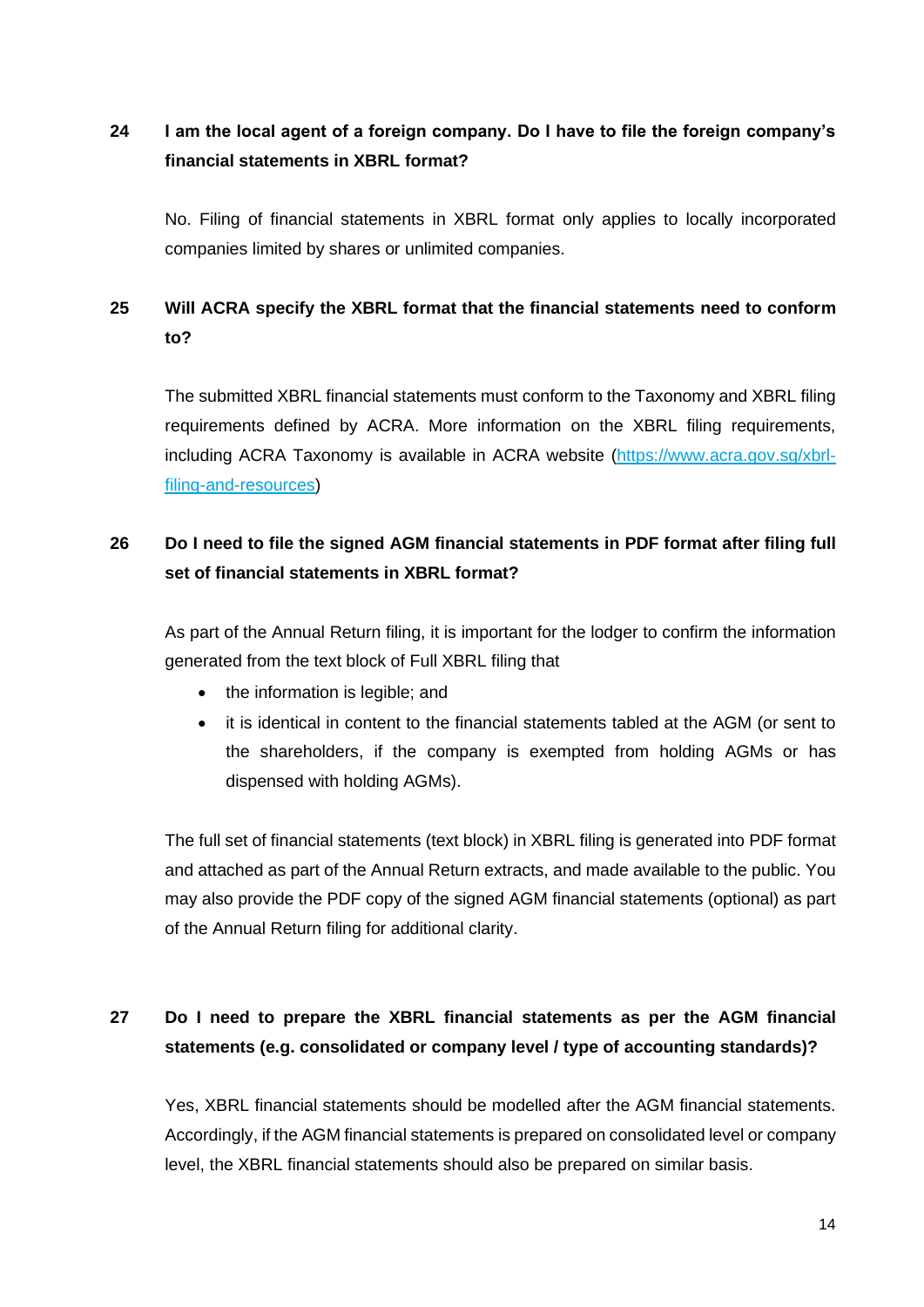# <span id="page-14-0"></span>**24 I am the local agent of a foreign company. Do I have to file the foreign company's financial statements in XBRL format?**

No. Filing of financial statements in XBRL format only applies to locally incorporated companies limited by shares or unlimited companies.

## <span id="page-14-1"></span>**25 Will ACRA specify the XBRL format that the financial statements need to conform to?**

The submitted XBRL financial statements must conform to the Taxonomy and XBRL filing requirements defined by ACRA. More information on the XBRL filing requirements, including ACRA Taxonomy is available in ACRA website (https://www.acra.gov.sg/xbrlfiling-and-resources)

# <span id="page-14-2"></span>**26 Do I need to file the signed AGM financial statements in PDF format after filing full set of financial statements in XBRL format?**

As part of the Annual Return filing, it is important for the lodger to confirm the information generated from the text block of Full XBRL filing that

- the information is legible: and
- it is identical in content to the financial statements tabled at the AGM (or sent to the shareholders, if the company is exempted from holding AGMs or has dispensed with holding AGMs).

The full set of financial statements (text block) in XBRL filing is generated into PDF format and attached as part of the Annual Return extracts, and made available to the public. You may also provide the PDF copy of the signed AGM financial statements (optional) as part of the Annual Return filing for additional clarity.

# <span id="page-14-3"></span>**27 Do I need to prepare the XBRL financial statements as per the AGM financial statements (e.g. consolidated or company level / type of accounting standards)?**

Yes, XBRL financial statements should be modelled after the AGM financial statements. Accordingly, if the AGM financial statements is prepared on consolidated level or company level, the XBRL financial statements should also be prepared on similar basis.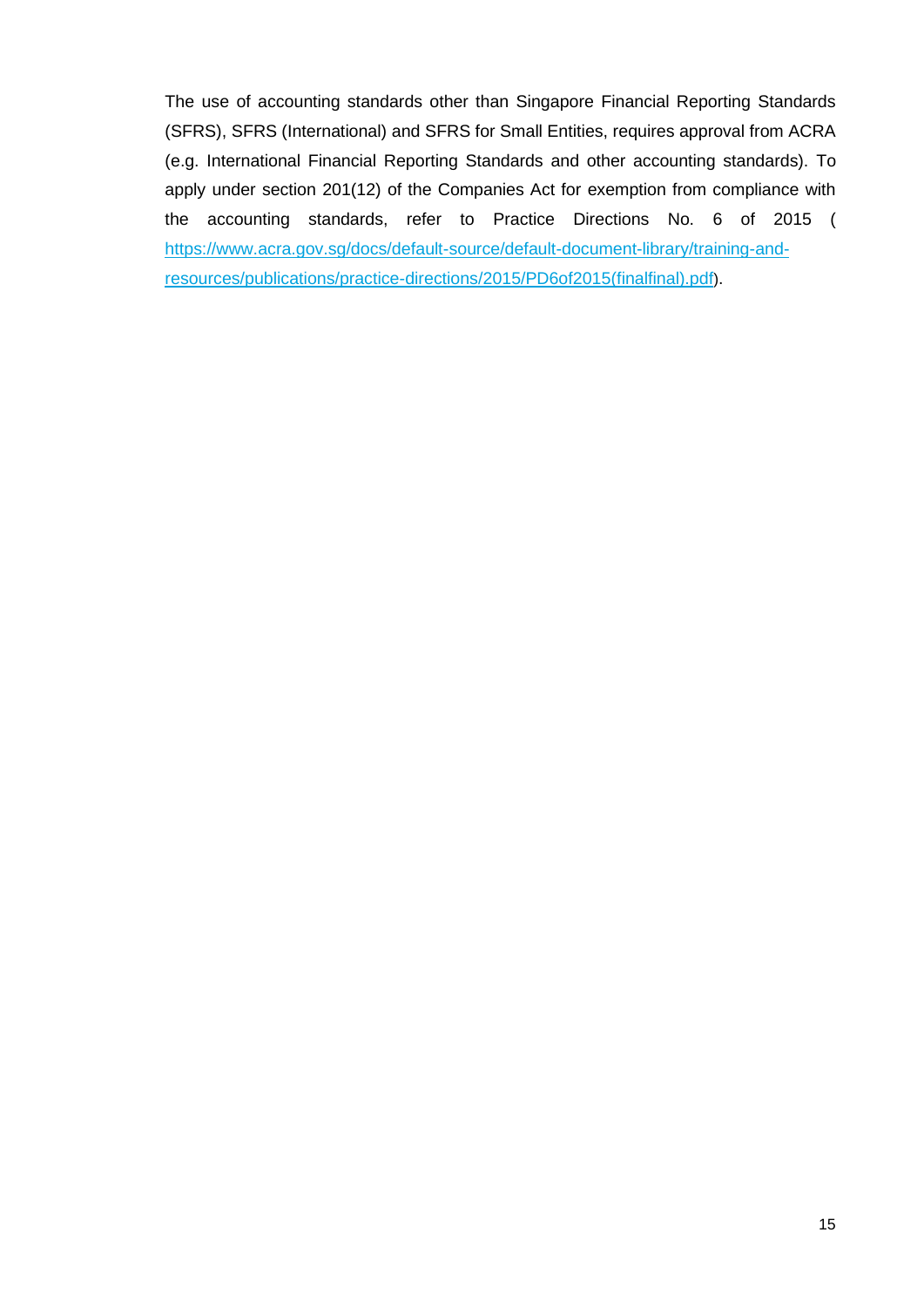The use of accounting standards other than Singapore Financial Reporting Standards (SFRS), SFRS (International) and SFRS for Small Entities, requires approval from ACRA (e.g. International Financial Reporting Standards and other accounting standards). To apply under section 201(12) of the Companies Act for exemption from compliance with the accounting standards, refer to Practice Directions No. 6 of 2015 [\(](https://www.acra.gov.sg/docs/default-source/default-document-library/training-and-resources/publications/practice-directions/2015/PD6of2015(finalfinal).pdf%20)) [https://www.acra.gov.sg/docs/default-source/default-document-library/training-and](https://www.acra.gov.sg/docs/default-source/default-document-library/training-and-resources/publications/practice-directions/2015/PD6of2015(finalfinal).pdf%20))[resources/publications/practice-directions/2015/PD6of2015\(finalfinal\).pdf](https://www.acra.gov.sg/docs/default-source/default-document-library/training-and-resources/publications/practice-directions/2015/PD6of2015(finalfinal).pdf%20))).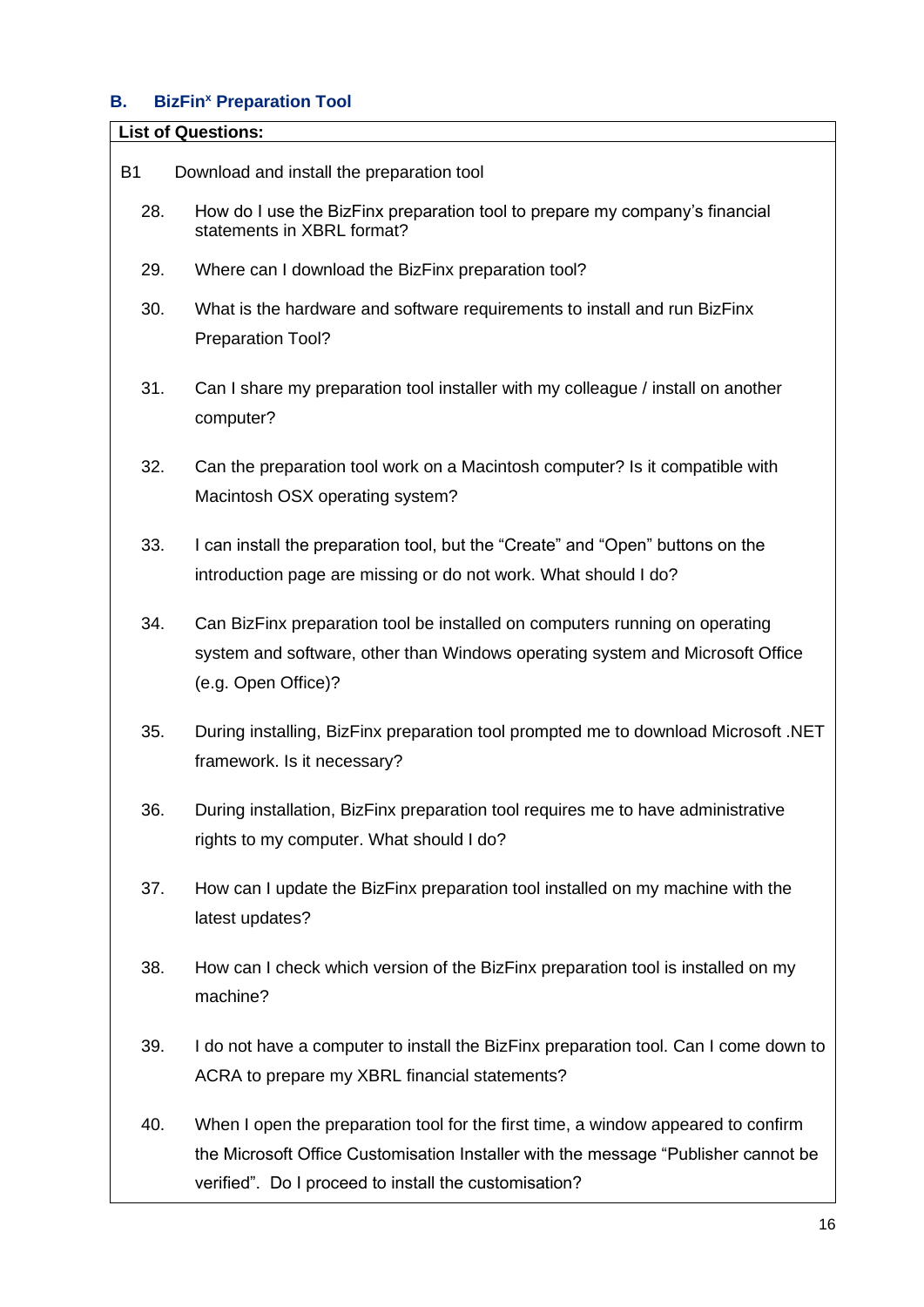## <span id="page-16-0"></span>**B. BizFin<sup>x</sup> Preparation Tool**

#### **List of Questions:**

- [B1 Download and install the preparation tool](#page-23-0)
	- 28. [How do I use the BizFinx preparation tool to prepare my company's financial](#page-23-1)  [statements in XBRL format?](#page-23-1)
	- 29. [Where can I download the BizFinx preparation tool?](#page-23-2)
	- 30. [What is the hardware and software requirements to install and run BizFinx](#page-23-3)  [Preparation Tool?](#page-23-3)
	- 31. [Can I share my preparation tool installer with my colleague / install on another](#page-25-0)  [computer?](#page-25-0)
	- 32. [Can the preparation tool work on a Macintosh computer? Is it compatible with](#page-25-1)  [Macintosh OSX operating system?](#page-25-1)
	- 33. [I can install the preparation tool, but the "Create" and "Open" buttons on the](#page-26-0)  [introduction page are missing or do not work. What should I do?](#page-26-0)
	- 34. [Can BizFinx preparation tool be installed on computers](#page-26-1) running on operating [system and software, other than Windows operating system and Microsoft Office](#page-26-1)  [\(e.g. Open Office\)?](#page-26-1)
	- 35. [During installing, BizFinx preparation tool prompted me to download Microsoft .NET](#page-27-0)  [framework. Is it necessary?](#page-27-0)
	- 36. [During installation, BizFinx preparation tool requires me to have administrative](#page-27-1)  [rights to my computer. What should I do?](#page-27-1)
	- 37. [How can I update the BizFinx preparation tool installed on my](#page-27-2) machine with the [latest updates?](#page-27-2)
	- 38. [How can I check which version of the BizFinx preparation tool is installed on my](#page-28-0)  [machine?](#page-28-0)
	- 39. [I do not have a computer to install the BizFinx preparation tool. Can I come down to](#page-28-1)  [ACRA to prepare my XBRL financial statements?](#page-28-1)
	- 40. [When I open the preparation tool for the first time, a window appeared to confirm](#page-29-1)  [the Microsoft Office Customisation Installer with the message "Publisher cannot be](#page-29-1) [verified". Do I proceed to install the customisation?](#page-29-1)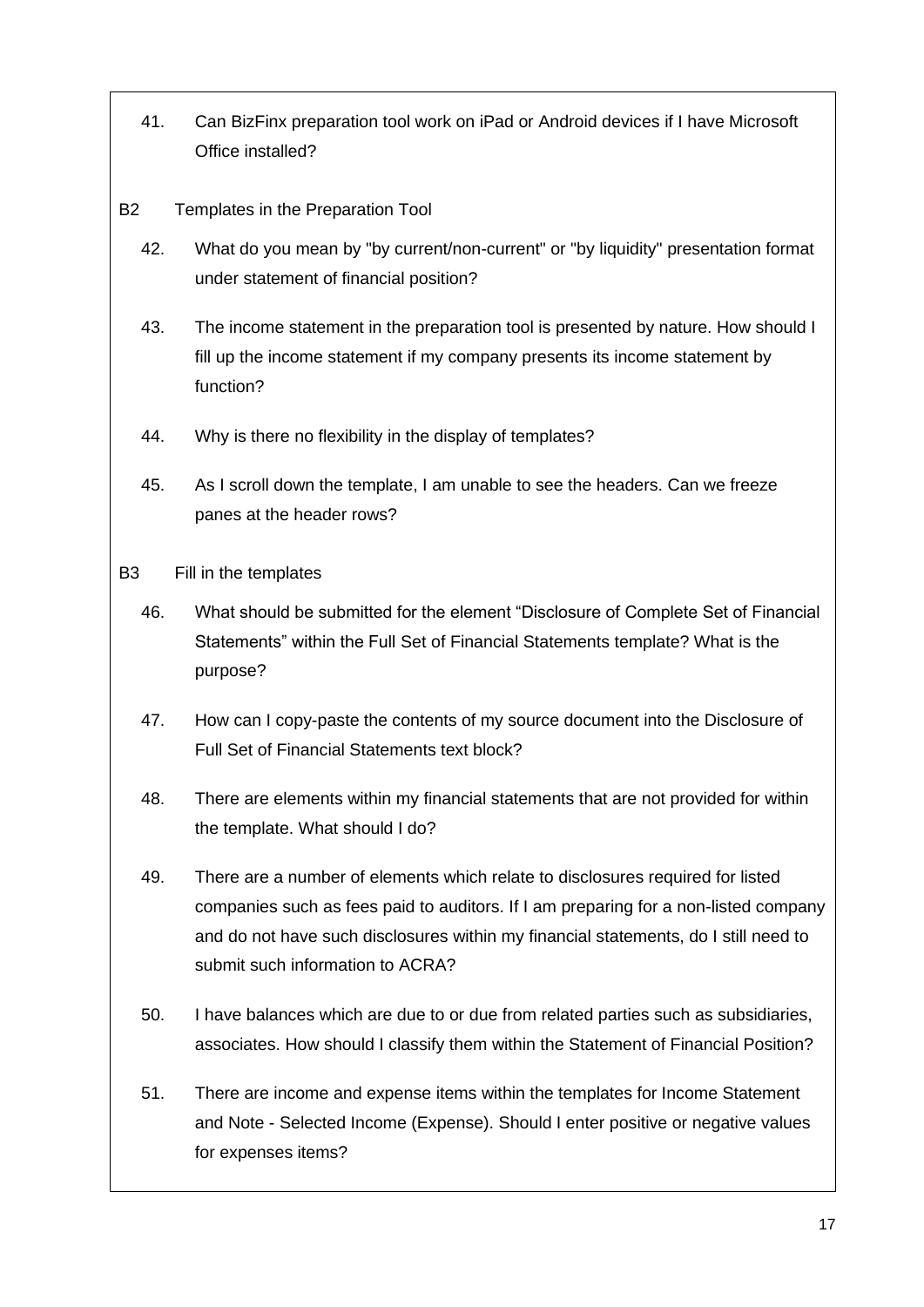- 41. [Can BizFinx preparation tool work on iPad or Android devices if I have Microsoft](#page-29-2)  [Office installed?](#page-29-2)
- B2 [Templates in the Preparation Tool](#page-29-0)
	- 42. [What do you mean by "by current/non-current" or "by liquidity" presentation format](#page-29-3)  [under statement of financial position?](#page-29-3)
	- 43. [The income statement in the preparation tool is presented by nature. How should I](#page-30-1)  [fill up the income statement if my company presents its income statement by](#page-30-1)  [function?](#page-30-1)
	- 44. [Why is there no flexibility in the display of templates?](#page-30-2)
	- 45. [As I scroll down the template, I am unable to see the headers. Can we freeze](#page-30-3)  [panes at the header rows?](#page-30-3)
- B3 [Fill in the templates](#page-30-0)
	- 46. [What should be submitted for the element "Disclosure of Complete Set of Financial](#page-30-4)  [Statements" within the Full Set of Financial Statements template? What is the](#page-30-4)  [purpose?](#page-30-4)
	- 47. [How can I copy-paste the contents of my source document into the Disclosure of](#page-31-0)  [Full Set of Financial Statements text block?](#page-31-0)
	- 48. [There are elements within my financial statements that are not provided for within](#page-31-1)  [the template. What should I do?](#page-31-1)
	- 49. There are a number of [elements which relate to disclosures required for listed](#page-31-2)  [companies such as fees paid to auditors. If I am preparing for a non-listed company](#page-31-2)  [and do not have such disclosures within my financial statements, do I still need to](#page-31-2)  [submit such information to ACRA?](#page-31-2)
	- 50. [I have balances which are due to or due from related parties such as subsidiaries,](#page-32-0)  [associates. How should I classify them within the Statement of Financial Position?](#page-32-0)
	- 51. [There are income and expense items within the templates for Income Statement](#page-32-1)  and Note - [Selected Income \(Expense\). Should I enter positive or negative values](#page-32-1)  [for expenses items?](#page-32-1)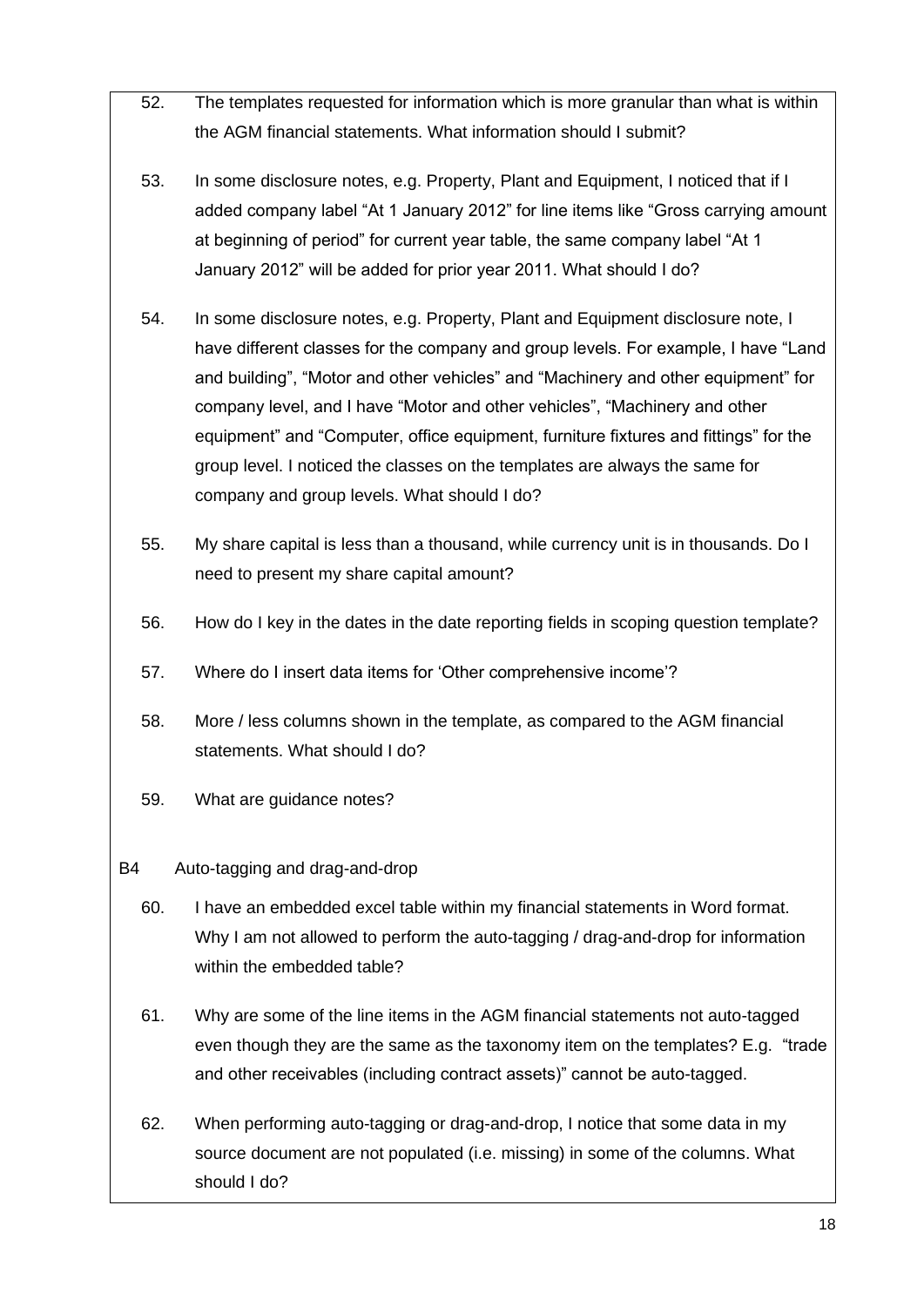- 52. [The templates requested for information which is more granular than what](#page-32-2) is within [the AGM financial statements. What information should I submit?](#page-32-2)
- 53. [In some disclosure notes, e.g. Property, Plant and Equipment, I noticed that if I](#page-33-0)  [added company label "At 1 January 2012" for line items like "Gross carrying amount](#page-33-0)  [at beginning of period" for current year table, the same company label "At 1](#page-33-0)  [January 2012" will be added for prior year 2011. What should I do?](#page-33-0)
- 54. [In some disclosure notes, e.g. Property, Plant and Equipment disclosure note, I](#page-33-1)  [have different classes for the company and group levels. For example, I have "Land](#page-33-1)  [and building", "Motor and other vehicles" and "Machinery and other equipment" for](#page-33-1)  [company level, and I have "Motor and other vehicles", "Machinery and other](#page-33-1)  [equipment" and "Computer, office equipment, furniture fixtures and fittings" for the](#page-33-1)  [group level. I noticed the classes on the templates are always the same for](#page-33-1)  [company and group levels. What should I do?](#page-33-1)
- 55. [My share capital is less than a thousand, while currency unit is in thousands. Do I](#page-33-2)  [need to present my share capital amount?](#page-33-2)
- 56. [How do I key in the dates in the date reporting fields in scoping question template?](#page-34-1)
- 57. [Where do I insert data items for 'Other comprehensive income'?](#page-34-2)
- 58. [More / less columns shown in the template, as compared to the AGM financial](#page-34-3)  [statements. What should I do?](#page-34-3)
- 59. [What are guidance notes?](#page-34-4)
- B4 [Auto-tagging and drag-and-drop](#page-34-0)
	- 60. [I have an embedded excel table within my financial statements in Word format.](#page-34-5)  Why I am not allowed to perform the auto-tagging / drag-and-drop for information [within the embedded table?](#page-34-5)
	- 61. [Why are some of the line items in the AGM financial statements not auto-tagged](#page-35-0)  [even though they are the same as the taxonomy item on the templates? E.g. "trade](#page-35-0)  [and other receivables \(including contract assets\)" cannot be auto-tagged.](#page-35-0)
	- 62. [When performing auto-tagging or drag-and-drop, I notice that some data in my](#page-35-1)  [source document are not populated \(i.e. missing\) in some of the columns. What](#page-35-1)  [should I do?](#page-35-1)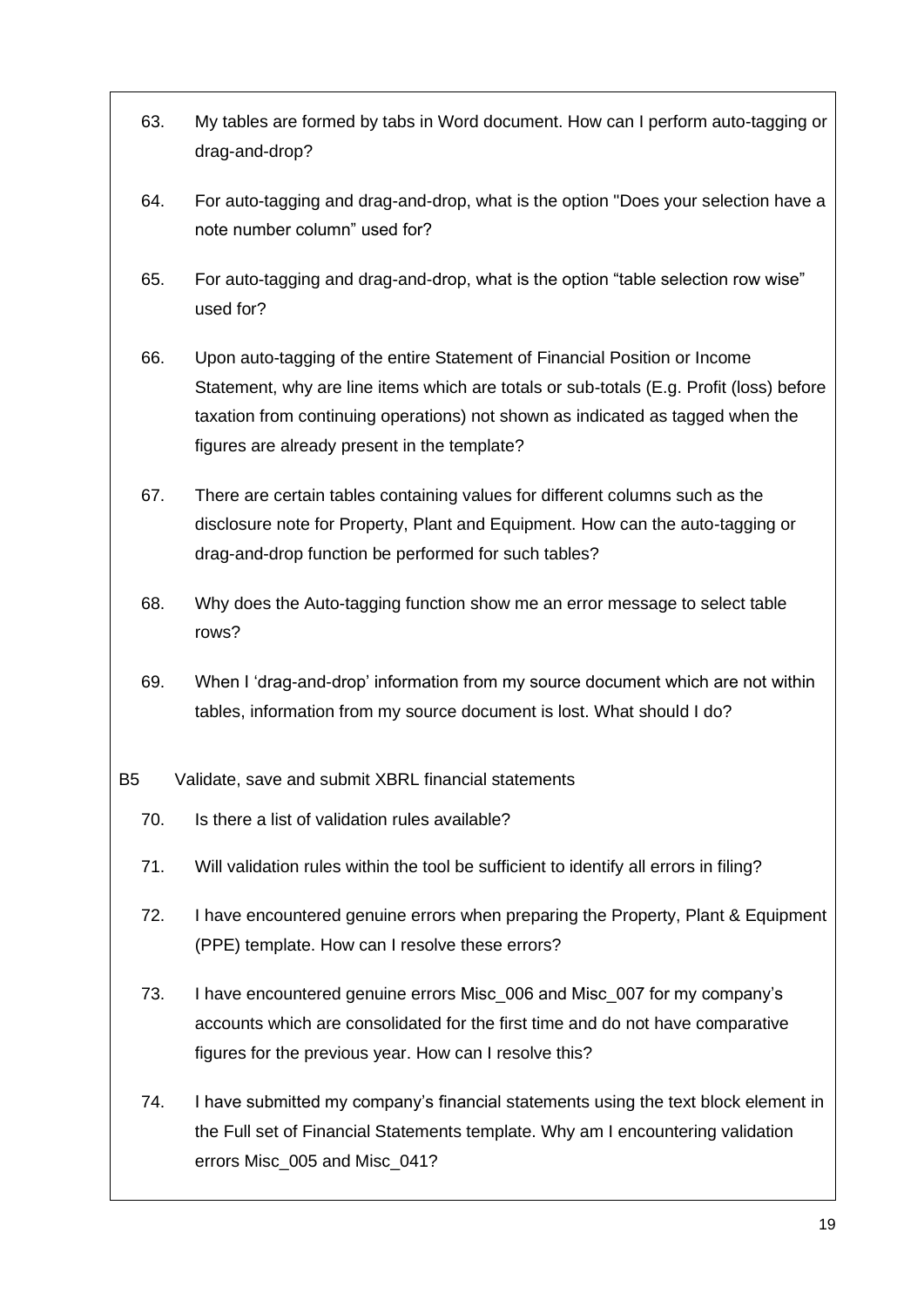- 63. [My tables are formed by tabs in Word document. How can I perform auto-tagging or](#page-36-0)  [drag-and-drop?](#page-36-0)
- 64. [For auto-tagging and drag-and-drop, what is the option "Does your selection have a](#page-36-1)  [note number column" used for?](#page-36-1)
- 65. [For auto-tagging and drag-and-drop, what is the option "table selection row wise"](#page-36-2)  [used for?](#page-36-2)
- 66. [Upon auto-tagging of the entire Statement of Financial Position or Income](#page-36-3)  [Statement, why are line items which are totals or sub-totals \(E.g. Profit \(loss\) before](#page-36-3)  [taxation from continuing operations\) not shown as indicated as tagged when the](#page-36-3)  [figures are already present in the template?](#page-36-3)
- 67. [There are certain tables containing values for different columns such as the](#page-36-4)  [disclosure note for Property, Plant and Equipment. How can the auto-tagging or](#page-36-4)  [drag-and-drop function be performed for such tables?](#page-36-4)
- 68. [Why does the Auto-tagging function show me an error message to select table](#page-37-1)  [rows?](#page-37-1)
- 69. [When I 'drag-and-drop' information from my source document which are not within](#page-37-2)  [tables, information from my source document is lost. What should I do?](#page-37-2)
- B5 [Validate, save and submit XBRL financial statements](#page-37-0)
	- 70. [Is there a list of validation rules available?](#page-37-3)
	- 71. [Will validation rules within the tool be sufficient to identify all errors in filing?](#page-37-4)
	- 72. [I have encountered genuine errors when preparing the Property, Plant & Equipment](#page-38-0)  [\(PPE\) template. How can I resolve these errors?](#page-38-0)
	- 73. [I have encountered genuine errors Misc\\_006 and Misc\\_007 for my company's](#page-41-0)  [accounts which are consolidated for the first time and do not have comparative](#page-41-0)  [figures for the previous year. How can I resolve this?](#page-41-0)
	- 74. [I have submitted my company's financial statements using the text block element in](#page-41-1)  [the Full set of Financial Statements template. Why am I encountering validation](#page-41-1)  [errors Misc\\_005 and Misc\\_041?](#page-41-1)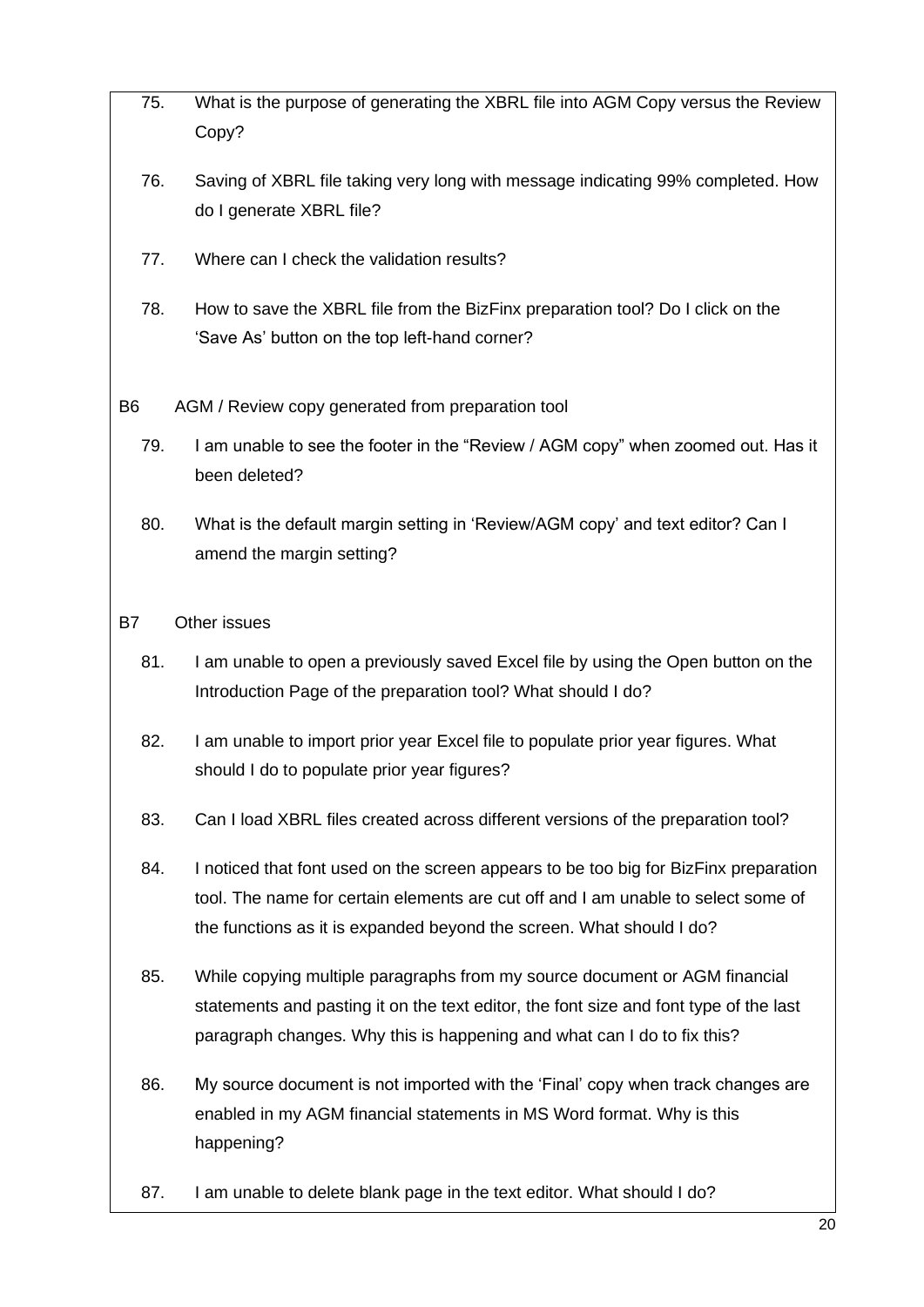- 75. [What is the purpose of generating the XBRL file into AGM Copy versus the](#page-42-0) Review [Copy?](#page-42-0)
- 76. [Saving of XBRL file taking very long with message indicating 99% completed. How](#page-42-1)  [do I generate XBRL file?](#page-42-1)
- 77. [Where can I check the validation results?](#page-42-2)
- 78. [How to save the XBRL file from the BizFinx preparation tool? Do I click on the](#page-43-2)  ['Save As' button on the top left-hand corner?](#page-43-2)
- B6 [AGM / Review copy generated from preparation tool](#page-43-0)
	- 79. [I am unable to see the footer in the "Review / AGM copy" when zoomed out. Has it](#page-43-3)  [been deleted?](#page-43-3)
	- 80. [What is the default margin setting in 'Review/AGM copy' and text editor? Can I](#page-43-4)  [amend the margin setting?](#page-43-4)
- B7 [Other issues](#page-43-1)
	- 81. [I am unable to open a previously saved Excel file by using the Open button on the](#page-43-5)  [Introduction Page of the preparation tool? What should I do?](#page-43-5)
	- 82. I am unable to import prior year Excel file to populate prior year figures. What [should I do to populate prior year figures?](#page-44-0)
	- 83. [Can I load XBRL files created across different versions of the preparation tool?](#page-44-1)
	- 84. I noticed that font used on the screen appears to be too big for BizFinx preparation [tool. The name for certain elements are cut off and I am unable to select some of](#page-45-0)  [the functions as it is expanded beyond the screen. What should I do?](#page-45-0)
	- 85. [While copying multiple paragraphs from my source document or AGM financial](#page-45-1)  [statements and pasting it on the text editor, the font size and font type of the last](#page-45-1)  [paragraph changes. Why this is happening and](#page-45-1) what can I do to fix this?
	- 86. [My source document is not imported with the 'Final' copy when track changes are](#page-45-2)  [enabled in my AGM financial statements in MS Word format. Why is this](#page-45-2)  [happening?](#page-45-2)
	- 87. [I am unable to delete blank page in the text editor. What should I do?](#page-45-3)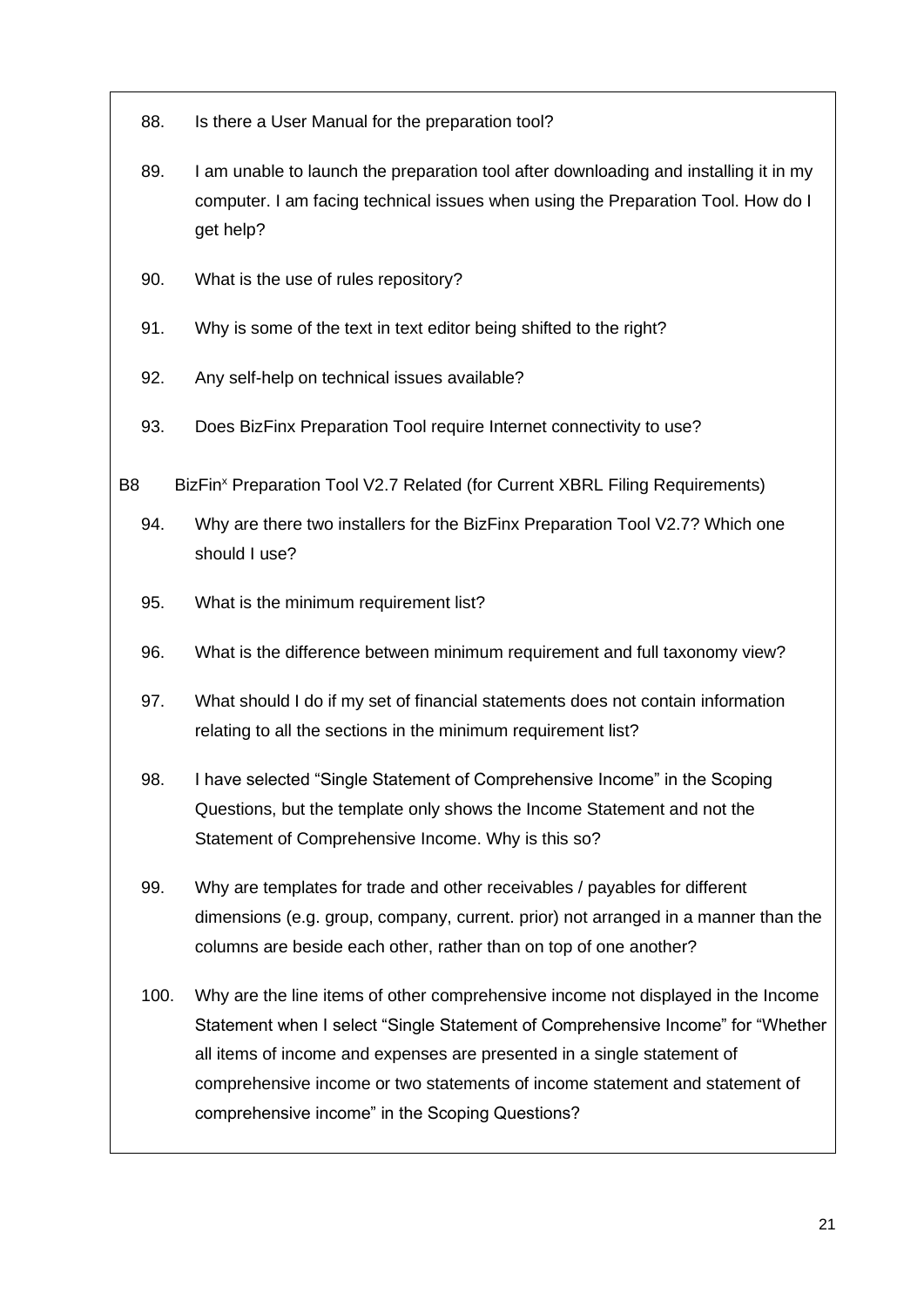- 88. [Is there a User Manual for the preparation tool?](#page-46-0)
- 89. I am unable to launch the preparation tool after downloading and installing it in my [computer. I am facing technical issues when using the Preparation Tool. How do I](#page-46-1)  [get help?](#page-46-1)
- 90. [What is the use of rules repository?](#page-47-1)
- 91. [Why is some of the text in text editor being shifted to the right?](#page-47-2)
- 92. [Any self-help on technical issues available?](#page-47-3)
- 93. [Does BizFinx Preparation Tool require Internet connectivity to use?](#page-47-4)
- B8 BizFin<sup>x</sup> [Preparation Tool V2.7 Related \(for Current XBRL Filing Requirements\)](#page-47-0)
	- 94. [Why are there two installers for the BizFinx Preparation Tool V2.7? Which one](#page-47-5)  [should I use?](#page-47-5)
	- 95. [What is the minimum requirement list?](#page-48-0)
	- 96. [What is the difference between minimum requirement and full taxonomy view?](#page-48-1)
	- 97. [What should I do if my set of financial statements does not contain information](#page-48-2)  [relating to all the sections in the minimum requirement list?](#page-48-2)
	- 98. [I have selected "Single Statement of Comprehensive Income" in the Scoping](#page-49-0)  [Questions, but the template only shows the Income Statement and not the](#page-49-0)  [Statement of Comprehensive Income. Why is this so?](#page-49-0)
	- 99. [Why are templates for trade and other receivables / payables for different](#page-49-1)  [dimensions \(e.g. group, company, current. prior\) not arranged in a manner than the](#page-49-1)  [columns are beside each other, rather than on top of one another?](#page-49-1)
	- 100. [Why are the line items of other comprehensive income not displayed in the Income](#page-49-2)  [Statement when I select "Single Statement of Comprehensive Income" for "Whether](#page-49-2)  all [items of income and expenses are presented in a single statement of](#page-49-2)  [comprehensive income or two statements of income statement and statement of](#page-49-2)  [comprehensive income" in the Scoping Questions?](#page-49-2)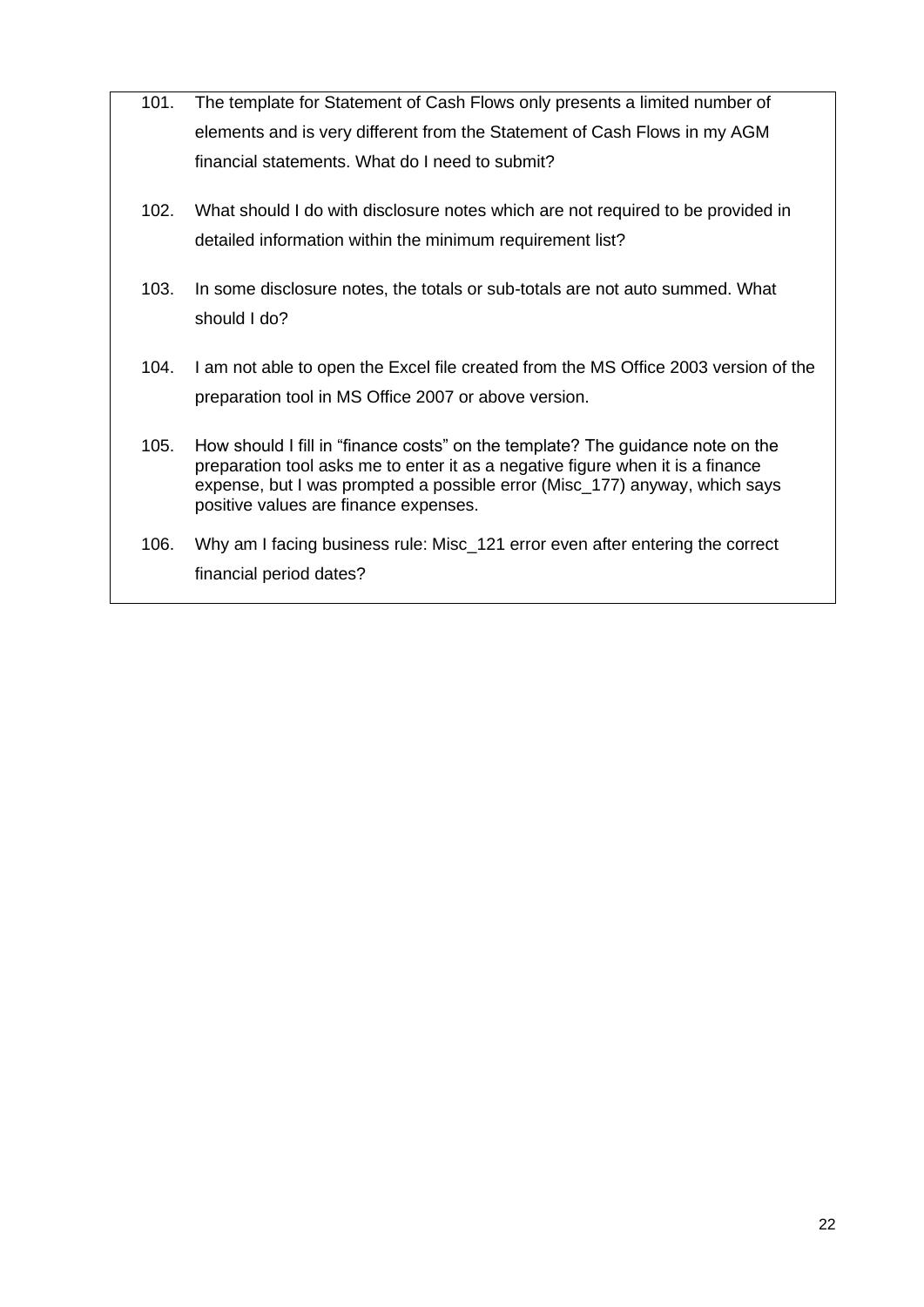- 101. [The template for Statement of Cash Flows only presents a limited number of](#page-49-3)  [elements and is very different from the Statement of Cash Flows in my AGM](#page-49-3)  [financial statements. What do I need to submit?](#page-49-3)
- 102. [What should I do with disclosure notes which are not required to be provided in](#page-50-0)  [detailed information within the minimum requirement list?](#page-50-0)
- 103. [In some disclosure notes, the totals or sub-totals are not auto summed. What](#page-50-1)  [should I do?](#page-50-1)
- 104. [I am not able to open the Excel file created from the MS Office 2003 version of the](#page-50-2)  [preparation tool in MS Office 2007 or above version.](#page-50-2)
- 105. [How should I fill in "finance costs" on the template? The guidance note on the](#page-50-3)  preparation [tool asks me to enter it as a negative figure when it is a finance](#page-50-3)  [expense, but I was prompted a possible error \(Misc\\_177\) anyway, which says](#page-50-3)  [positive values are finance expenses.](#page-50-3)
- 106. [Why am I facing business rule: Misc\\_121 error even after entering the correct](#page-51-0)  [financial period dates?](#page-51-0)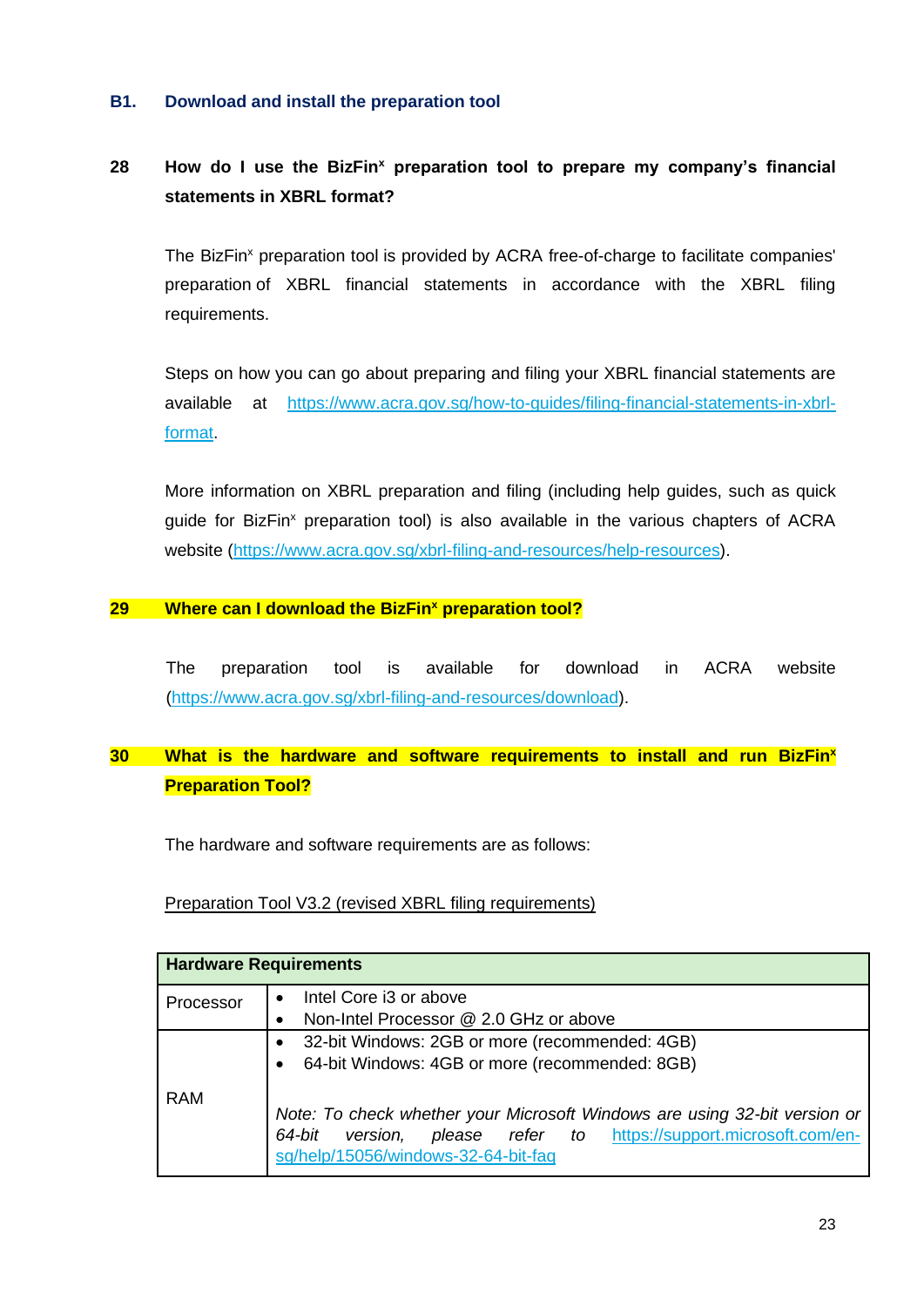#### <span id="page-23-0"></span>**B1. Download and install the preparation tool**

## <span id="page-23-1"></span>**28 How do I use the BizFin<sup>x</sup> preparation tool to prepare my company's financial statements in XBRL format?**

The BizFin<sup>x</sup> preparation tool is provided by ACRA free-of-charge to facilitate companies' preparation of XBRL financial statements in accordance with the XBRL filing requirements.

Steps on how you can go about preparing and filing your XBRL financial statements are available at https://www.acra.gov.sg/how-to-guides/filing-financial-statements-in-xbrlformat.

More information on XBRL preparation and filing (including help guides, such as quick guide for BizFin<sup>x</sup> preparation tool) is also available in the various chapters of ACRA website (https://www.acra.gov.sg/xbrl-filing-and-resources/help-resources).

#### <span id="page-23-2"></span>**29 Where can I download the BizFin<sup>x</sup> preparation tool?**

The preparation tool is available for download in ACRA website [\(https://www.acra.gov.sg/xbrl-filing-and-resources/download\)](https://www.acra.gov.sg/xbrl-filing-and-resources/download).

## <span id="page-23-3"></span>**30 What is the hardware and software requirements to install and run BizFin<sup>x</sup> Preparation Tool?**

The hardware and software requirements are as follows:

## Preparation Tool V3.2 (revised XBRL filing requirements)

| <b>Hardware Requirements</b> |                                                                                                                                                                                                                                                          |  |  |
|------------------------------|----------------------------------------------------------------------------------------------------------------------------------------------------------------------------------------------------------------------------------------------------------|--|--|
| Processor                    | Intel Core i3 or above<br>Non-Intel Processor @ 2.0 GHz or above                                                                                                                                                                                         |  |  |
| <b>RAM</b>                   | 32-bit Windows: 2GB or more (recommended: 4GB)<br>64-bit Windows: 4GB or more (recommended: 8GB)<br>Note: To check whether your Microsoft Windows are using 32-bit version or<br>please refer to https://support.microsoft.com/en-<br>version,<br>64-bit |  |  |
|                              | sg/help/15056/windows-32-64-bit-faq                                                                                                                                                                                                                      |  |  |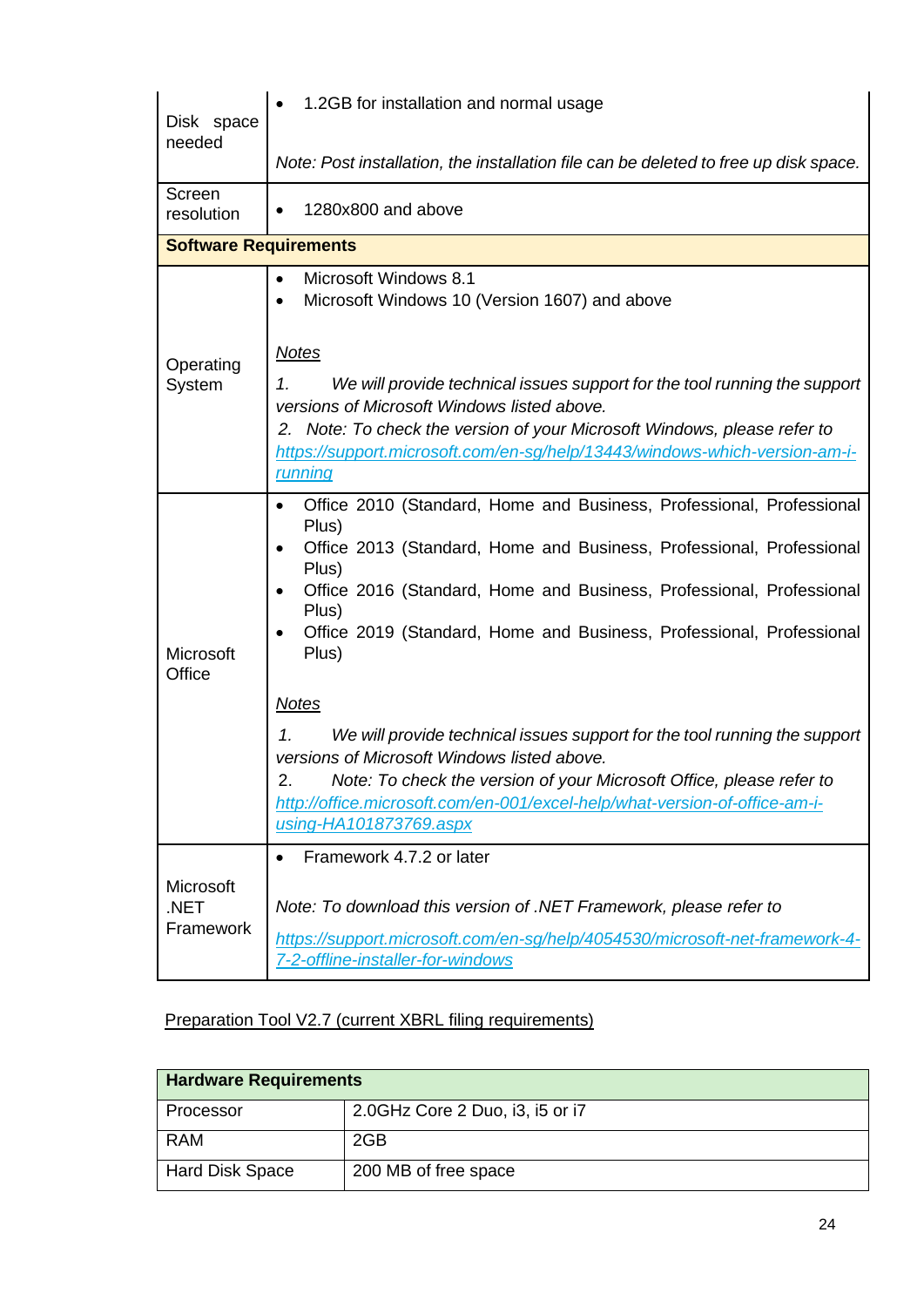| Disk space                     | 1.2GB for installation and normal usage                                                                                                                                                                                                                                                                                                                                                                                                                                                                                                                                                                                                                                  |
|--------------------------------|--------------------------------------------------------------------------------------------------------------------------------------------------------------------------------------------------------------------------------------------------------------------------------------------------------------------------------------------------------------------------------------------------------------------------------------------------------------------------------------------------------------------------------------------------------------------------------------------------------------------------------------------------------------------------|
| needed                         | Note: Post installation, the installation file can be deleted to free up disk space.                                                                                                                                                                                                                                                                                                                                                                                                                                                                                                                                                                                     |
| Screen<br>resolution           | 1280x800 and above                                                                                                                                                                                                                                                                                                                                                                                                                                                                                                                                                                                                                                                       |
| <b>Software Requirements</b>   |                                                                                                                                                                                                                                                                                                                                                                                                                                                                                                                                                                                                                                                                          |
|                                | Microsoft Windows 8.1<br>Microsoft Windows 10 (Version 1607) and above                                                                                                                                                                                                                                                                                                                                                                                                                                                                                                                                                                                                   |
| Operating<br>System            | <b>Notes</b><br>We will provide technical issues support for the tool running the support<br>1.<br>versions of Microsoft Windows listed above.                                                                                                                                                                                                                                                                                                                                                                                                                                                                                                                           |
|                                | 2. Note: To check the version of your Microsoft Windows, please refer to<br>https://support.microsoft.com/en-sg/help/13443/windows-which-version-am-i-<br><u>running</u>                                                                                                                                                                                                                                                                                                                                                                                                                                                                                                 |
| Microsoft<br>Office            | Office 2010 (Standard, Home and Business, Professional, Professional<br>Plus)<br>Office 2013 (Standard, Home and Business, Professional, Professional<br>Plus)<br>Office 2016 (Standard, Home and Business, Professional, Professional<br>Plus)<br>Office 2019 (Standard, Home and Business, Professional, Professional<br>Plus)<br><b>Notes</b><br>We will provide technical issues support for the tool running the support<br>1.<br>versions of Microsoft Windows listed above.<br>Note: To check the version of your Microsoft Office, please refer to<br>2.<br>http://office.microsoft.com/en-001/excel-help/what-version-of-office-am-i-<br>using-HA101873769.aspx |
| Microsoft<br>.NET<br>Framework | Framework 4.7.2 or later<br>Note: To download this version of .NET Framework, please refer to<br>https://support.microsoft.com/en-sg/help/4054530/microsoft-net-framework-4-<br>7-2-offline-installer-for-windows                                                                                                                                                                                                                                                                                                                                                                                                                                                        |

## Preparation Tool V2.7 (current XBRL filing requirements)

| <b>Hardware Requirements</b> |                                 |  |
|------------------------------|---------------------------------|--|
| Processor                    | 2.0GHz Core 2 Duo, i3, i5 or i7 |  |
| <b>RAM</b>                   | 2GB                             |  |
| <b>Hard Disk Space</b>       | 200 MB of free space            |  |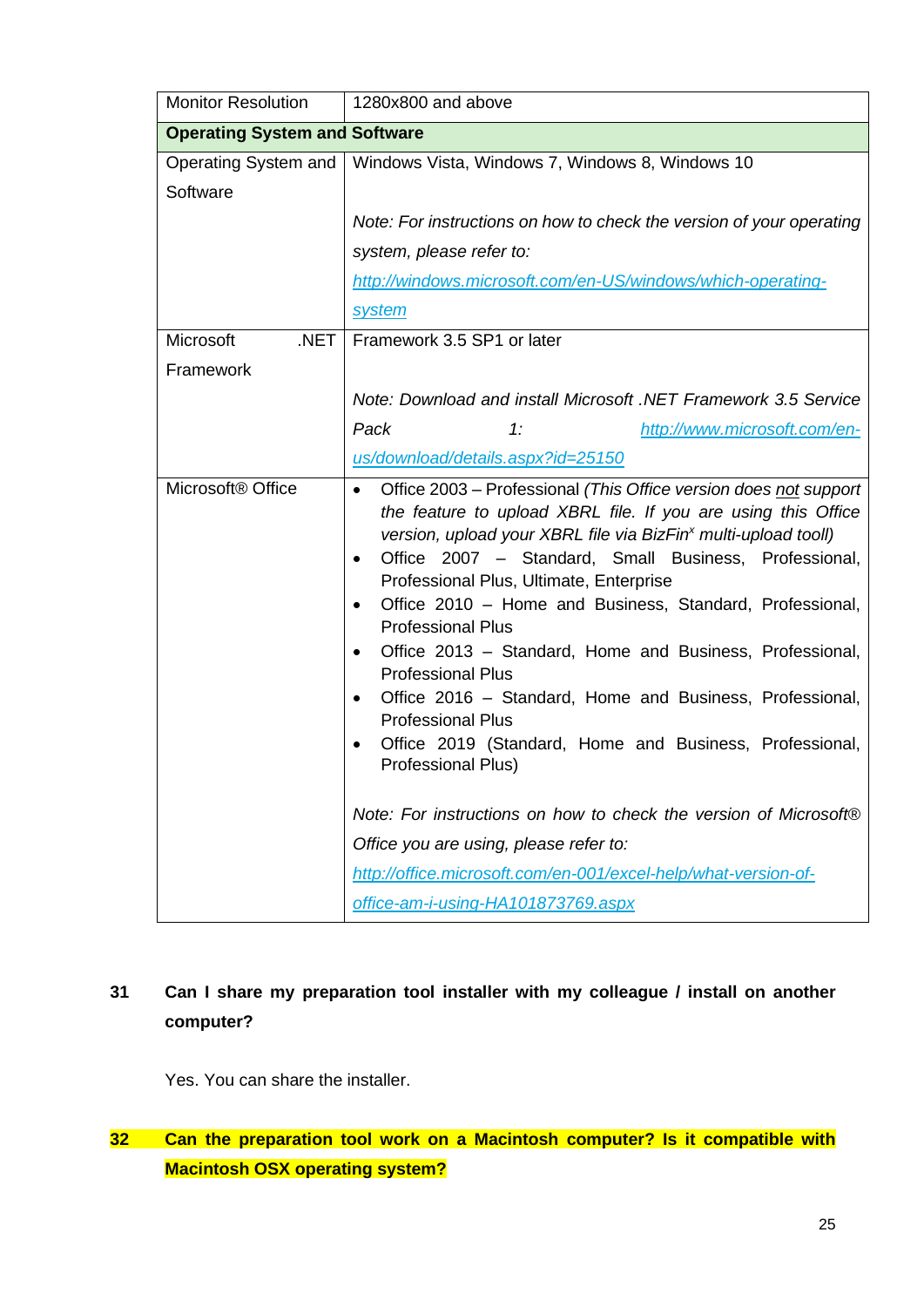| <b>Monitor Resolution</b>            | 1280x800 and above                                                                                                                                                                                                                                                                                                                                                                                                                                                                                                                                                                                                                                                                                                                                                                                                                                                                                                                                          |
|--------------------------------------|-------------------------------------------------------------------------------------------------------------------------------------------------------------------------------------------------------------------------------------------------------------------------------------------------------------------------------------------------------------------------------------------------------------------------------------------------------------------------------------------------------------------------------------------------------------------------------------------------------------------------------------------------------------------------------------------------------------------------------------------------------------------------------------------------------------------------------------------------------------------------------------------------------------------------------------------------------------|
| <b>Operating System and Software</b> |                                                                                                                                                                                                                                                                                                                                                                                                                                                                                                                                                                                                                                                                                                                                                                                                                                                                                                                                                             |
| Software                             | Operating System and   Windows Vista, Windows 7, Windows 8, Windows 10                                                                                                                                                                                                                                                                                                                                                                                                                                                                                                                                                                                                                                                                                                                                                                                                                                                                                      |
|                                      | Note: For instructions on how to check the version of your operating                                                                                                                                                                                                                                                                                                                                                                                                                                                                                                                                                                                                                                                                                                                                                                                                                                                                                        |
|                                      | system, please refer to:                                                                                                                                                                                                                                                                                                                                                                                                                                                                                                                                                                                                                                                                                                                                                                                                                                                                                                                                    |
|                                      | http://windows.microsoft.com/en-US/windows/which-operating-                                                                                                                                                                                                                                                                                                                                                                                                                                                                                                                                                                                                                                                                                                                                                                                                                                                                                                 |
|                                      | <b>system</b>                                                                                                                                                                                                                                                                                                                                                                                                                                                                                                                                                                                                                                                                                                                                                                                                                                                                                                                                               |
| Microsoft<br>.NET                    | Framework 3.5 SP1 or later                                                                                                                                                                                                                                                                                                                                                                                                                                                                                                                                                                                                                                                                                                                                                                                                                                                                                                                                  |
| Framework                            |                                                                                                                                                                                                                                                                                                                                                                                                                                                                                                                                                                                                                                                                                                                                                                                                                                                                                                                                                             |
|                                      | Note: Download and install Microsoft .NET Framework 3.5 Service                                                                                                                                                                                                                                                                                                                                                                                                                                                                                                                                                                                                                                                                                                                                                                                                                                                                                             |
|                                      | Pack<br>1:<br>http://www.microsoft.com/en-                                                                                                                                                                                                                                                                                                                                                                                                                                                                                                                                                                                                                                                                                                                                                                                                                                                                                                                  |
|                                      | us/download/details.aspx?id=25150                                                                                                                                                                                                                                                                                                                                                                                                                                                                                                                                                                                                                                                                                                                                                                                                                                                                                                                           |
| Microsoft <sup>®</sup> Office        | Office 2003 – Professional (This Office version does not support<br>$\bullet$<br>the feature to upload XBRL file. If you are using this Office<br>version, upload your XBRL file via BizFin <sup>x</sup> multi-upload tooll)<br>Office 2007 - Standard, Small Business, Professional,<br>٠<br>Professional Plus, Ultimate, Enterprise<br>Office 2010 - Home and Business, Standard, Professional,<br>$\bullet$<br><b>Professional Plus</b><br>Office 2013 - Standard, Home and Business, Professional,<br>$\bullet$<br><b>Professional Plus</b><br>Office 2016 – Standard, Home and Business, Professional,<br>$\bullet$<br><b>Professional Plus</b><br>Office 2019 (Standard, Home and Business, Professional,<br>Professional Plus)<br>Note: For instructions on how to check the version of Microsoft®<br>Office you are using, please refer to:<br>http://office.microsoft.com/en-001/excel-help/what-version-of-<br>office-am-i-using-HA101873769.aspx |

# <span id="page-25-0"></span>**31 Can I share my preparation tool installer with my colleague / install on another computer?**

Yes. You can share the installer.

<span id="page-25-1"></span>**32 Can the preparation tool work on a Macintosh computer? Is it compatible with Macintosh OSX operating system?**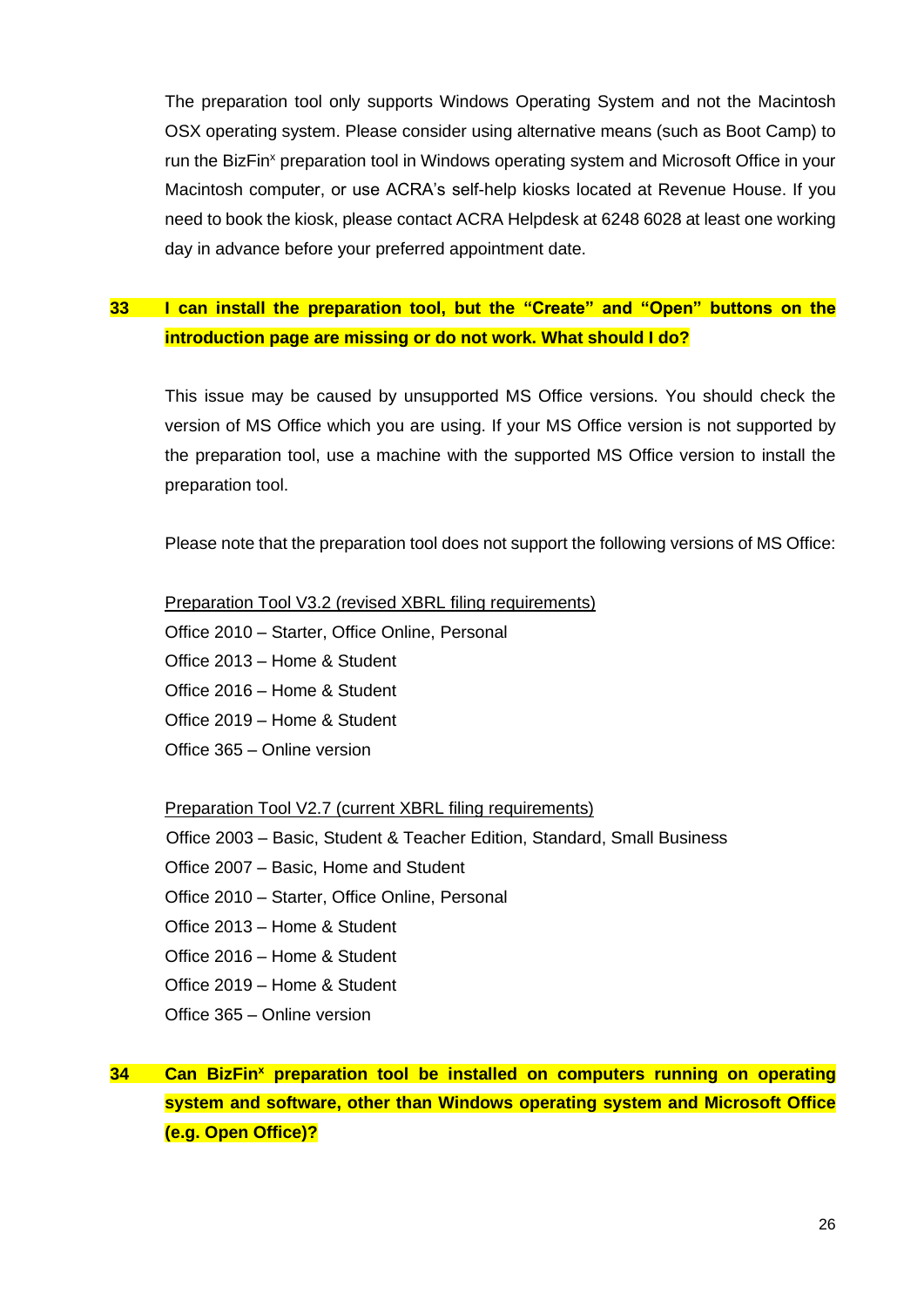The preparation tool only supports Windows Operating System and not the Macintosh OSX operating system. Please consider using alternative means (such as Boot Camp) to run the BizFin<sup>x</sup> preparation tool in Windows operating system and Microsoft Office in your Macintosh computer, or use ACRA's self-help kiosks located at Revenue House. If you need to book the kiosk, please contact ACRA Helpdesk at 6248 6028 at least one working day in advance before your preferred appointment date.

## <span id="page-26-0"></span>**33 I can install the preparation tool, but the "Create" and "Open" buttons on the introduction page are missing or do not work. What should I do?**

This issue may be caused by unsupported MS Office versions. You should check the version of MS Office which you are using. If your MS Office version is not supported by the preparation tool, use a machine with the supported MS Office version to install the preparation tool.

Please note that the preparation tool does not support the following versions of MS Office:

Preparation Tool V3.2 (revised XBRL filing requirements) Office 2010 – Starter, Office Online, Personal Office 2013 – Home & Student Office 2016 – Home & Student Office 2019 – Home & Student Office 365 – Online version

Preparation Tool V2.7 (current XBRL filing requirements)

Office 2003 – Basic, Student & Teacher Edition, Standard, Small Business Office 2007 – Basic, Home and Student Office 2010 – Starter, Office Online, Personal Office 2013 – Home & Student Office 2016 – Home & Student Office 2019 – Home & Student Office 365 – Online version

<span id="page-26-1"></span>**34 Can BizFin<sup>x</sup> preparation tool be installed on computers running on operating system and software, other than Windows operating system and Microsoft Office (e.g. Open Office)?**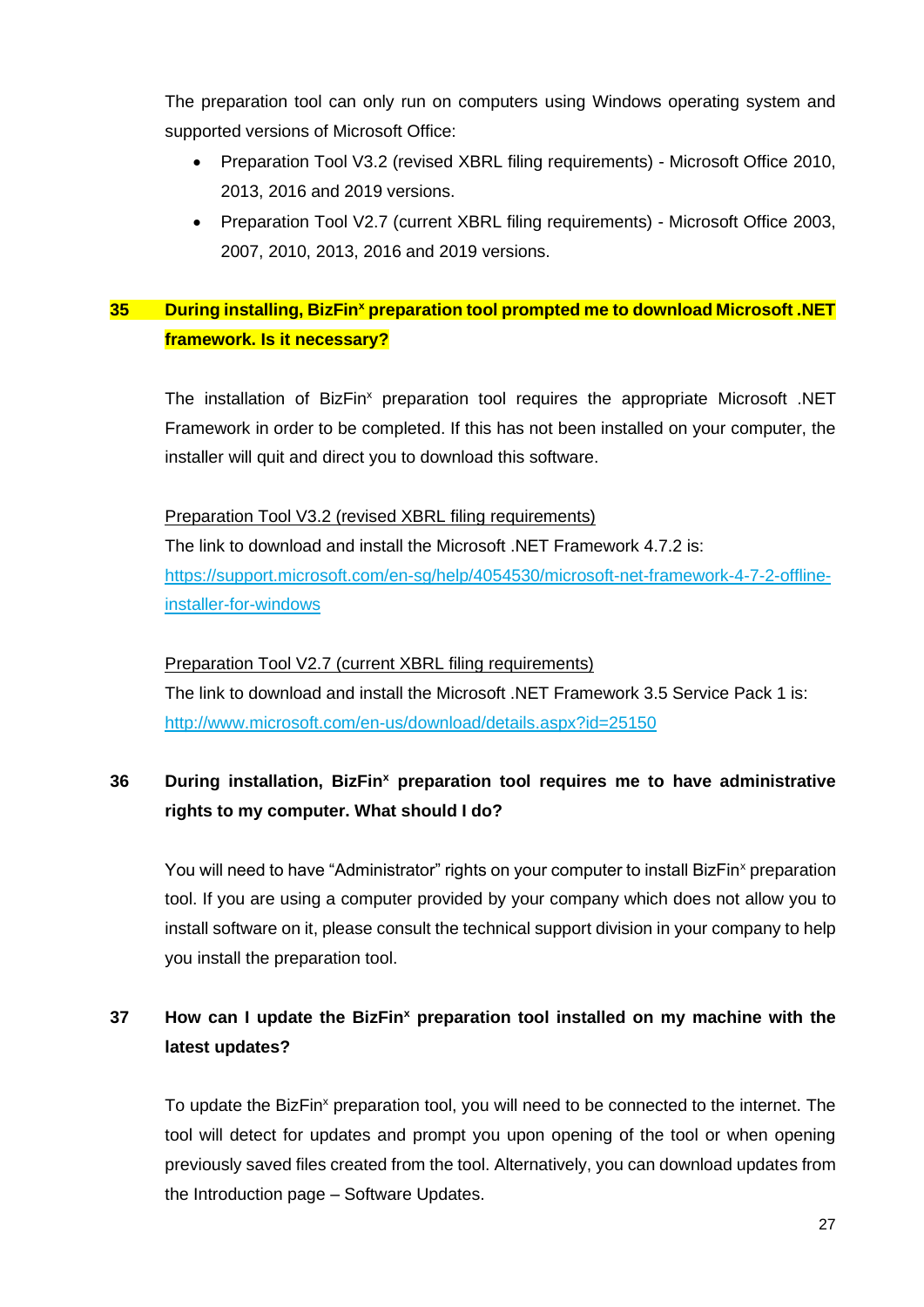The preparation tool can only run on computers using Windows operating system and supported versions of Microsoft Office:

- Preparation Tool V3.2 (revised XBRL filing requirements) Microsoft Office 2010, 2013, 2016 and 2019 versions.
- Preparation Tool V2.7 (current XBRL filing requirements) Microsoft Office 2003, 2007, 2010, 2013, 2016 and 2019 versions.

## <span id="page-27-0"></span>**35 During installing, BizFin<sup>x</sup> preparation tool prompted me to download Microsoft .NET framework. Is it necessary?**

The installation of BizFin<sup>x</sup> preparation tool requires the appropriate Microsoft .NET Framework in order to be completed. If this has not been installed on your computer, the installer will quit and direct you to download this software.

Preparation Tool V3.2 (revised XBRL filing requirements) The link to download and install the Microsoft .NET Framework 4.7.2 is: [https://support.microsoft.com/en-sg/help/4054530/microsoft-net-framework-4-7-2-offline](https://support.microsoft.com/en-sg/help/4054530/microsoft-net-framework-4-7-2-offline-installer-for-windows)[installer-for-windows](https://support.microsoft.com/en-sg/help/4054530/microsoft-net-framework-4-7-2-offline-installer-for-windows)

Preparation Tool V2.7 (current XBRL filing requirements) The link to download and install the Microsoft .NET Framework 3.5 Service Pack 1 is: <http://www.microsoft.com/en-us/download/details.aspx?id=25150>

## <span id="page-27-1"></span>**36 During installation, BizFin<sup>x</sup> preparation tool requires me to have administrative rights to my computer. What should I do?**

You will need to have "Administrator" rights on your computer to install BizFin<sup>x</sup> preparation tool. If you are using a computer provided by your company which does not allow you to install software on it, please consult the technical support division in your company to help you install the preparation tool.

## <span id="page-27-2"></span>**37 How can I update the BizFin<sup>x</sup> preparation tool installed on my machine with the latest updates?**

To update the BizFin<sup>x</sup> preparation tool, you will need to be connected to the internet. The tool will detect for updates and prompt you upon opening of the tool or when opening previously saved files created from the tool. Alternatively, you can download updates from the Introduction page – Software Updates.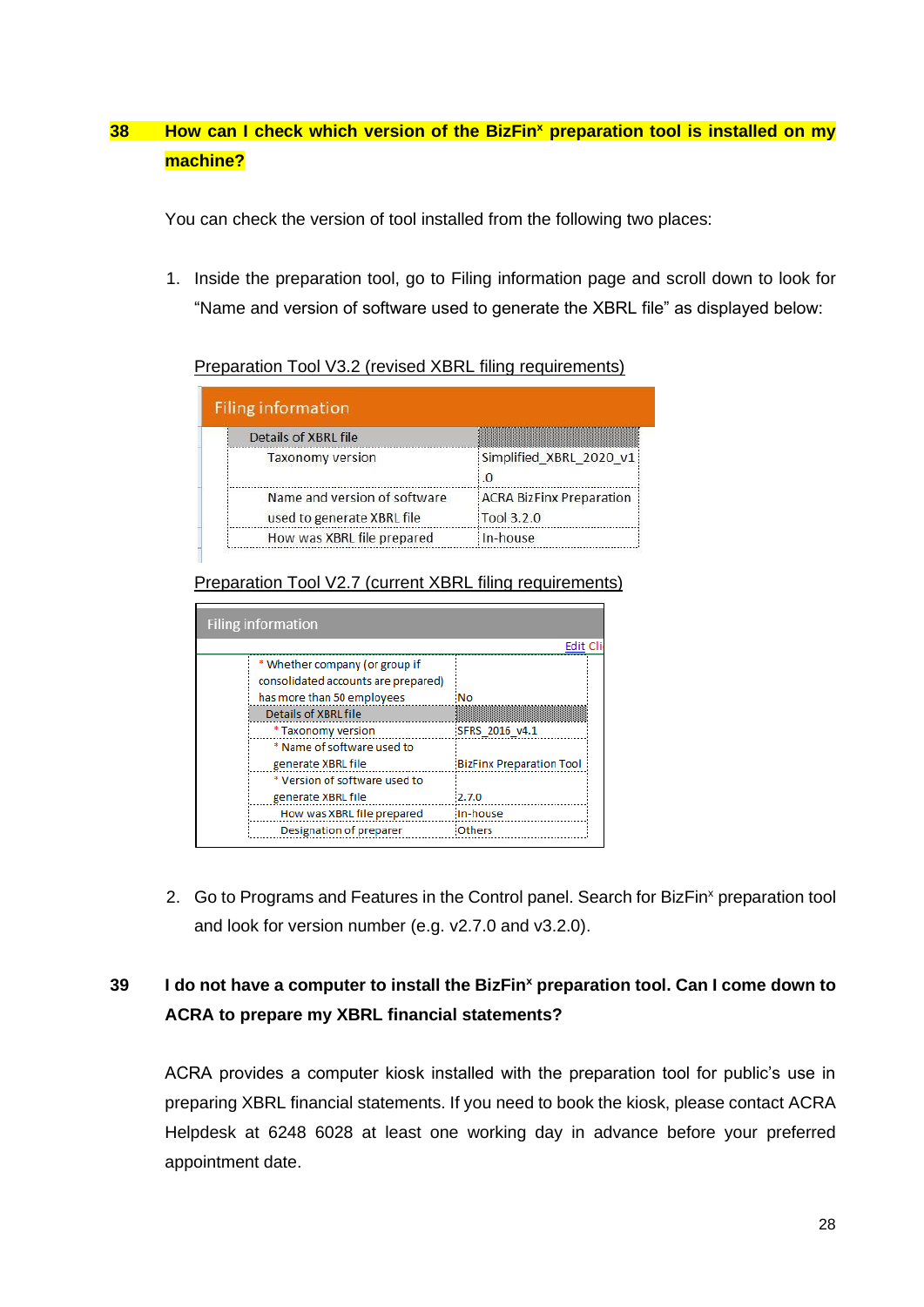## <span id="page-28-0"></span>**38 How can I check which version of the BizFin<sup>x</sup> preparation tool is installed on my machine?**

You can check the version of tool installed from the following two places:

1. Inside the preparation tool, go to Filing information page and scroll down to look for "Name and version of software used to generate the XBRL file" as displayed below:

Preparation Tool V3.2 (revised XBRL filing requirements)

| <b>Filing information</b>                                  |                                           |
|------------------------------------------------------------|-------------------------------------------|
| Details of XBRL file                                       |                                           |
| <b>Taxonomy version</b>                                    | Simplified XBRL 2020 v1<br>$\overline{0}$ |
| Name and version of software<br>used to generate XBRL file | ACRA BizFinx Preparation<br>Tool 3.2.0    |
| How was XBRL file prepared                                 | : In-house                                |

Preparation Tool V2.7 (current XBRL filing requirements)

| <b>Filing information</b>           |                                 |  |
|-------------------------------------|---------------------------------|--|
|                                     | Edit Cl                         |  |
| * Whether company (or group if      |                                 |  |
| consolidated accounts are prepared) |                                 |  |
| has more than 50 employees          | <b>No</b>                       |  |
| Details of XBRL file                |                                 |  |
| * Taxonomy version                  | SFRS 2016 v4.1                  |  |
| * Name of software used to          |                                 |  |
| generate XBRL file                  | <b>BizFinx Preparation Tool</b> |  |
| * Version of software used to       |                                 |  |
| generate XBRL file                  | 2.7.0                           |  |
| How was XBRL file prepared          | In-house                        |  |
| Designation of preparer             | <b>Others</b>                   |  |

2. Go to Programs and Features in the Control panel. Search for BizFin<sup>x</sup> preparation tool and look for version number (e.g. v2.7.0 and v3.2.0).

# <span id="page-28-1"></span>**39 I do not have a computer to install the BizFin<sup>x</sup> preparation tool. Can I come down to ACRA to prepare my XBRL financial statements?**

ACRA provides a computer kiosk installed with the preparation tool for public's use in preparing XBRL financial statements. If you need to book the kiosk, please contact ACRA Helpdesk at 6248 6028 at least one working day in advance before your preferred appointment date.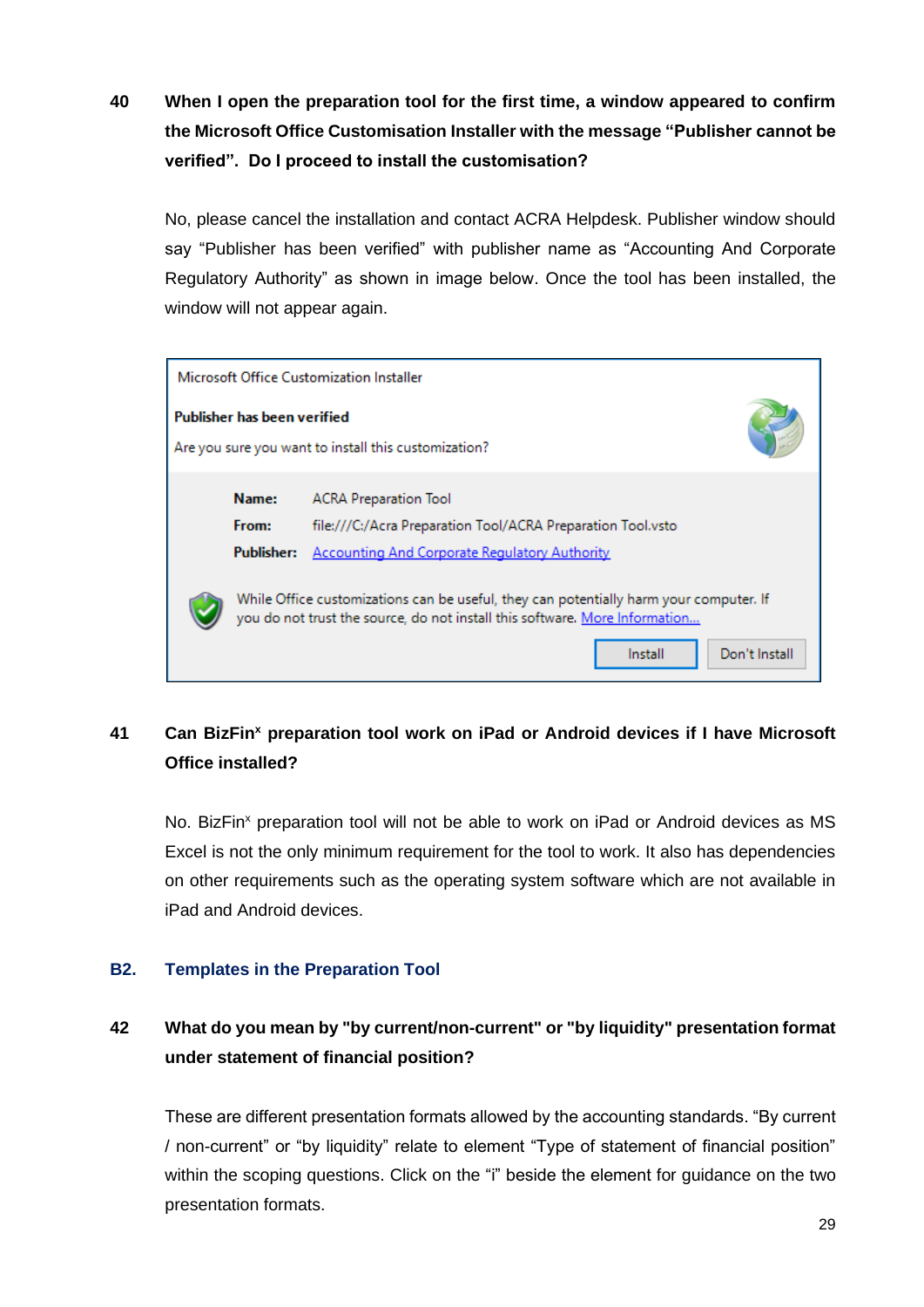<span id="page-29-1"></span>**40 When I open the preparation tool for the first time, a window appeared to confirm the Microsoft Office Customisation Installer with the message "Publisher cannot be verified". Do I proceed to install the customisation?**

No, please cancel the installation and contact ACRA Helpdesk. Publisher window should say "Publisher has been verified" with publisher name as "Accounting And Corporate Regulatory Authority" as shown in image below. Once the tool has been installed, the window will not appear again.

| Microsoft Office Customization Installer                                            |                                                                                                                                                                                                   |  |  |
|-------------------------------------------------------------------------------------|---------------------------------------------------------------------------------------------------------------------------------------------------------------------------------------------------|--|--|
| Publisher has been verified<br>Are you sure you want to install this customization? |                                                                                                                                                                                                   |  |  |
| Name:<br>From:<br>Publisher:                                                        | <b>ACRA Preparation Tool</b><br>file:///C:/Acra Preparation Tool/ACRA Preparation Tool.vsto<br><b>Accounting And Corporate Regulatory Authority</b>                                               |  |  |
|                                                                                     | While Office customizations can be useful, they can potentially harm your computer. If<br>you do not trust the source, do not install this software. More Information<br>Don't Install<br>Install |  |  |

# <span id="page-29-2"></span>**41 Can BizFin<sup>x</sup> preparation tool work on iPad or Android devices if I have Microsoft Office installed?**

No. BizFin<sup>x</sup> preparation tool will not be able to work on iPad or Android devices as MS Excel is not the only minimum requirement for the tool to work. It also has dependencies on other requirements such as the operating system software which are not available in iPad and Android devices.

## <span id="page-29-0"></span>**B2. Templates in the Preparation Tool**

# <span id="page-29-3"></span>**42 What do you mean by "by current/non-current" or "by liquidity" presentation format under statement of financial position?**

These are different presentation formats allowed by the accounting standards. "By current / non-current" or "by liquidity" relate to element "Type of statement of financial position" within the scoping questions. Click on the "i" beside the element for guidance on the two presentation formats.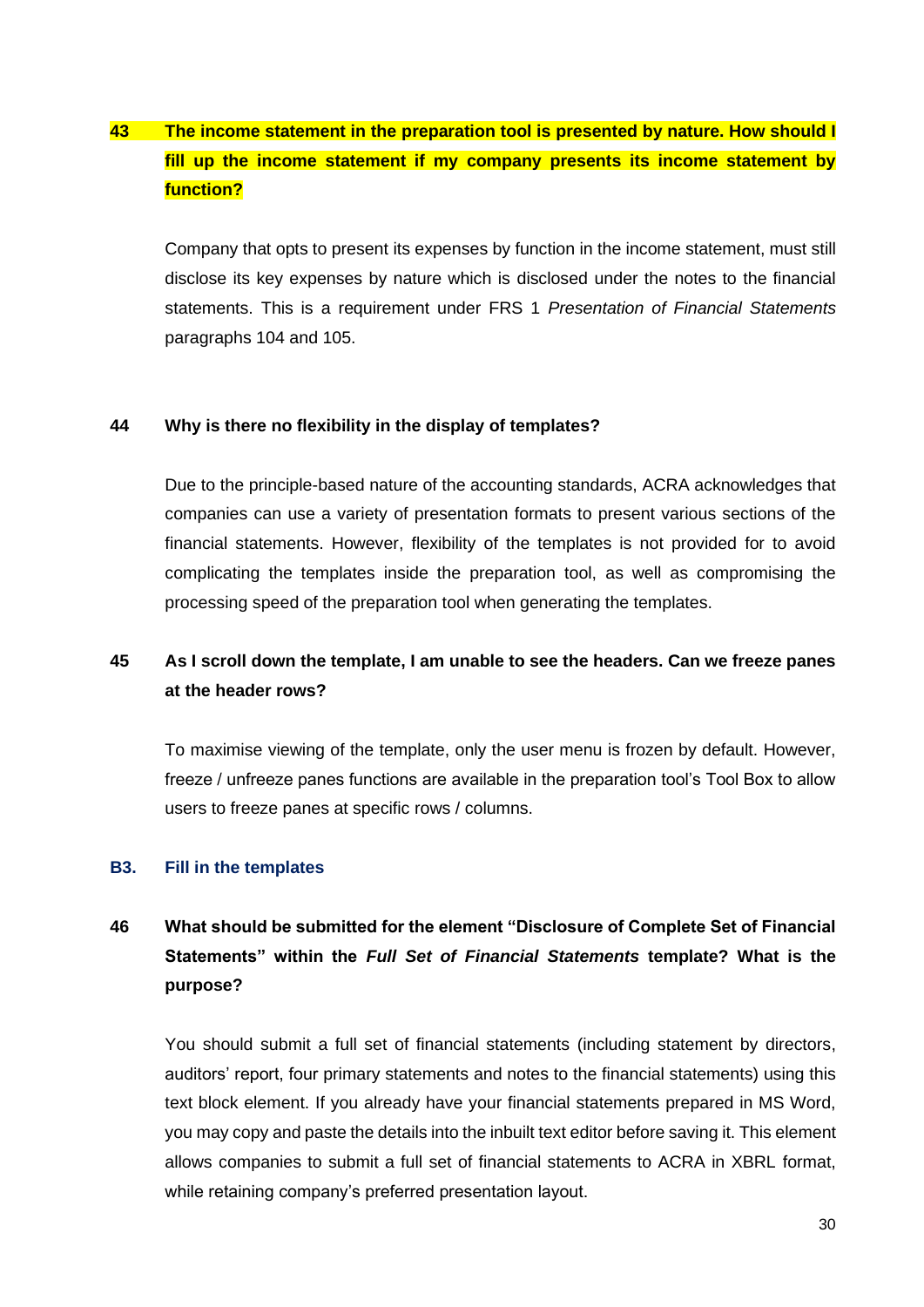# <span id="page-30-1"></span>**43 The income statement in the preparation tool is presented by nature. How should I fill up the income statement if my company presents its income statement by function?**

Company that opts to present its expenses by function in the income statement, must still disclose its key expenses by nature which is disclosed under the notes to the financial statements. This is a requirement under FRS 1 *Presentation of Financial Statements* paragraphs 104 and 105.

#### <span id="page-30-2"></span>**44 Why is there no flexibility in the display of templates?**

Due to the principle-based nature of the accounting standards, ACRA acknowledges that companies can use a variety of presentation formats to present various sections of the financial statements. However, flexibility of the templates is not provided for to avoid complicating the templates inside the preparation tool, as well as compromising the processing speed of the preparation tool when generating the templates.

## <span id="page-30-3"></span>**45 As I scroll down the template, I am unable to see the headers. Can we freeze panes at the header rows?**

To maximise viewing of the template, only the user menu is frozen by default. However, freeze / unfreeze panes functions are available in the preparation tool's Tool Box to allow users to freeze panes at specific rows / columns.

#### <span id="page-30-0"></span>**B3. Fill in the templates**

# <span id="page-30-4"></span>**46 What should be submitted for the element "Disclosure of Complete Set of Financial Statements" within the** *Full Set of Financial Statements* **template? What is the purpose?**

You should submit a full set of financial statements (including statement by directors, auditors' report, four primary statements and notes to the financial statements) using this text block element. If you already have your financial statements prepared in MS Word, you may copy and paste the details into the inbuilt text editor before saving it. This element allows companies to submit a full set of financial statements to ACRA in XBRL format, while retaining company's preferred presentation layout.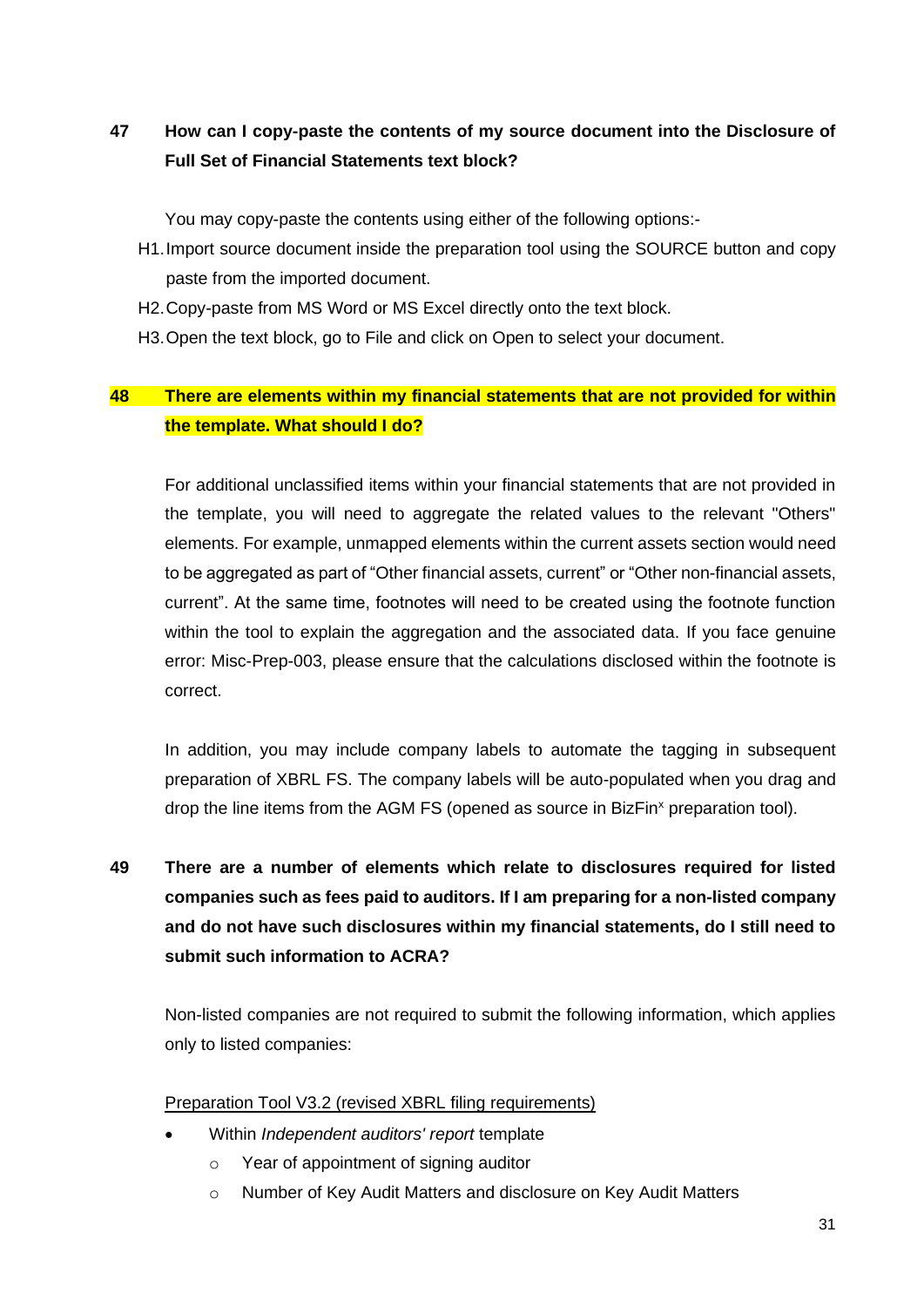# <span id="page-31-0"></span>**47 How can I copy-paste the contents of my source document into the Disclosure of Full Set of Financial Statements text block?**

You may copy-paste the contents using either of the following options:-

- H1.Import source document inside the preparation tool using the SOURCE button and copy paste from the imported document.
- H2.Copy-paste from MS Word or MS Excel directly onto the text block.
- H3.Open the text block, go to File and click on Open to select your document.

## <span id="page-31-1"></span>**48 There are elements within my financial statements that are not provided for within the template. What should I do?**

For additional unclassified items within your financial statements that are not provided in the template, you will need to aggregate the related values to the relevant "Others" elements. For example, unmapped elements within the current assets section would need to be aggregated as part of "Other financial assets, current" or "Other non-financial assets, current". At the same time, footnotes will need to be created using the footnote function within the tool to explain the aggregation and the associated data. If you face genuine error: Misc-Prep-003, please ensure that the calculations disclosed within the footnote is correct.

In addition, you may include company labels to automate the tagging in subsequent preparation of XBRL FS. The company labels will be auto-populated when you drag and drop the line items from the AGM FS (opened as source in BizFin<sup>x</sup> preparation tool).

<span id="page-31-2"></span>**49 There are a number of elements which relate to disclosures required for listed companies such as fees paid to auditors. If I am preparing for a non-listed company and do not have such disclosures within my financial statements, do I still need to submit such information to ACRA?**

Non-listed companies are not required to submit the following information, which applies only to listed companies:

#### Preparation Tool V3.2 (revised XBRL filing requirements)

- Within *Independent auditors' report* template
	- o Year of appointment of signing auditor
	- o Number of Key Audit Matters and disclosure on Key Audit Matters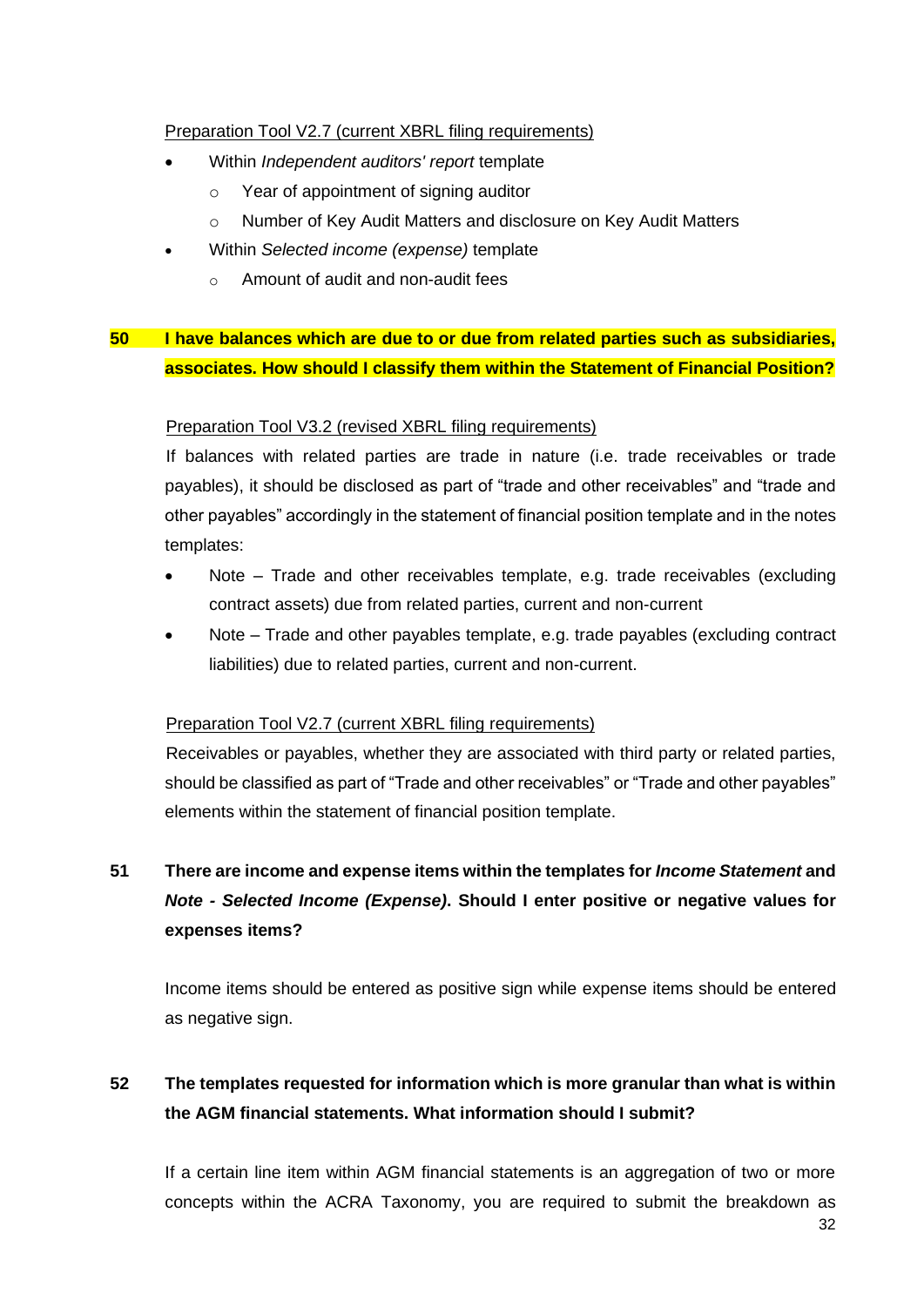## Preparation Tool V2.7 (current XBRL filing requirements)

- Within *Independent auditors' report* template
	- o Year of appointment of signing auditor
	- o Number of Key Audit Matters and disclosure on Key Audit Matters
- Within *Selected income (expense)* template
	- o Amount of audit and non-audit fees

## <span id="page-32-0"></span>**50 I have balances which are due to or due from related parties such as subsidiaries, associates. How should I classify them within the Statement of Financial Position?**

## Preparation Tool V3.2 (revised XBRL filing requirements)

If balances with related parties are trade in nature (i.e. trade receivables or trade payables), it should be disclosed as part of "trade and other receivables" and "trade and other payables" accordingly in the statement of financial position template and in the notes templates:

- Note Trade and other receivables template, e.g. trade receivables (excluding contract assets) due from related parties, current and non-current
- Note Trade and other payables template, e.g. trade payables (excluding contract liabilities) due to related parties, current and non-current.

## Preparation Tool V2.7 (current XBRL filing requirements)

Receivables or payables, whether they are associated with third party or related parties, should be classified as part of "Trade and other receivables" or "Trade and other payables" elements within the statement of financial position template.

# <span id="page-32-1"></span>**51 There are income and expense items within the templates for** *Income Statement* **and** *Note - Selected Income (Expense)***. Should I enter positive or negative values for expenses items?**

Income items should be entered as positive sign while expense items should be entered as negative sign.

# <span id="page-32-2"></span>**52 The templates requested for information which is more granular than what is within the AGM financial statements. What information should I submit?**

If a certain line item within AGM financial statements is an aggregation of two or more concepts within the ACRA Taxonomy, you are required to submit the breakdown as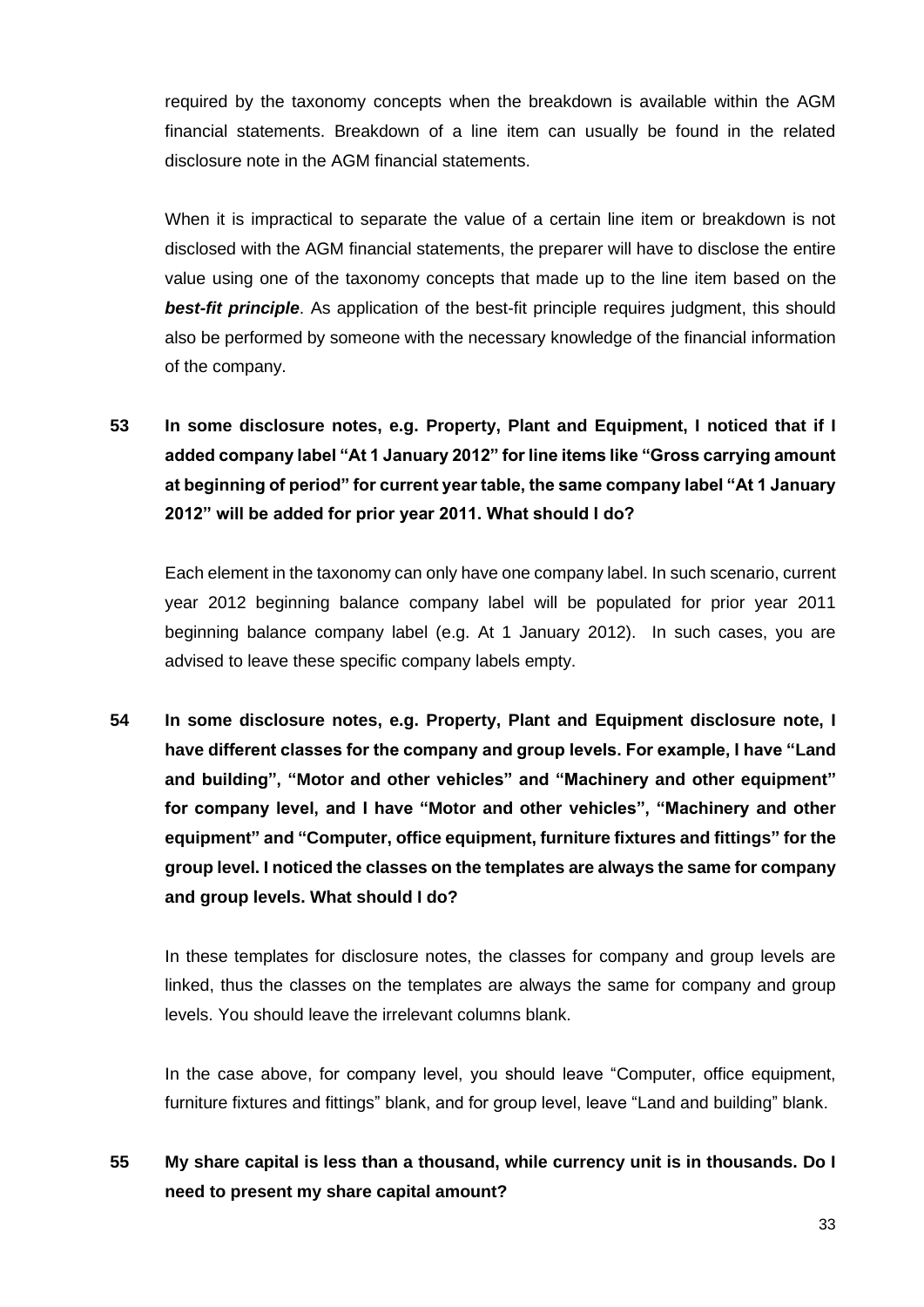required by the taxonomy concepts when the breakdown is available within the AGM financial statements. Breakdown of a line item can usually be found in the related disclosure note in the AGM financial statements.

When it is impractical to separate the value of a certain line item or breakdown is not disclosed with the AGM financial statements, the preparer will have to disclose the entire value using one of the taxonomy concepts that made up to the line item based on the **best-fit principle**. As application of the best-fit principle requires judgment, this should also be performed by someone with the necessary knowledge of the financial information of the company.

<span id="page-33-0"></span>**53 In some disclosure notes, e.g. Property, Plant and Equipment, I noticed that if I added company label "At 1 January 2012" for line items like "Gross carrying amount at beginning of period" for current year table, the same company label "At 1 January 2012" will be added for prior year 2011. What should I do?**

Each element in the taxonomy can only have one company label. In such scenario, current year 2012 beginning balance company label will be populated for prior year 2011 beginning balance company label (e.g. At 1 January 2012). In such cases, you are advised to leave these specific company labels empty.

<span id="page-33-1"></span>**54 In some disclosure notes, e.g. Property, Plant and Equipment disclosure note, I have different classes for the company and group levels. For example, I have "Land and building", "Motor and other vehicles" and "Machinery and other equipment" for company level, and I have "Motor and other vehicles", "Machinery and other equipment" and "Computer, office equipment, furniture fixtures and fittings" for the group level. I noticed the classes on the templates are always the same for company and group levels. What should I do?**

In these templates for disclosure notes, the classes for company and group levels are linked, thus the classes on the templates are always the same for company and group levels. You should leave the irrelevant columns blank.

In the case above, for company level, you should leave "Computer, office equipment, furniture fixtures and fittings" blank, and for group level, leave "Land and building" blank.

## <span id="page-33-2"></span>**55 My share capital is less than a thousand, while currency unit is in thousands. Do I need to present my share capital amount?**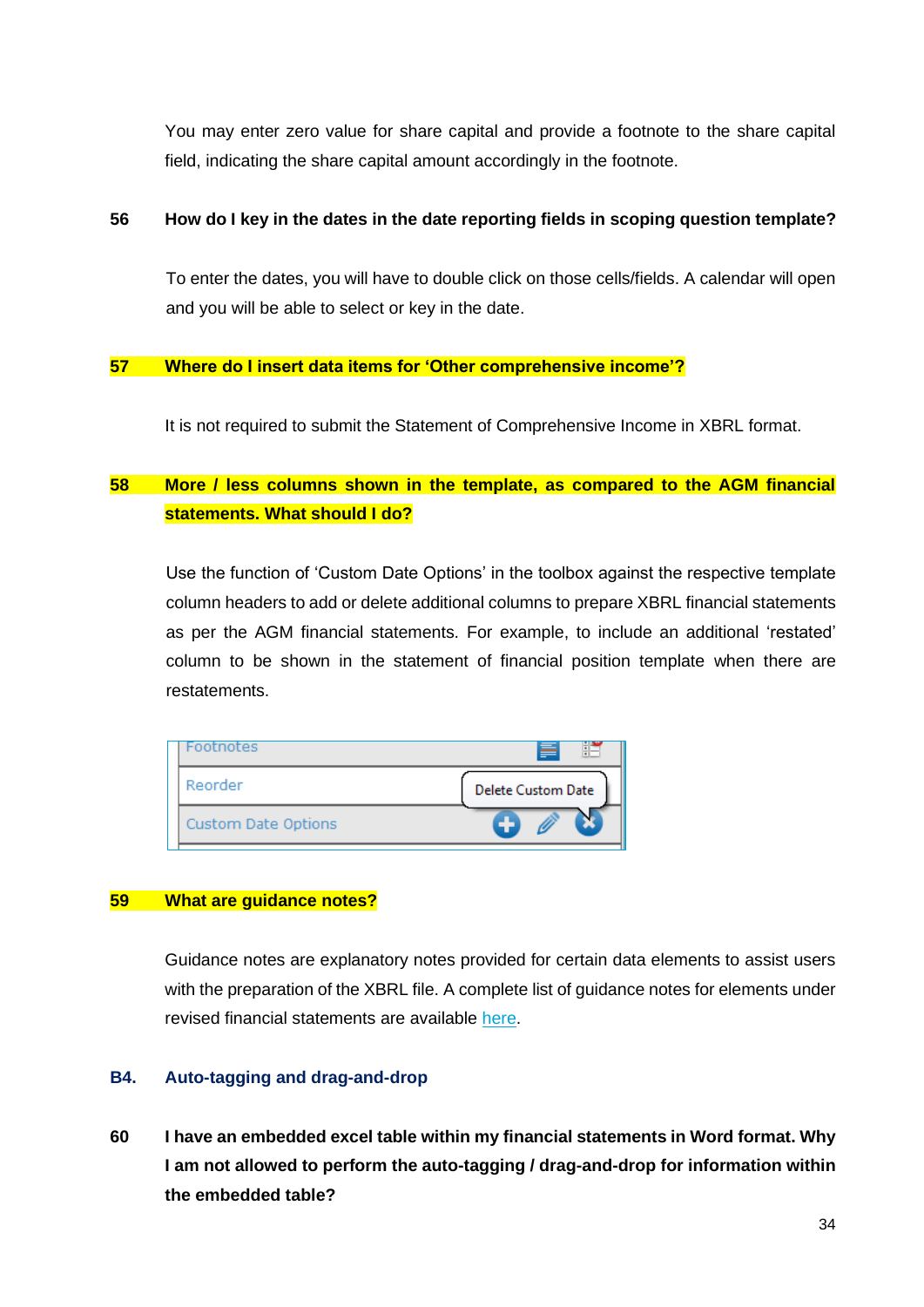You may enter zero value for share capital and provide a footnote to the share capital field, indicating the share capital amount accordingly in the footnote.

#### <span id="page-34-1"></span>**56 How do I key in the dates in the date reporting fields in scoping question template?**

To enter the dates, you will have to double click on those cells/fields. A calendar will open and you will be able to select or key in the date.

#### <span id="page-34-2"></span>**57 Where do I insert data items for 'Other comprehensive income'?**

It is not required to submit the Statement of Comprehensive Income in XBRL format.

## <span id="page-34-3"></span>**58 More / less columns shown in the template, as compared to the AGM financial statements. What should I do?**

Use the function of 'Custom Date Options' in the toolbox against the respective template column headers to add or delete additional columns to prepare XBRL financial statements as per the AGM financial statements. For example, to include an additional 'restated' column to be shown in the statement of financial position template when there are restatements.

| Footnotes                  | ≣                         |
|----------------------------|---------------------------|
| Reorder                    | <b>Delete Custom Date</b> |
| <b>Custom Date Options</b> |                           |

#### <span id="page-34-4"></span>**59 What are guidance notes?**

Guidance notes are explanatory notes provided for certain data elements to assist users with the preparation of the XBRL file. A complete list of guidance notes for elements under revised financial statements are available [here.](https://www.acra.gov.sg/docs/default-source/default-document-library/xbrl-filing-and-resources/help-resources/ACRATaxonomy2020v1GuidanceNotes.xlsx)

## <span id="page-34-0"></span>**B4. Auto-tagging and drag-and-drop**

<span id="page-34-5"></span>**60 I have an embedded excel table within my financial statements in Word format. Why I am not allowed to perform the auto-tagging / drag-and-drop for information within the embedded table?**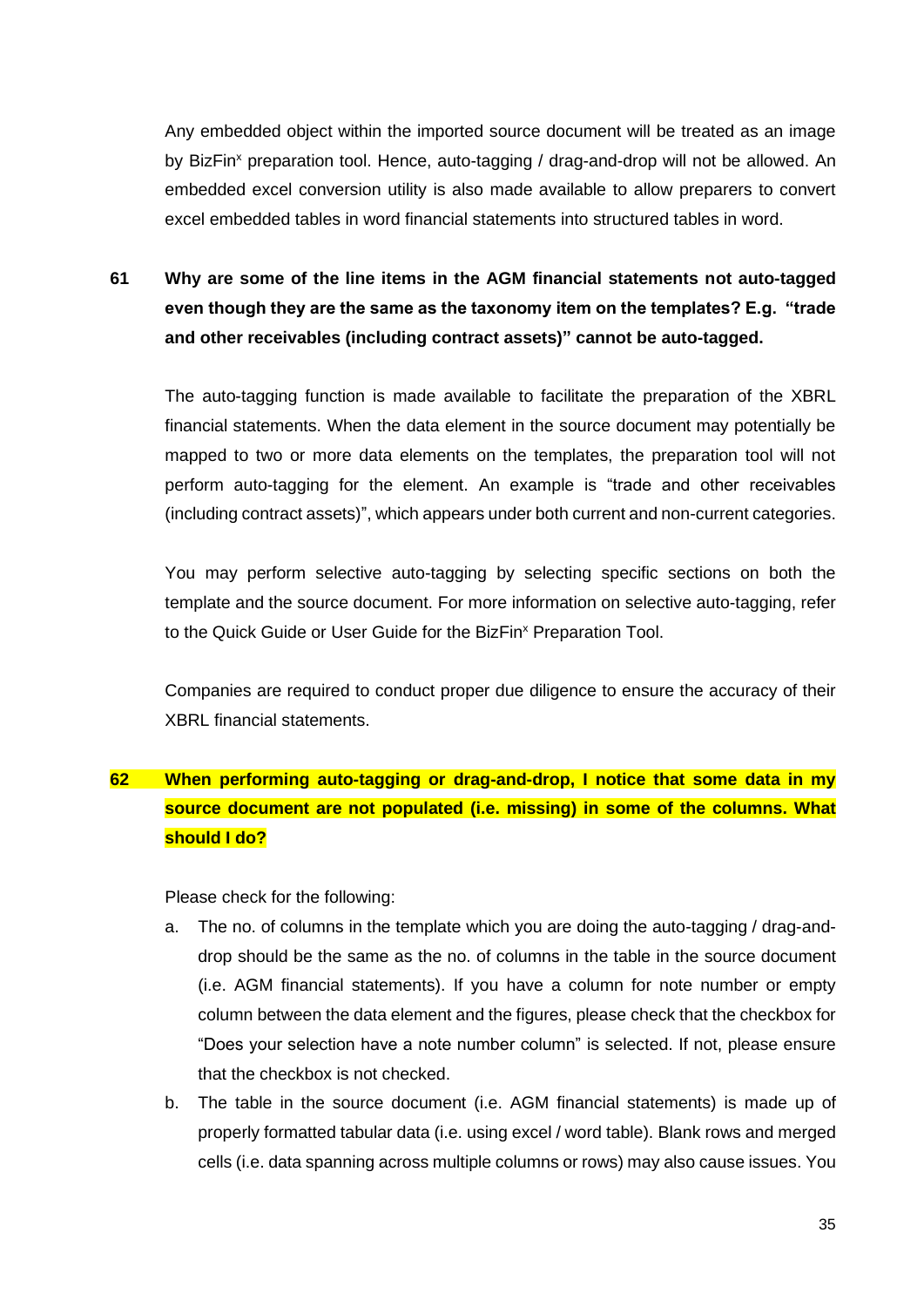Any embedded object within the imported source document will be treated as an image by BizFin<sup>x</sup> preparation tool. Hence, auto-tagging / drag-and-drop will not be allowed. An embedded excel conversion utility is also made available to allow preparers to convert excel embedded tables in word financial statements into structured tables in word.

<span id="page-35-0"></span>**61 Why are some of the line items in the AGM financial statements not auto-tagged even though they are the same as the taxonomy item on the templates? E.g. "trade and other receivables (including contract assets)" cannot be auto-tagged.**

The auto-tagging function is made available to facilitate the preparation of the XBRL financial statements. When the data element in the source document may potentially be mapped to two or more data elements on the templates, the preparation tool will not perform auto-tagging for the element. An example is "trade and other receivables (including contract assets)", which appears under both current and non-current categories.

You may perform selective auto-tagging by selecting specific sections on both the template and the source document. For more information on selective auto-tagging, refer to the Quick Guide or User Guide for the BizFin<sup>x</sup> Preparation Tool.

Companies are required to conduct proper due diligence to ensure the accuracy of their XBRL financial statements.

# <span id="page-35-1"></span>**62 When performing auto-tagging or drag-and-drop, I notice that some data in my source document are not populated (i.e. missing) in some of the columns. What should I do?**

Please check for the following:

- a. The no. of columns in the template which you are doing the auto-tagging / drag-anddrop should be the same as the no. of columns in the table in the source document (i.e. AGM financial statements). If you have a column for note number or empty column between the data element and the figures, please check that the checkbox for "Does your selection have a note number column" is selected. If not, please ensure that the checkbox is not checked.
- b. The table in the source document (i.e. AGM financial statements) is made up of properly formatted tabular data (i.e. using excel / word table). Blank rows and merged cells (i.e. data spanning across multiple columns or rows) may also cause issues. You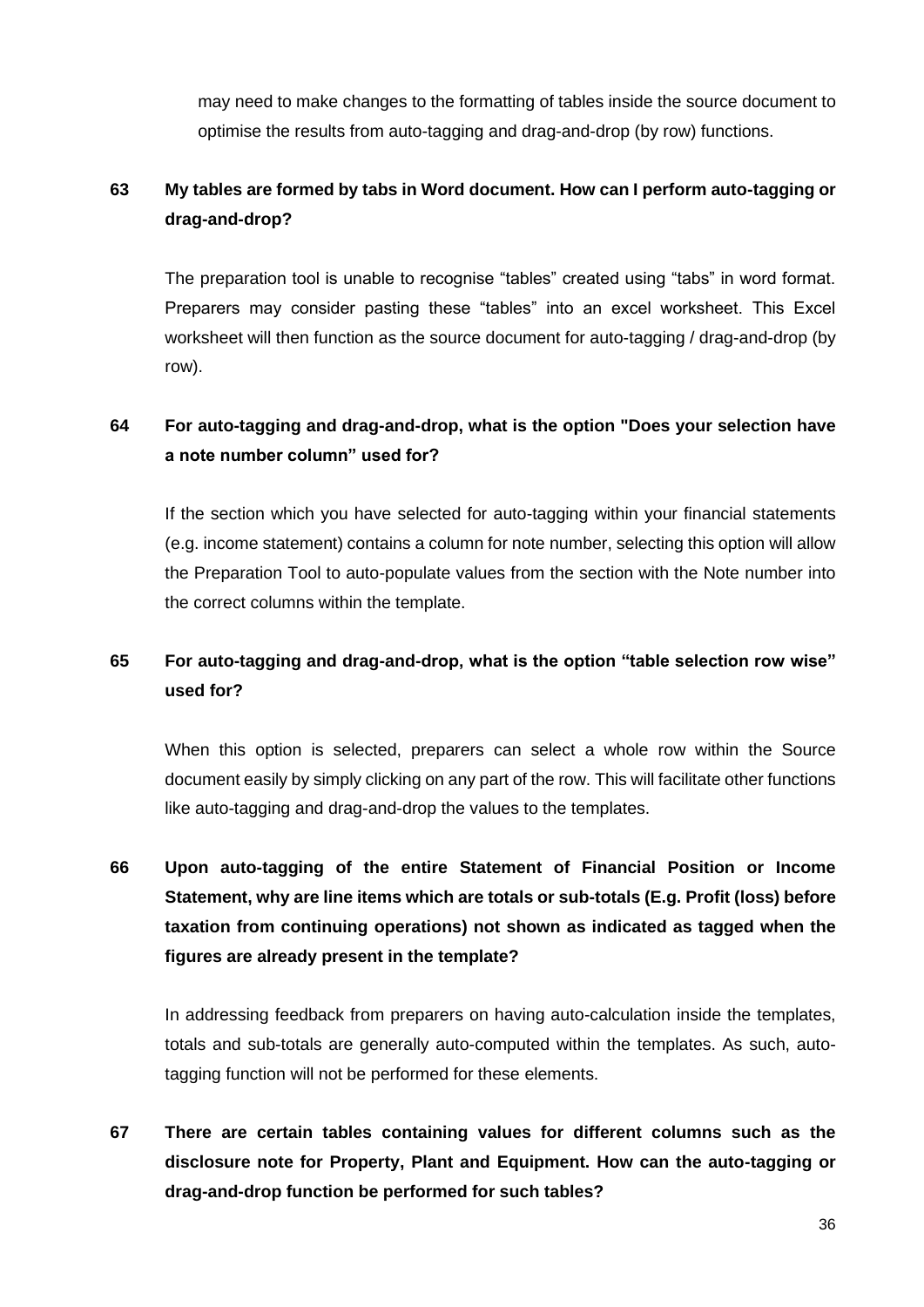may need to make changes to the formatting of tables inside the source document to optimise the results from auto-tagging and drag-and-drop (by row) functions.

## <span id="page-36-0"></span>**63 My tables are formed by tabs in Word document. How can I perform auto-tagging or drag-and-drop?**

The preparation tool is unable to recognise "tables" created using "tabs" in word format. Preparers may consider pasting these "tables" into an excel worksheet. This Excel worksheet will then function as the source document for auto-tagging / drag-and-drop (by row).

## <span id="page-36-1"></span>**64 For auto-tagging and drag-and-drop, what is the option "Does your selection have a note number column" used for?**

If the section which you have selected for auto-tagging within your financial statements (e.g. income statement) contains a column for note number, selecting this option will allow the Preparation Tool to auto-populate values from the section with the Note number into the correct columns within the template.

## <span id="page-36-2"></span>**65 For auto-tagging and drag-and-drop, what is the option "table selection row wise" used for?**

When this option is selected, preparers can select a whole row within the Source document easily by simply clicking on any part of the row. This will facilitate other functions like auto-tagging and drag-and-drop the values to the templates.

<span id="page-36-3"></span>**66 Upon auto-tagging of the entire Statement of Financial Position or Income Statement, why are line items which are totals or sub-totals (E.g. Profit (loss) before taxation from continuing operations) not shown as indicated as tagged when the figures are already present in the template?**

In addressing feedback from preparers on having auto-calculation inside the templates, totals and sub-totals are generally auto-computed within the templates. As such, autotagging function will not be performed for these elements.

<span id="page-36-4"></span>**67 There are certain tables containing values for different columns such as the disclosure note for Property, Plant and Equipment. How can the auto-tagging or drag-and-drop function be performed for such tables?**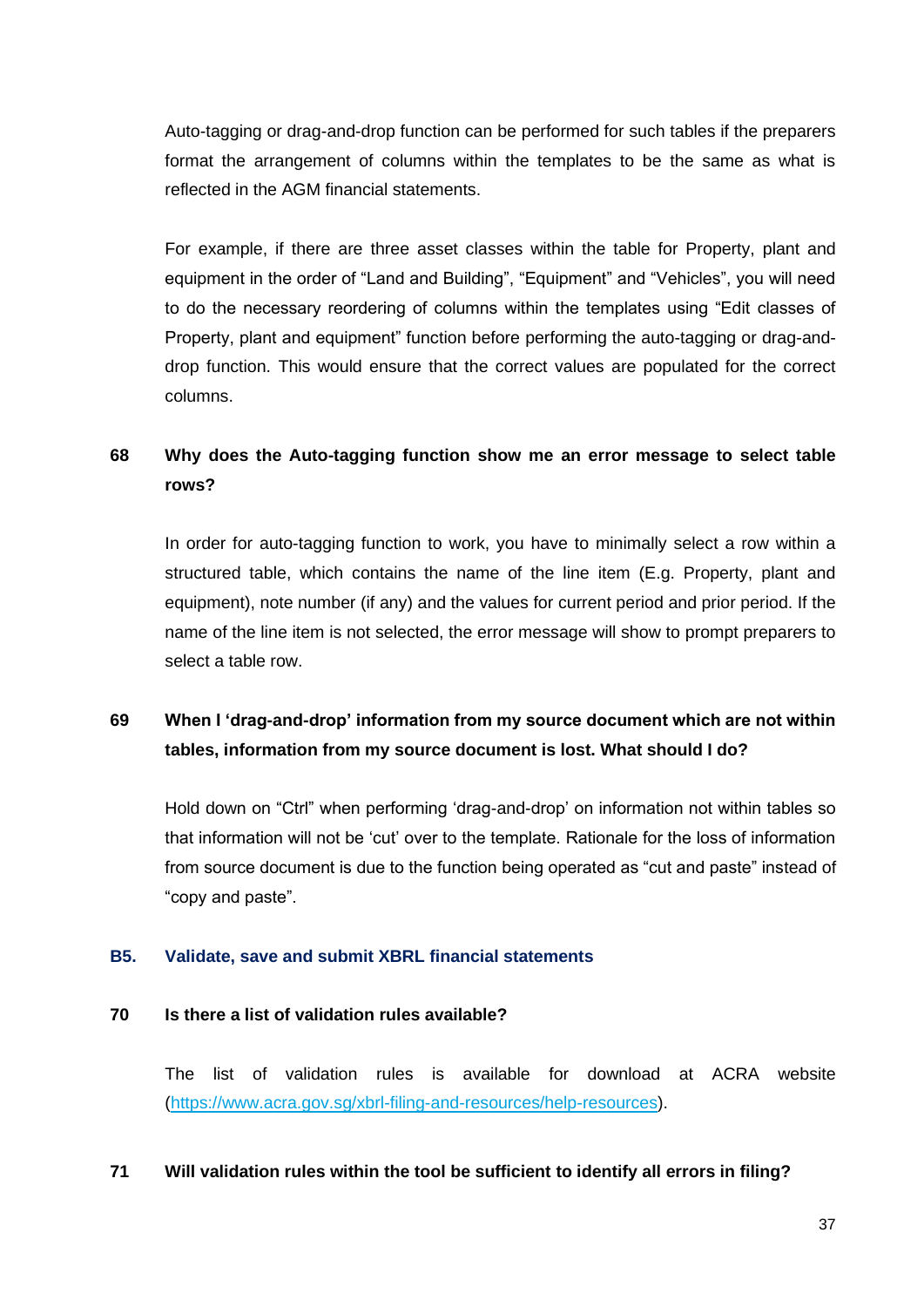Auto-tagging or drag-and-drop function can be performed for such tables if the preparers format the arrangement of columns within the templates to be the same as what is reflected in the AGM financial statements.

For example, if there are three asset classes within the table for Property, plant and equipment in the order of "Land and Building", "Equipment" and "Vehicles", you will need to do the necessary reordering of columns within the templates using "Edit classes of Property, plant and equipment" function before performing the auto-tagging or drag-anddrop function. This would ensure that the correct values are populated for the correct columns.

## <span id="page-37-1"></span>**68 Why does the Auto-tagging function show me an error message to select table rows?**

In order for auto-tagging function to work, you have to minimally select a row within a structured table, which contains the name of the line item (E.g. Property, plant and equipment), note number (if any) and the values for current period and prior period. If the name of the line item is not selected, the error message will show to prompt preparers to select a table row.

## <span id="page-37-2"></span>**69 When I 'drag-and-drop' information from my source document which are not within tables, information from my source document is lost. What should I do?**

Hold down on "Ctrl" when performing 'drag-and-drop' on information not within tables so that information will not be 'cut' over to the template. Rationale for the loss of information from source document is due to the function being operated as "cut and paste" instead of "copy and paste".

#### <span id="page-37-0"></span>**B5. Validate, save and submit XBRL financial statements**

#### <span id="page-37-3"></span>**70 Is there a list of validation rules available?**

The list of validation rules is available for download at ACRA website [\(https://www.acra.gov.sg/xbrl-filing-and-resources/help-resources\)](https://www.acra.gov.sg/xbrl-filing-and-resources/help-resources).

## <span id="page-37-4"></span>**71 Will validation rules within the tool be sufficient to identify all errors in filing?**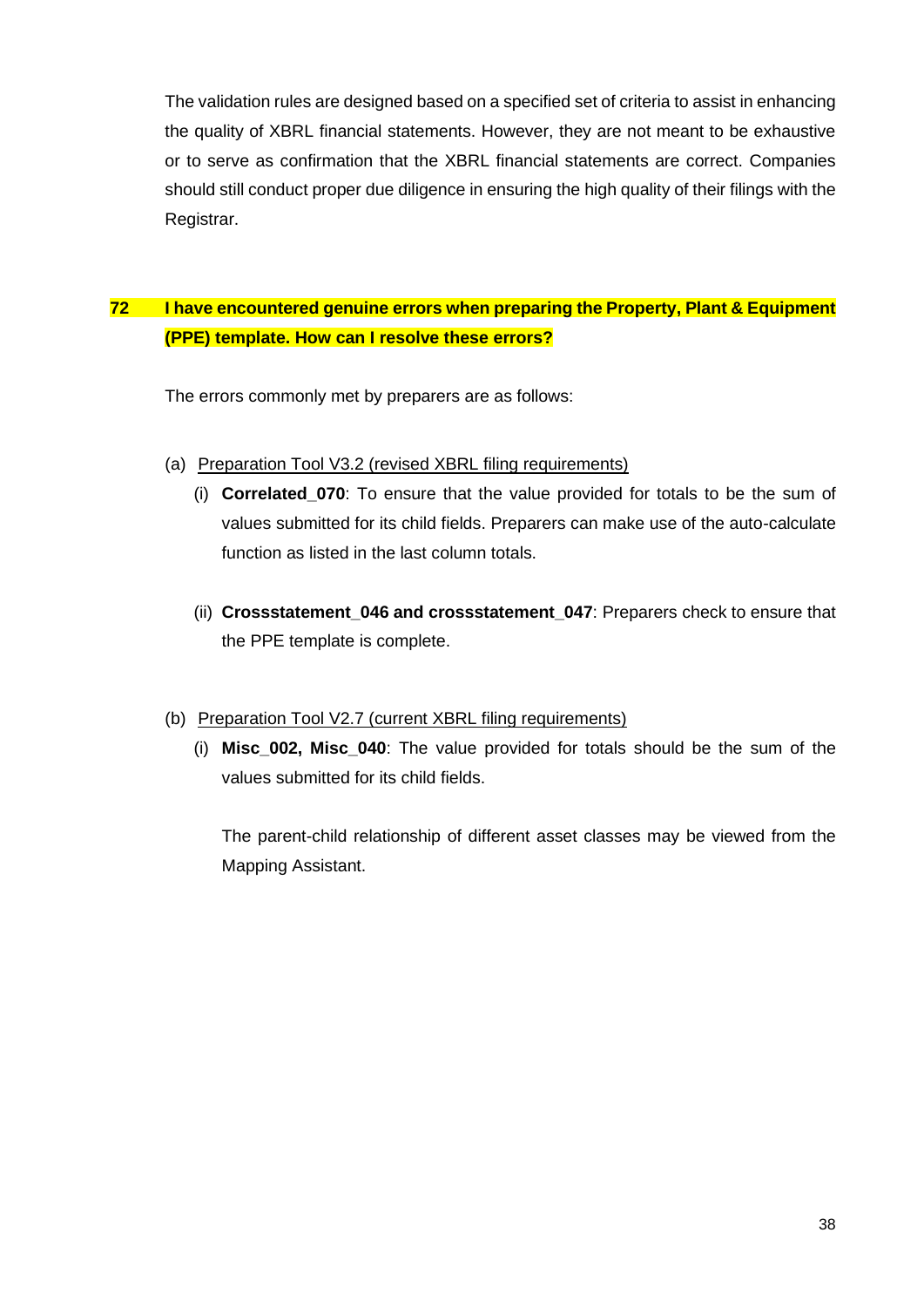The validation rules are designed based on a specified set of criteria to assist in enhancing the quality of XBRL financial statements. However, they are not meant to be exhaustive or to serve as confirmation that the XBRL financial statements are correct. Companies should still conduct proper due diligence in ensuring the high quality of their filings with the Registrar.

## <span id="page-38-0"></span>**72 I have encountered genuine errors when preparing the Property, Plant & Equipment (PPE) template. How can I resolve these errors?**

The errors commonly met by preparers are as follows:

- (a) Preparation Tool V3.2 (revised XBRL filing requirements)
	- (i) **Correlated\_070**: To ensure that the value provided for totals to be the sum of values submitted for its child fields. Preparers can make use of the auto-calculate function as listed in the last column totals.
	- (ii) **Crossstatement\_046 and crossstatement\_047**: Preparers check to ensure that the PPE template is complete.

## (b) Preparation Tool V2.7 (current XBRL filing requirements)

(i) **Misc\_002, Misc\_040**: The value provided for totals should be the sum of the values submitted for its child fields.

The parent-child relationship of different asset classes may be viewed from the Mapping Assistant.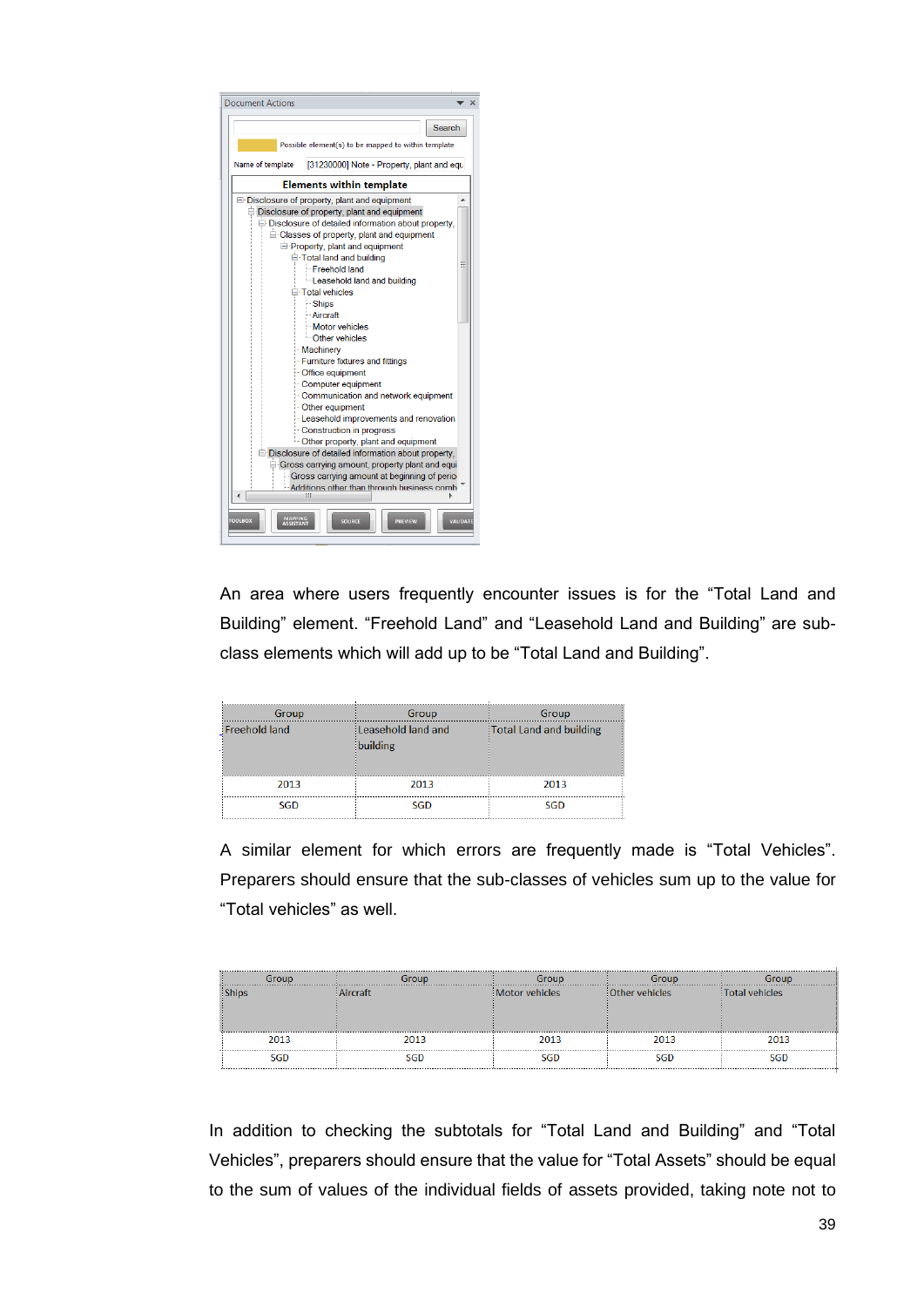

An area where users frequently encounter issues is for the "Total Land and Building" element. "Freehold Land" and "Leasehold Land and Building" are subclass elements which will add up to be "Total Land and Building".

| Group                | Group                          | Group                   |
|----------------------|--------------------------------|-------------------------|
| <b>Freehold land</b> | Leasehold land and<br>building | Total Land and building |
| 2013                 | 2013                           | 2013                    |
| <b>SGD</b>           | <b>SGD</b>                     | <b>SGD</b>              |

A similar element for which errors are frequently made is "Total Vehicles". Preparers should ensure that the sub-classes of vehicles sum up to the value for "Total vehicles" as well.

|      |      | iroun          |                  |                 |
|------|------|----------------|------------------|-----------------|
|      |      | Motor vehicles | : Other vehicles | :Total vehicles |
|      |      |                |                  |                 |
|      |      |                |                  |                 |
| 2013 | 2013 | 2013           | 2013             | 2013            |
|      |      |                |                  |                 |

In addition to checking the subtotals for "Total Land and Building" and "Total Vehicles", preparers should ensure that the value for "Total Assets" should be equal to the sum of values of the individual fields of assets provided, taking note not to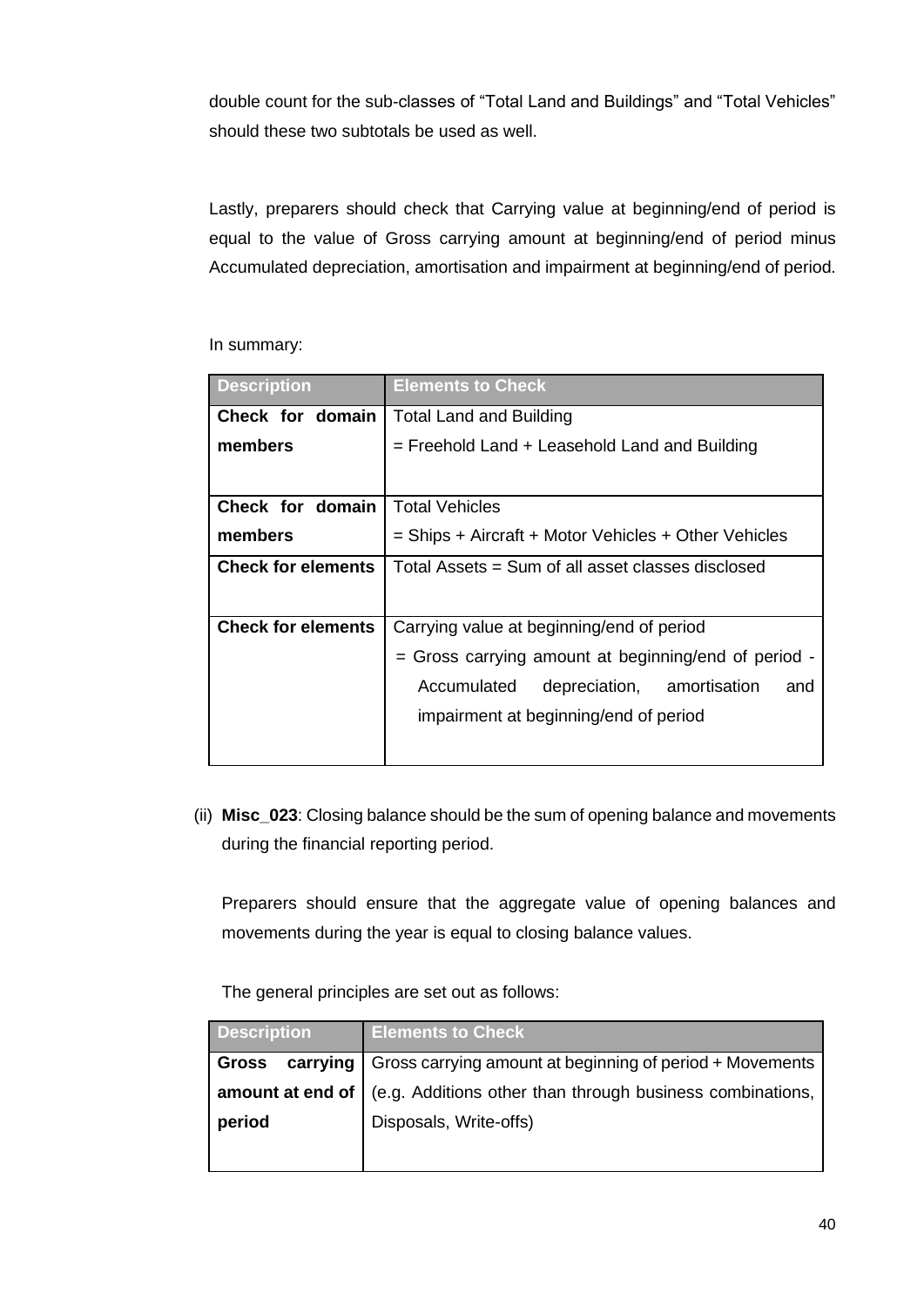double count for the sub-classes of "Total Land and Buildings" and "Total Vehicles" should these two subtotals be used as well.

Lastly, preparers should check that Carrying value at beginning/end of period is equal to the value of Gross carrying amount at beginning/end of period minus Accumulated depreciation, amortisation and impairment at beginning/end of period.

| <b>Description</b>        | <b>Elements to Check</b>                             |  |  |
|---------------------------|------------------------------------------------------|--|--|
| Check for domain          | <b>Total Land and Building</b>                       |  |  |
| members                   | = Freehold Land + Leasehold Land and Building        |  |  |
|                           |                                                      |  |  |
| Check for domain          | <b>Total Vehicles</b>                                |  |  |
| members                   | = Ships + Aircraft + Motor Vehicles + Other Vehicles |  |  |
| <b>Check for elements</b> | Total Assets = Sum of all asset classes disclosed    |  |  |
|                           |                                                      |  |  |
| <b>Check for elements</b> | Carrying value at beginning/end of period            |  |  |
|                           | = Gross carrying amount at beginning/end of period - |  |  |
|                           | Accumulated<br>depreciation, amortisation<br>and     |  |  |
|                           | impairment at beginning/end of period                |  |  |
|                           |                                                      |  |  |

In summary:

(ii) **Misc\_023**: Closing balance should be the sum of opening balance and movements during the financial reporting period.

Preparers should ensure that the aggregate value of opening balances and movements during the year is equal to closing balance values.

The general principles are set out as follows:

| <b>Description</b>                                                           | <b>Elements to Check</b>                                                     |
|------------------------------------------------------------------------------|------------------------------------------------------------------------------|
| carrying   Gross carrying amount at beginning of period + Movements<br>Gross |                                                                              |
|                                                                              | amount at end of   (e.g. Additions other than through business combinations, |
| period                                                                       | Disposals, Write-offs)                                                       |
|                                                                              |                                                                              |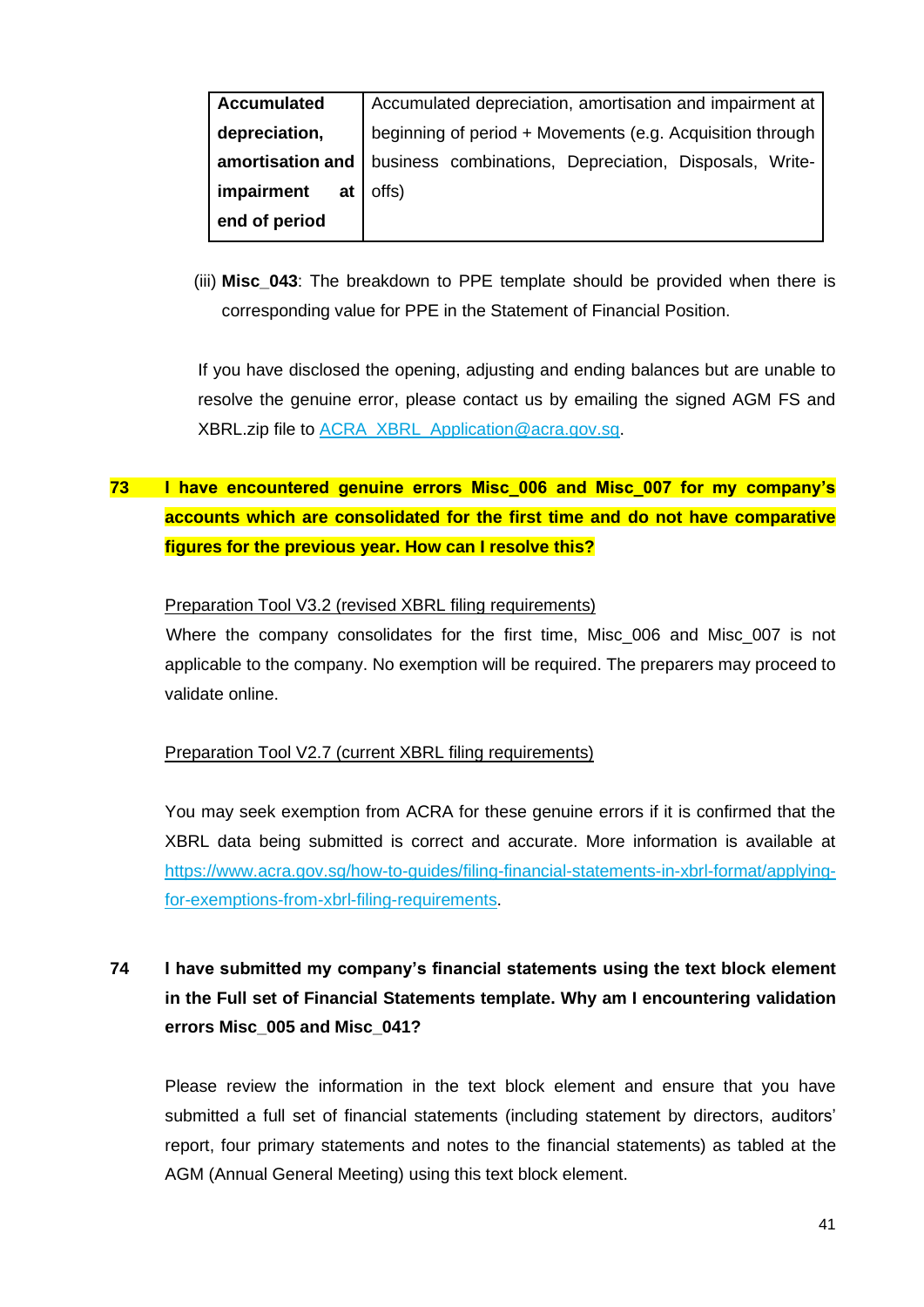| <b>Accumulated</b> | Accumulated depreciation, amortisation and impairment at  |
|--------------------|-----------------------------------------------------------|
|                    |                                                           |
| depreciation,      | beginning of period + Movements (e.g. Acquisition through |
|                    |                                                           |
| amortisation and   | business combinations, Depreciation, Disposals, Write-    |
| impairment<br>at l | offs)                                                     |
|                    |                                                           |
| end of period      |                                                           |
|                    |                                                           |

(iii) **Misc\_043**: The breakdown to PPE template should be provided when there is corresponding value for PPE in the Statement of Financial Position.

If you have disclosed the opening, adjusting and ending balances but are unable to resolve the genuine error, please contact us by emailing the signed AGM FS and XBRL.zip file to [ACRA\\_XBRL\\_Application@acra.gov.sg.](mailto:ACRA_XBRL_Application@acra.gov.sg)

# <span id="page-41-0"></span>**73 I have encountered genuine errors Misc\_006 and Misc\_007 for my company's accounts which are consolidated for the first time and do not have comparative figures for the previous year. How can I resolve this?**

#### Preparation Tool V3.2 (revised XBRL filing requirements)

Where the company consolidates for the first time, Misc\_006 and Misc\_007 is not applicable to the company. No exemption will be required. The preparers may proceed to validate online.

#### Preparation Tool V2.7 (current XBRL filing requirements)

You may seek exemption from ACRA for these genuine errors if it is confirmed that the XBRL data being submitted is correct and accurate. More information is available at [https://www.acra.gov.sg/how-to-guides/filing-financial-statements-in-xbrl-format/applying](https://www.acra.gov.sg/how-to-guides/filing-financial-statements-in-xbrl-format/applying-for-exemptions-from-xbrl-filing-requirements)[for-exemptions-from-xbrl-filing-requirements.](https://www.acra.gov.sg/how-to-guides/filing-financial-statements-in-xbrl-format/applying-for-exemptions-from-xbrl-filing-requirements)

# <span id="page-41-1"></span>**74 I have submitted my company's financial statements using the text block element in the Full set of Financial Statements template. Why am I encountering validation errors Misc\_005 and Misc\_041?**

Please review the information in the text block element and ensure that you have submitted a full set of financial statements (including statement by directors, auditors' report, four primary statements and notes to the financial statements) as tabled at the AGM (Annual General Meeting) using this text block element.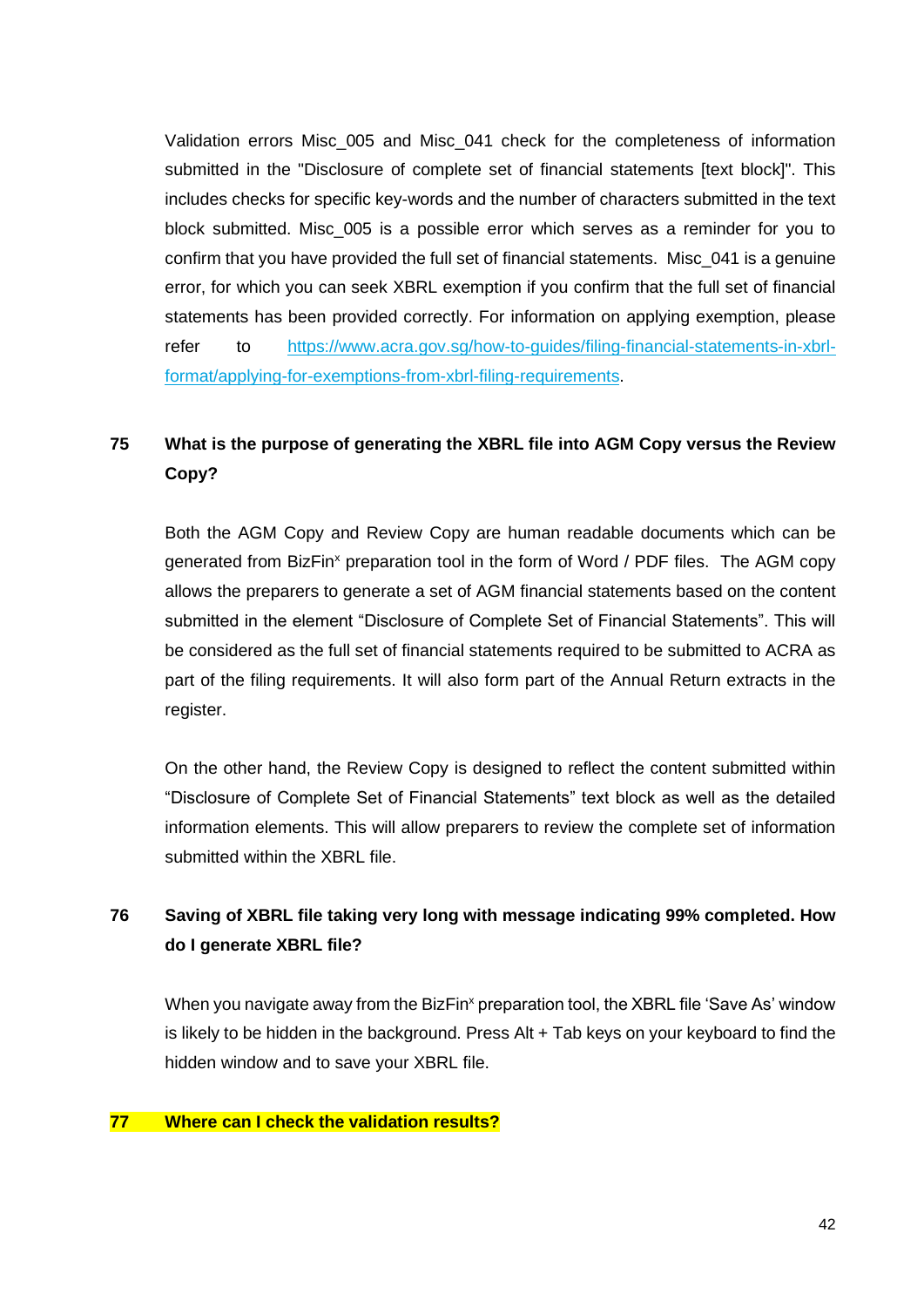Validation errors Misc\_005 and Misc\_041 check for the completeness of information submitted in the "Disclosure of complete set of financial statements [text block]". This includes checks for specific key-words and the number of characters submitted in the text block submitted. Misc\_005 is a possible error which serves as a reminder for you to confirm that you have provided the full set of financial statements. Misc\_041 is a genuine error, for which you can seek XBRL exemption if you confirm that the full set of financial statements has been provided correctly. For information on applying exemption, please refer to [https://www.acra.gov.sg/how-to-guides/filing-financial-statements-in-xbrl](https://www.acra.gov.sg/how-to-guides/filing-financial-statements-in-xbrl-format/applying-for-exemptions-from-xbrl-filing-requirements)[format/applying-for-exemptions-from-xbrl-filing-requirements.](https://www.acra.gov.sg/how-to-guides/filing-financial-statements-in-xbrl-format/applying-for-exemptions-from-xbrl-filing-requirements)

# <span id="page-42-0"></span>**75 What is the purpose of generating the XBRL file into AGM Copy versus the Review Copy?**

Both the AGM Copy and Review Copy are human readable documents which can be generated from BizFin<sup>x</sup> preparation tool in the form of Word / PDF files. The AGM copy allows the preparers to generate a set of AGM financial statements based on the content submitted in the element "Disclosure of Complete Set of Financial Statements". This will be considered as the full set of financial statements required to be submitted to ACRA as part of the filing requirements. It will also form part of the Annual Return extracts in the register.

On the other hand, the Review Copy is designed to reflect the content submitted within "Disclosure of Complete Set of Financial Statements" text block as well as the detailed information elements. This will allow preparers to review the complete set of information submitted within the XBRL file.

## <span id="page-42-1"></span>**76 Saving of XBRL file taking very long with message indicating 99% completed. How do I generate XBRL file?**

When you navigate away from the BizFin<sup>x</sup> preparation tool, the XBRL file 'Save As' window is likely to be hidden in the background. Press Alt + Tab keys on your keyboard to find the hidden window and to save your XBRL file.

#### <span id="page-42-2"></span>**77 Where can I check the validation results?**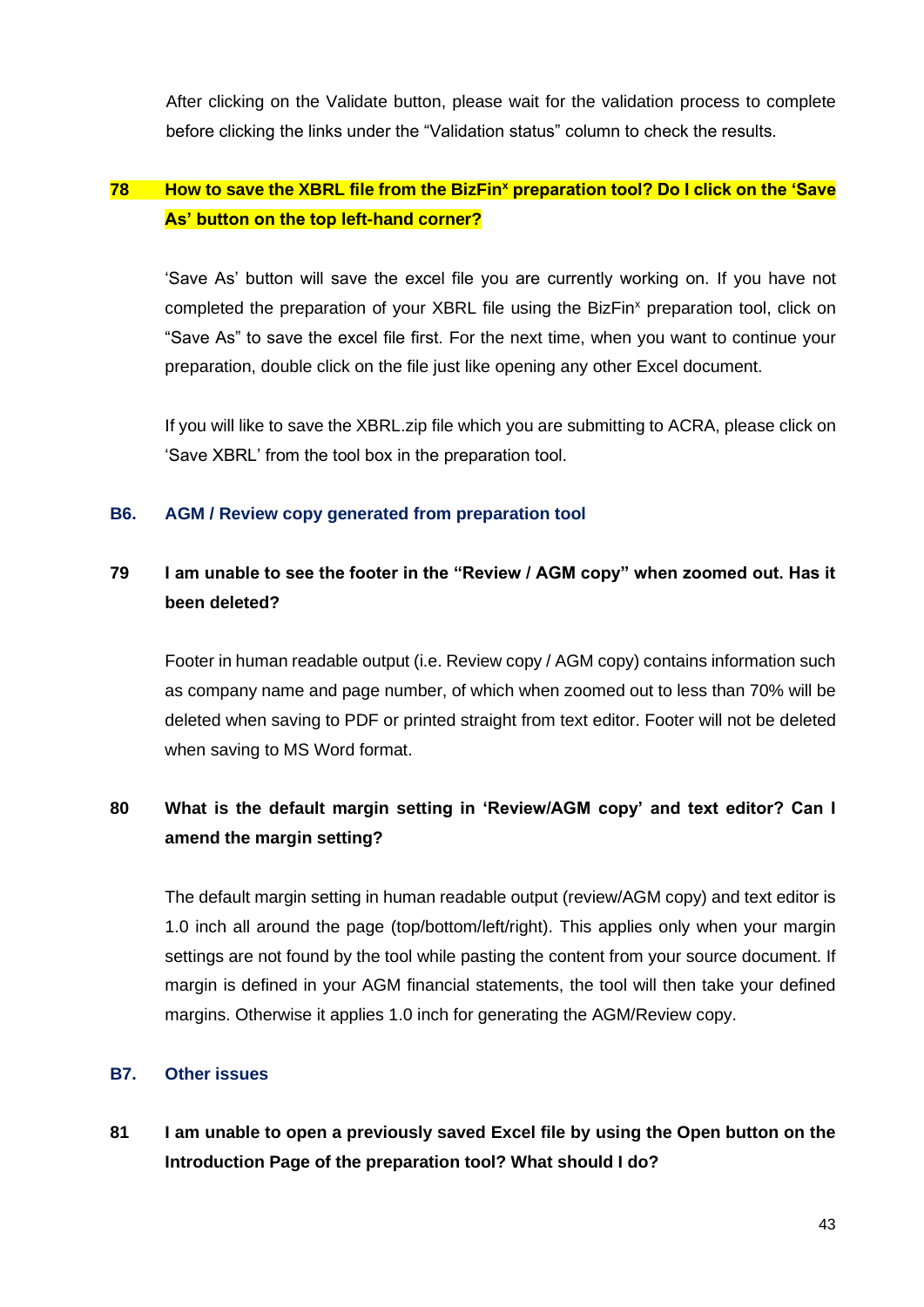After clicking on the Validate button, please wait for the validation process to complete before clicking the links under the "Validation status" column to check the results.

## <span id="page-43-2"></span>**78 How to save the XBRL file from the BizFin<sup>x</sup> preparation tool? Do I click on the 'Save As' button on the top left-hand corner?**

'Save As' button will save the excel file you are currently working on. If you have not completed the preparation of your XBRL file using the BizFin<sup>x</sup> preparation tool, click on "Save As" to save the excel file first. For the next time, when you want to continue your preparation, double click on the file just like opening any other Excel document.

If you will like to save the XBRL.zip file which you are submitting to ACRA, please click on 'Save XBRL' from the tool box in the preparation tool.

#### <span id="page-43-0"></span>**B6. AGM / Review copy generated from preparation tool**

## <span id="page-43-3"></span>**79 I am unable to see the footer in the "Review / AGM copy" when zoomed out. Has it been deleted?**

Footer in human readable output (i.e. Review copy / AGM copy) contains information such as company name and page number, of which when zoomed out to less than 70% will be deleted when saving to PDF or printed straight from text editor. Footer will not be deleted when saving to MS Word format.

## <span id="page-43-4"></span>**80 What is the default margin setting in 'Review/AGM copy' and text editor? Can I amend the margin setting?**

The default margin setting in human readable output (review/AGM copy) and text editor is 1.0 inch all around the page (top/bottom/left/right). This applies only when your margin settings are not found by the tool while pasting the content from your source document. If margin is defined in your AGM financial statements, the tool will then take your defined margins. Otherwise it applies 1.0 inch for generating the AGM/Review copy.

#### <span id="page-43-1"></span>**B7. Other issues**

<span id="page-43-5"></span>**81 I am unable to open a previously saved Excel file by using the Open button on the Introduction Page of the preparation tool? What should I do?**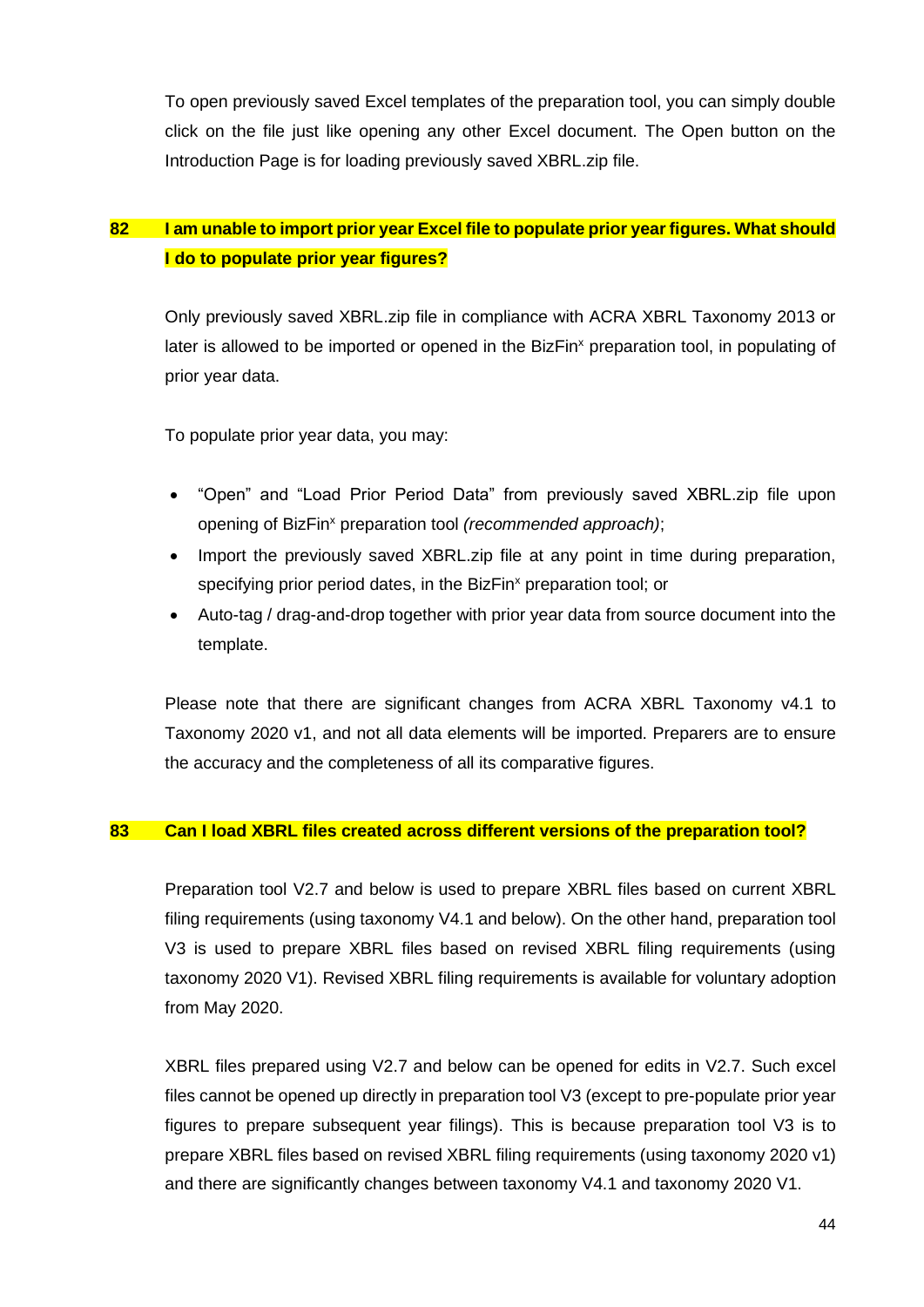To open previously saved Excel templates of the preparation tool, you can simply double click on the file just like opening any other Excel document. The Open button on the Introduction Page is for loading previously saved XBRL.zip file.

## <span id="page-44-0"></span>**82 I am unable to import prior year Excel file to populate prior year figures. What should I do to populate prior year figures?**

Only previously saved XBRL.zip file in compliance with ACRA XBRL Taxonomy 2013 or later is allowed to be imported or opened in the BizFin<sup>x</sup> preparation tool, in populating of prior year data.

To populate prior year data, you may:

- "Open" and "Load Prior Period Data" from previously saved XBRL.zip file upon opening of BizFin<sup>x</sup> preparation tool *(recommended approach)*;
- Import the previously saved XBRL.zip file at any point in time during preparation, specifying prior period dates, in the BizFin<sup>x</sup> preparation tool; or
- Auto-tag / drag-and-drop together with prior year data from source document into the template.

Please note that there are significant changes from ACRA XBRL Taxonomy v4.1 to Taxonomy 2020 v1, and not all data elements will be imported. Preparers are to ensure the accuracy and the completeness of all its comparative figures.

#### <span id="page-44-1"></span>**83 Can I load XBRL files created across different versions of the preparation tool?**

Preparation tool V2.7 and below is used to prepare XBRL files based on current XBRL filing requirements (using taxonomy V4.1 and below). On the other hand, preparation tool V3 is used to prepare XBRL files based on revised XBRL filing requirements (using taxonomy 2020 V1). Revised XBRL filing requirements is available for voluntary adoption from May 2020.

XBRL files prepared using V2.7 and below can be opened for edits in V2.7. Such excel files cannot be opened up directly in preparation tool V3 (except to pre-populate prior year figures to prepare subsequent year filings). This is because preparation tool V3 is to prepare XBRL files based on revised XBRL filing requirements (using taxonomy 2020 v1) and there are significantly changes between taxonomy V4.1 and taxonomy 2020 V1.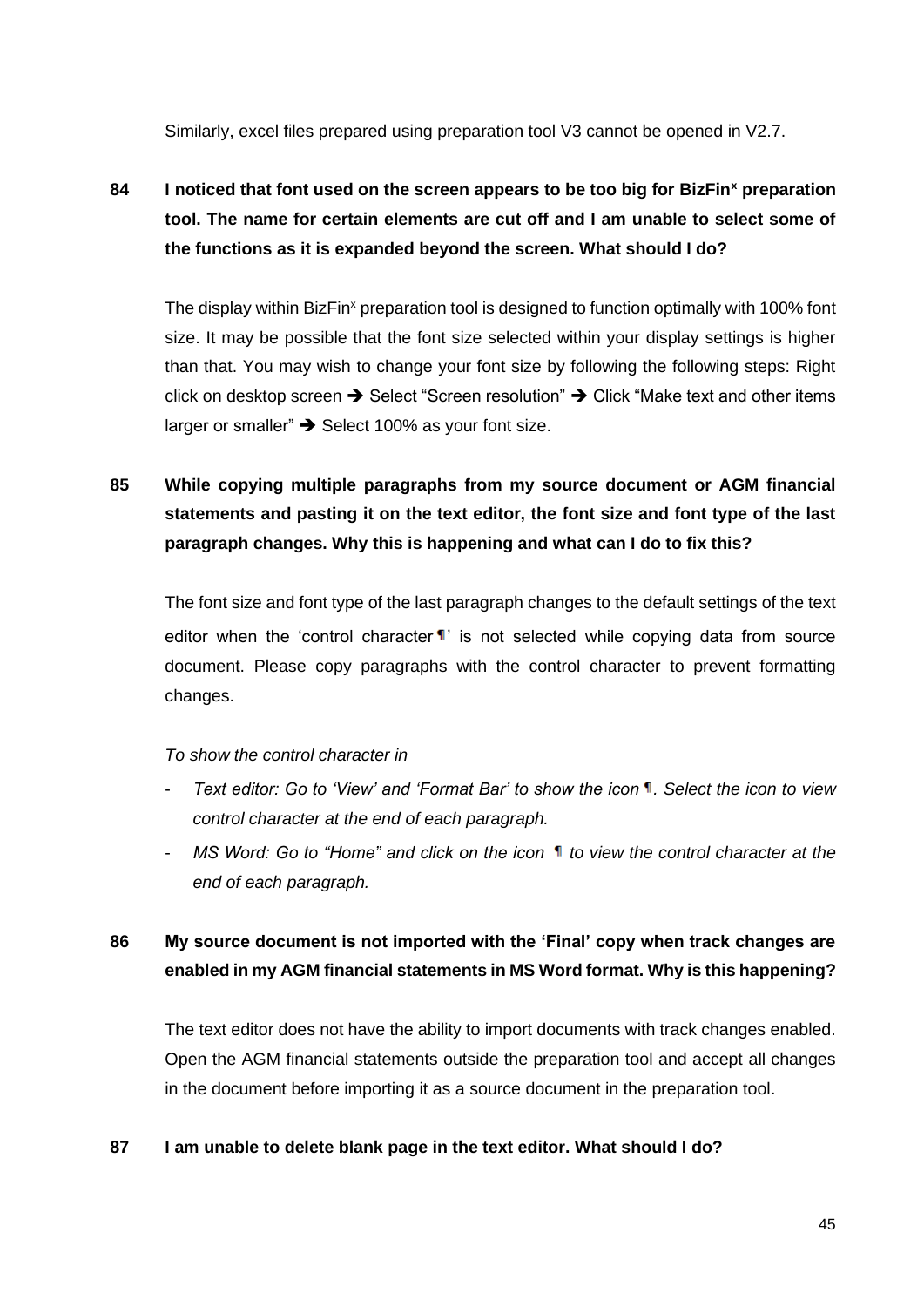Similarly, excel files prepared using preparation tool V3 cannot be opened in V2.7.

<span id="page-45-0"></span>**84 I noticed that font used on the screen appears to be too big for BizFin<sup>x</sup> preparation tool. The name for certain elements are cut off and I am unable to select some of the functions as it is expanded beyond the screen. What should I do?**

The display within BizFin<sup>x</sup> preparation tool is designed to function optimally with 100% font size. It may be possible that the font size selected within your display settings is higher than that. You may wish to change your font size by following the following steps: Right click on desktop screen ➔ Select "Screen resolution" ➔ Click "Make text and other items larger or smaller" ➔ Select 100% as your font size.

# <span id="page-45-1"></span>**85 While copying multiple paragraphs from my source document or AGM financial statements and pasting it on the text editor, the font size and font type of the last paragraph changes. Why this is happening and what can I do to fix this?**

The font size and font type of the last paragraph changes to the default settings of the text editor when the 'control character  $\P'$ ' is not selected while copying data from source document. Please copy paragraphs with the control character to prevent formatting changes.

## *To show the control character in*

- *Text editor: Go to 'View' and 'Format Bar' to show the icon . Select the icon to view control character at the end of each paragraph.*
- *MS Word: Go to "Home" and click on the icon*  $\mathbb{I}$  to view the control character at the *end of each paragraph.*

## <span id="page-45-2"></span>**86 My source document is not imported with the 'Final' copy when track changes are enabled in my AGM financial statements in MS Word format. Why is this happening?**

The text editor does not have the ability to import documents with track changes enabled. Open the AGM financial statements outside the preparation tool and accept all changes in the document before importing it as a source document in the preparation tool.

#### <span id="page-45-3"></span>**87 I am unable to delete blank page in the text editor. What should I do?**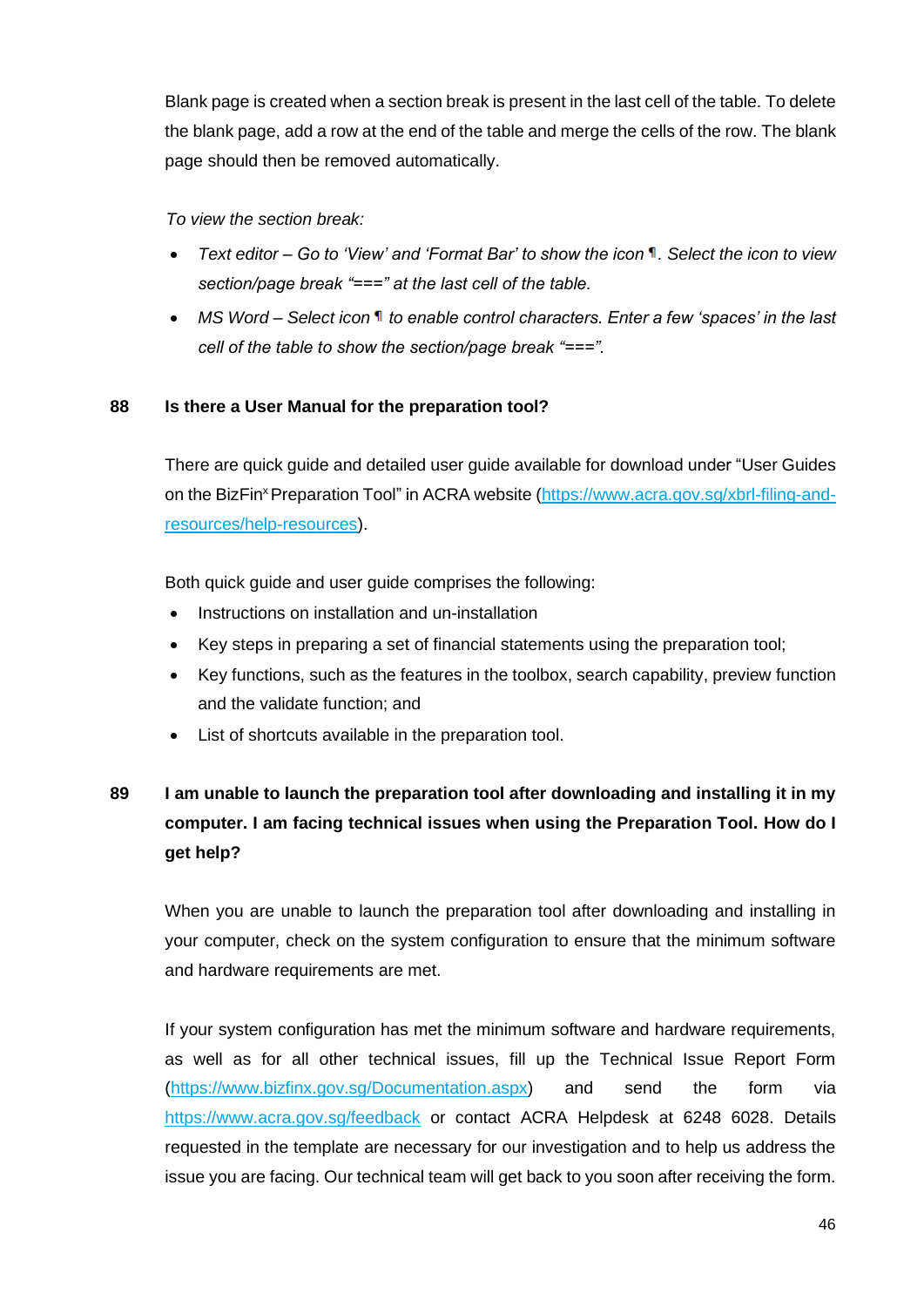Blank page is created when a section break is present in the last cell of the table. To delete the blank page, add a row at the end of the table and merge the cells of the row. The blank page should then be removed automatically.

*To view the section break:*

- *Text editor – Go to 'View' and 'Format Bar' to show the icon . Select the icon to view section/page break "===" at the last cell of the table.*
- *MS Word – Select icon to enable control characters. Enter a few 'spaces' in the last cell of the table to show the section/page break "===".*

## <span id="page-46-0"></span>**88 Is there a User Manual for the preparation tool?**

There are quick guide and detailed user guide available for download under "User Guides on the BizFin<sup>x</sup> Preparation Tool" in ACRA website [\(https://www.acra.gov.sg/xbrl-filing-and](https://www.acra.gov.sg/xbrl-filing-and-resources/help-resources)[resources/help-resources\)](https://www.acra.gov.sg/xbrl-filing-and-resources/help-resources).

Both quick guide and user guide comprises the following:

- Instructions on installation and un-installation
- Key steps in preparing a set of financial statements using the preparation tool;
- Key functions, such as the features in the toolbox, search capability, preview function and the validate function; and
- List of shortcuts available in the preparation tool.

# <span id="page-46-1"></span>**89 I am unable to launch the preparation tool after downloading and installing it in my computer. I am facing technical issues when using the Preparation Tool. How do I get help?**

When you are unable to launch the preparation tool after downloading and installing in your computer, check on the system configuration to ensure that the minimum software and hardware requirements are met.

If your system configuration has met the minimum software and hardware requirements, as well as for all other technical issues, fill up the Technical Issue Report Form [\(https://www.bizfinx.gov.sg/Documentation.aspx\)](https://www.bizfinx.gov.sg/Documentation.aspx) and send the form via <https://www.acra.gov.sg/feedback> or contact ACRA Helpdesk at 6248 6028. Details requested in the template are necessary for our investigation and to help us address the issue you are facing. Our technical team will get back to you soon after receiving the form.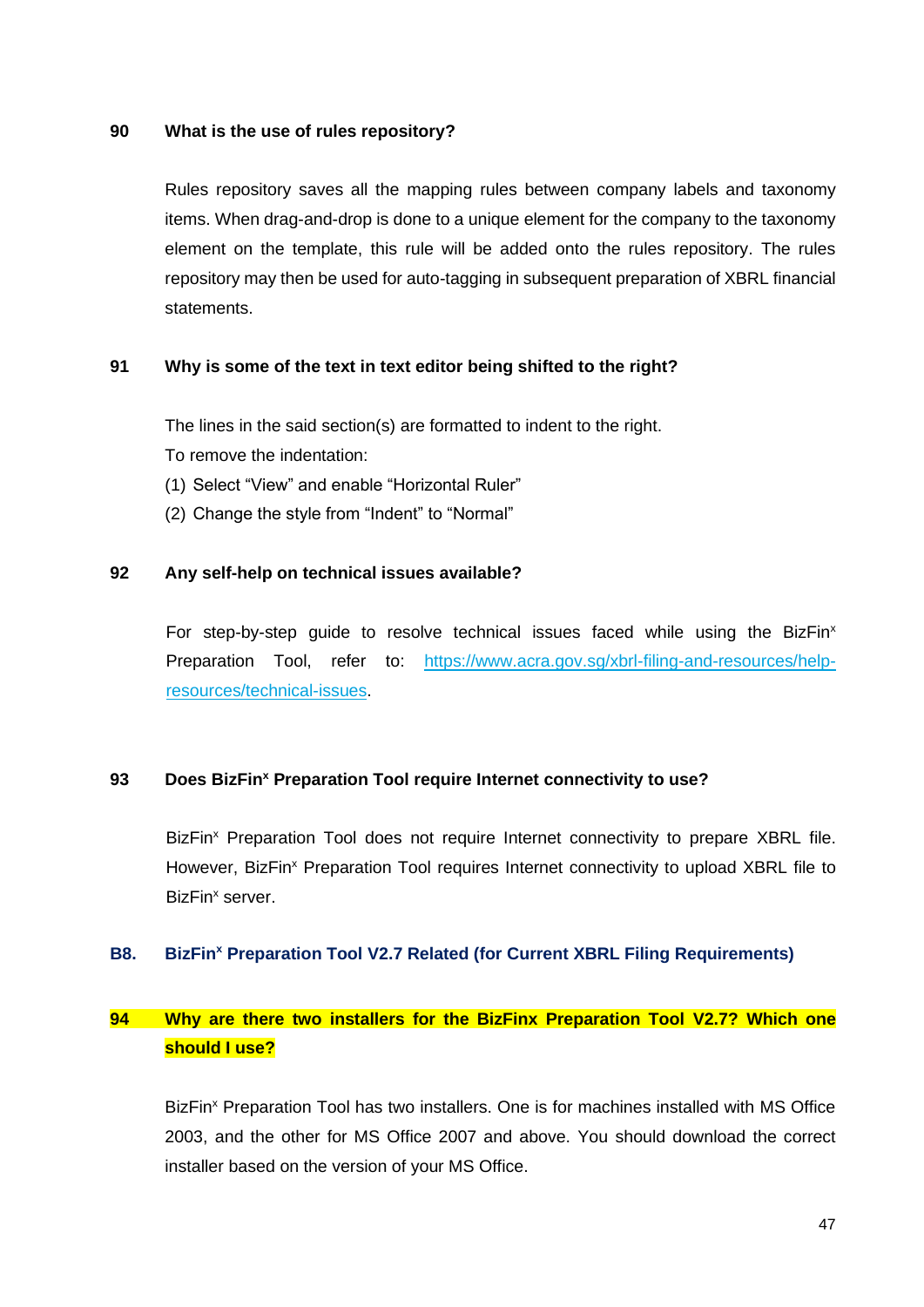#### <span id="page-47-1"></span>**90 What is the use of rules repository?**

Rules repository saves all the mapping rules between company labels and taxonomy items. When drag-and-drop is done to a unique element for the company to the taxonomy element on the template, this rule will be added onto the rules repository. The rules repository may then be used for auto-tagging in subsequent preparation of XBRL financial statements.

#### <span id="page-47-2"></span>**91 Why is some of the text in text editor being shifted to the right?**

The lines in the said section(s) are formatted to indent to the right. To remove the indentation:

- (1) Select "View" and enable "Horizontal Ruler"
- (2) Change the style from "Indent" to "Normal"

#### <span id="page-47-3"></span>**92 Any self-help on technical issues available?**

For step-by-step guide to resolve technical issues faced while using the BizFin<sup>x</sup> Preparation Tool, refer to: https://www.acra.gov.sg/xbrl-filing-and-resources/helpresources/technical-issues.

#### <span id="page-47-4"></span>**93 Does BizFin<sup>x</sup> Preparation Tool require Internet connectivity to use?**

BizFin<sup>x</sup> Preparation Tool does not require Internet connectivity to prepare XBRL file. However, BizFin<sup>x</sup> Preparation Tool requires Internet connectivity to upload XBRL file to BizFin<sup>x</sup> server.

#### <span id="page-47-0"></span>**B8. BizFin<sup>x</sup> Preparation Tool V2.7 Related (for Current XBRL Filing Requirements)**

## <span id="page-47-5"></span>**94 Why are there two installers for the BizFinx Preparation Tool V2.7? Which one should I use?**

BizFin<sup>x</sup> Preparation Tool has two installers. One is for machines installed with MS Office 2003, and the other for MS Office 2007 and above. You should download the correct installer based on the version of your MS Office.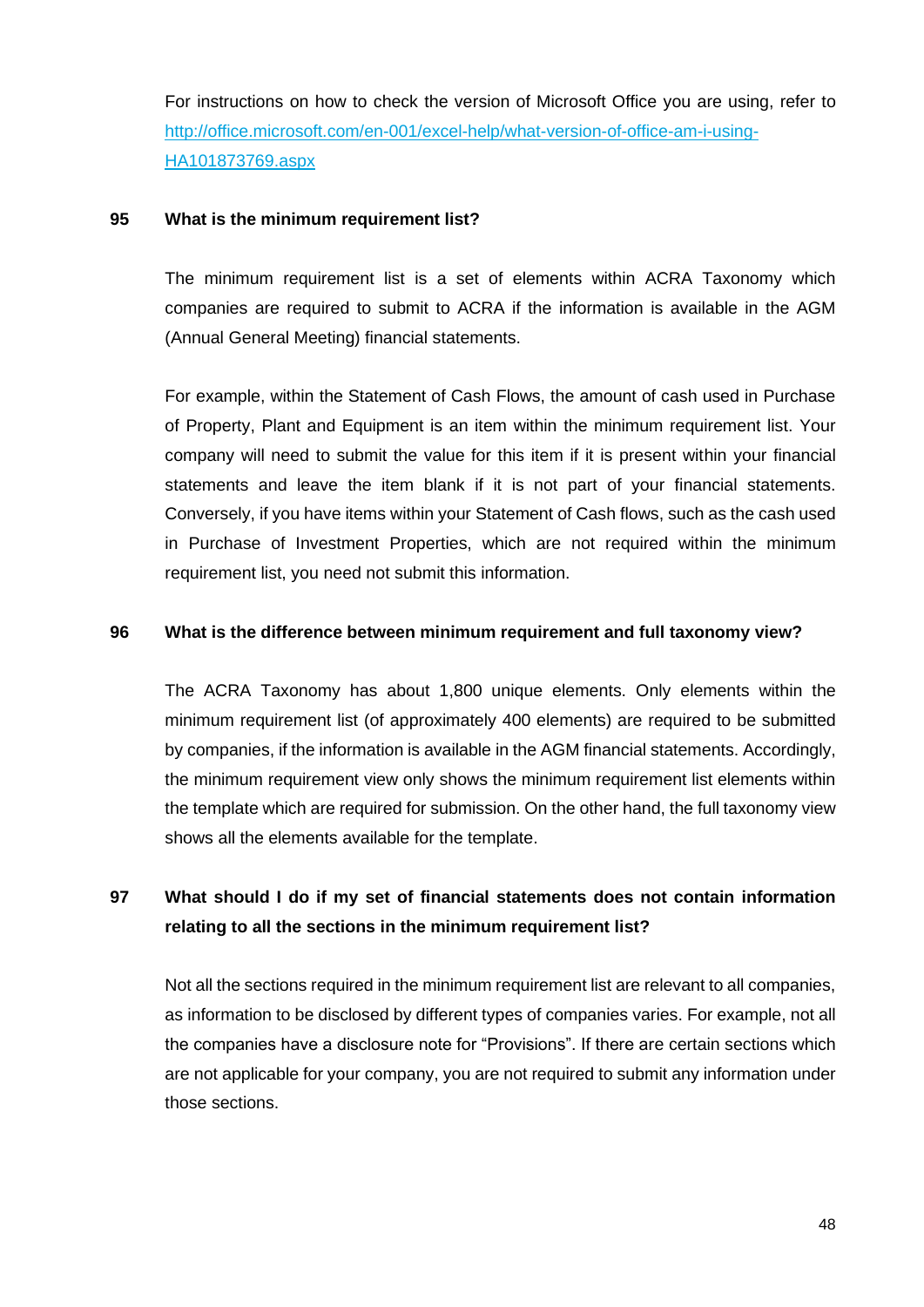For instructions on how to check the version of Microsoft Office you are using, refer to [http://office.microsoft.com/en-001/excel-help/what-version-of-office-am-i-using-](http://office.microsoft.com/en-001/excel-help/what-version-of-office-am-i-using-HA101873769.aspx)[HA101873769.aspx](http://office.microsoft.com/en-001/excel-help/what-version-of-office-am-i-using-HA101873769.aspx)

#### <span id="page-48-0"></span>**95 What is the minimum requirement list?**

The minimum requirement list is a set of elements within ACRA Taxonomy which companies are required to submit to ACRA if the information is available in the AGM (Annual General Meeting) financial statements.

For example, within the Statement of Cash Flows, the amount of cash used in Purchase of Property, Plant and Equipment is an item within the minimum requirement list. Your company will need to submit the value for this item if it is present within your financial statements and leave the item blank if it is not part of your financial statements. Conversely, if you have items within your Statement of Cash flows, such as the cash used in Purchase of Investment Properties, which are not required within the minimum requirement list, you need not submit this information.

#### <span id="page-48-1"></span>**96 What is the difference between minimum requirement and full taxonomy view?**

The ACRA Taxonomy has about 1,800 unique elements. Only elements within the minimum requirement list (of approximately 400 elements) are required to be submitted by companies, if the information is available in the AGM financial statements. Accordingly, the minimum requirement view only shows the minimum requirement list elements within the template which are required for submission. On the other hand, the full taxonomy view shows all the elements available for the template.

# <span id="page-48-2"></span>**97 What should I do if my set of financial statements does not contain information relating to all the sections in the minimum requirement list?**

Not all the sections required in the minimum requirement list are relevant to all companies, as information to be disclosed by different types of companies varies. For example, not all the companies have a disclosure note for "Provisions". If there are certain sections which are not applicable for your company, you are not required to submit any information under those sections.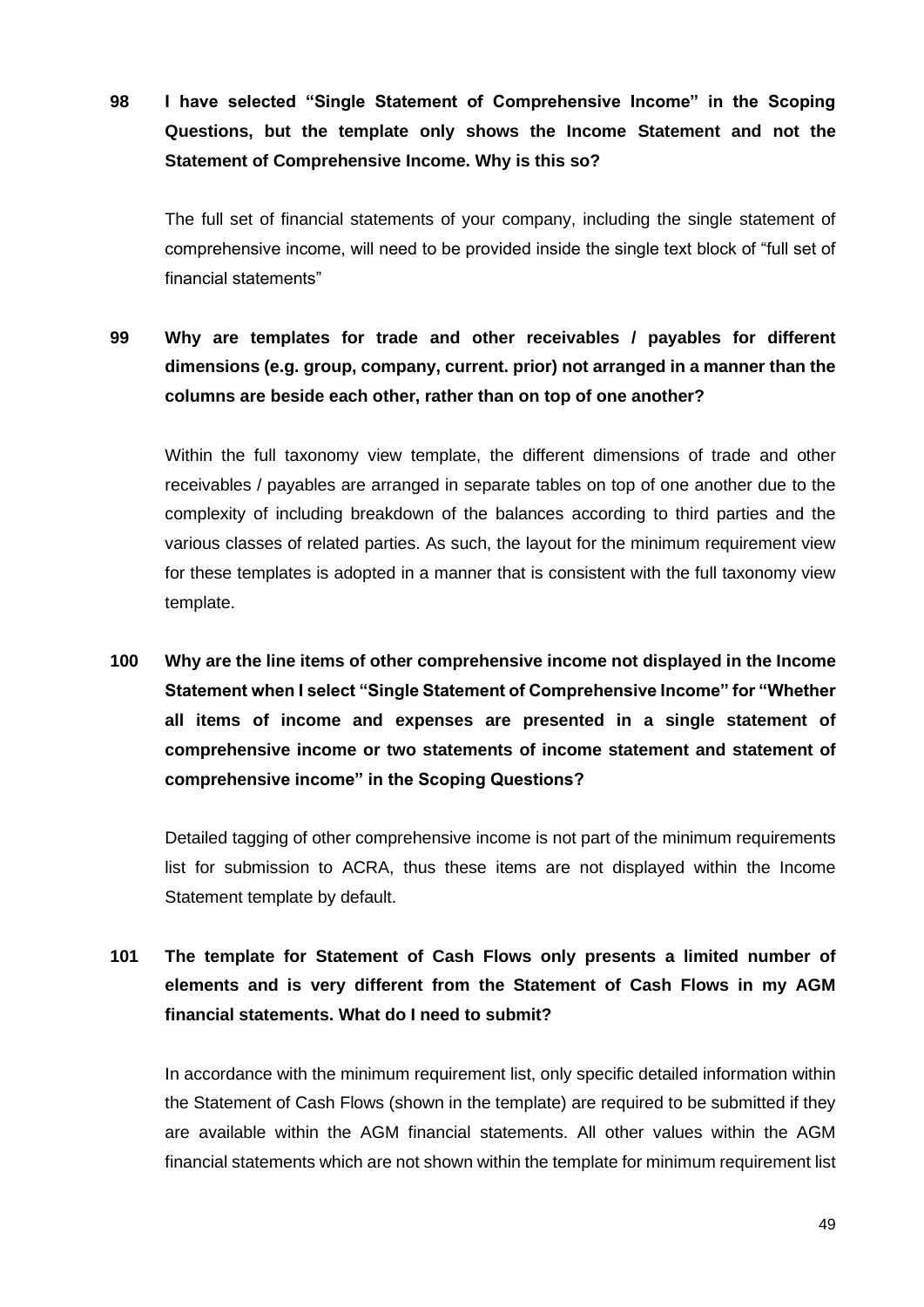<span id="page-49-0"></span>**98 I have selected "Single Statement of Comprehensive Income" in the Scoping Questions, but the template only shows the Income Statement and not the Statement of Comprehensive Income. Why is this so?**

The full set of financial statements of your company, including the single statement of comprehensive income, will need to be provided inside the single text block of "full set of financial statements"

<span id="page-49-1"></span>**99 Why are templates for trade and other receivables / payables for different dimensions (e.g. group, company, current. prior) not arranged in a manner than the columns are beside each other, rather than on top of one another?**

Within the full taxonomy view template, the different dimensions of trade and other receivables / payables are arranged in separate tables on top of one another due to the complexity of including breakdown of the balances according to third parties and the various classes of related parties. As such, the layout for the minimum requirement view for these templates is adopted in a manner that is consistent with the full taxonomy view template.

<span id="page-49-2"></span>**100 Why are the line items of other comprehensive income not displayed in the Income Statement when I select "Single Statement of Comprehensive Income" for "Whether all items of income and expenses are presented in a single statement of comprehensive income or two statements of income statement and statement of comprehensive income" in the Scoping Questions?**

Detailed tagging of other comprehensive income is not part of the minimum requirements list for submission to ACRA, thus these items are not displayed within the Income Statement template by default.

<span id="page-49-3"></span>**101 The template for Statement of Cash Flows only presents a limited number of elements and is very different from the Statement of Cash Flows in my AGM financial statements. What do I need to submit?**

In accordance with the minimum requirement list, only specific detailed information within the Statement of Cash Flows (shown in the template) are required to be submitted if they are available within the AGM financial statements. All other values within the AGM financial statements which are not shown within the template for minimum requirement list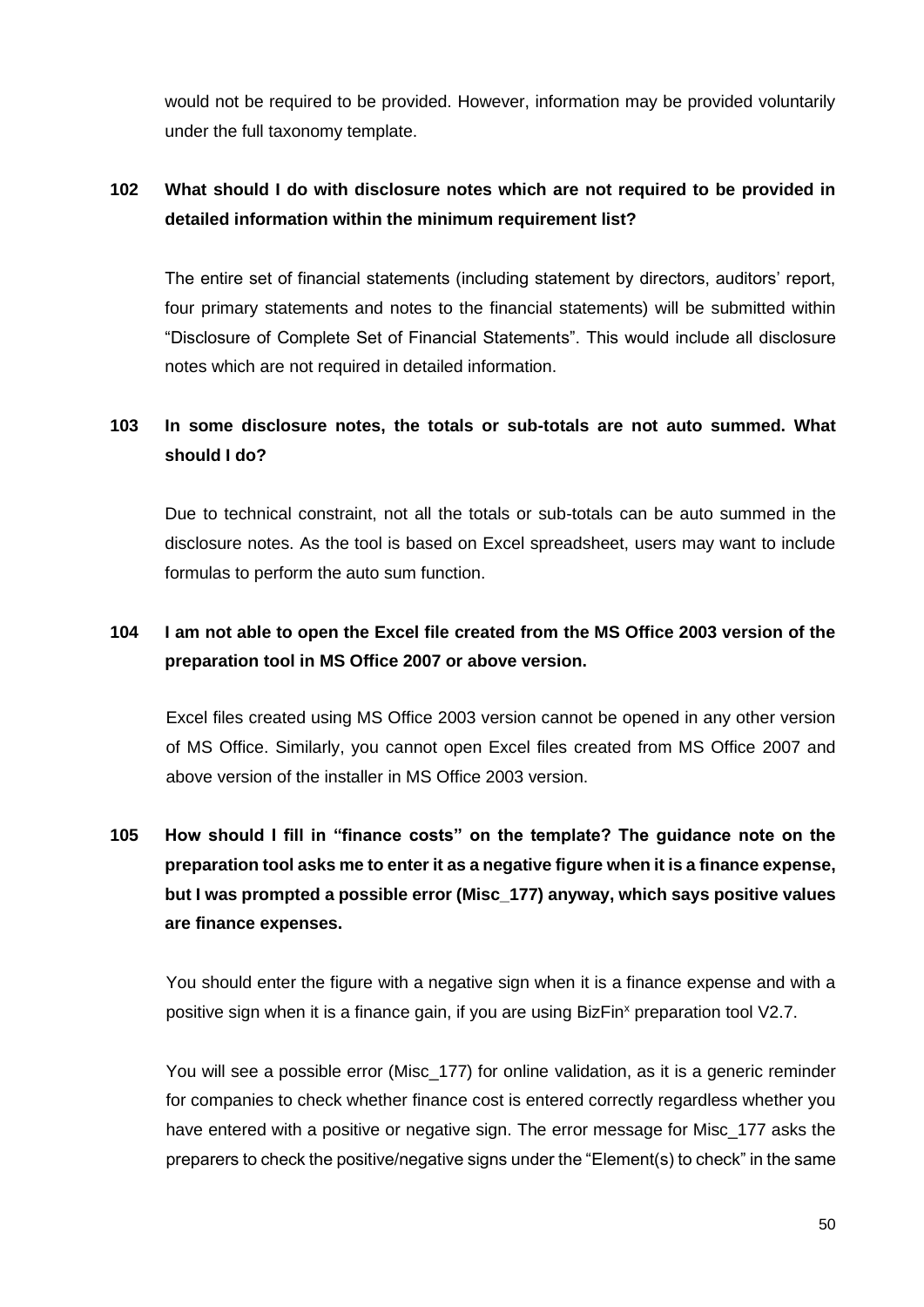would not be required to be provided. However, information may be provided voluntarily under the full taxonomy template.

## <span id="page-50-0"></span>**102 What should I do with disclosure notes which are not required to be provided in detailed information within the minimum requirement list?**

The entire set of financial statements (including statement by directors, auditors' report, four primary statements and notes to the financial statements) will be submitted within "Disclosure of Complete Set of Financial Statements". This would include all disclosure notes which are not required in detailed information.

## <span id="page-50-1"></span>**103 In some disclosure notes, the totals or sub-totals are not auto summed. What should I do?**

Due to technical constraint, not all the totals or sub-totals can be auto summed in the disclosure notes. As the tool is based on Excel spreadsheet, users may want to include formulas to perform the auto sum function.

## <span id="page-50-2"></span>**104 I am not able to open the Excel file created from the MS Office 2003 version of the preparation tool in MS Office 2007 or above version.**

Excel files created using MS Office 2003 version cannot be opened in any other version of MS Office. Similarly, you cannot open Excel files created from MS Office 2007 and above version of the installer in MS Office 2003 version.

# <span id="page-50-3"></span>**105 How should I fill in "finance costs" on the template? The guidance note on the preparation tool asks me to enter it as a negative figure when it is a finance expense, but I was prompted a possible error (Misc\_177) anyway, which says positive values are finance expenses.**

You should enter the figure with a negative sign when it is a finance expense and with a positive sign when it is a finance gain, if you are using BizFin<sup>x</sup> preparation tool V2.7.

You will see a possible error (Misc 177) for online validation, as it is a generic reminder for companies to check whether finance cost is entered correctly regardless whether you have entered with a positive or negative sign. The error message for Misc 177 asks the preparers to check the positive/negative signs under the "Element(s) to check" in the same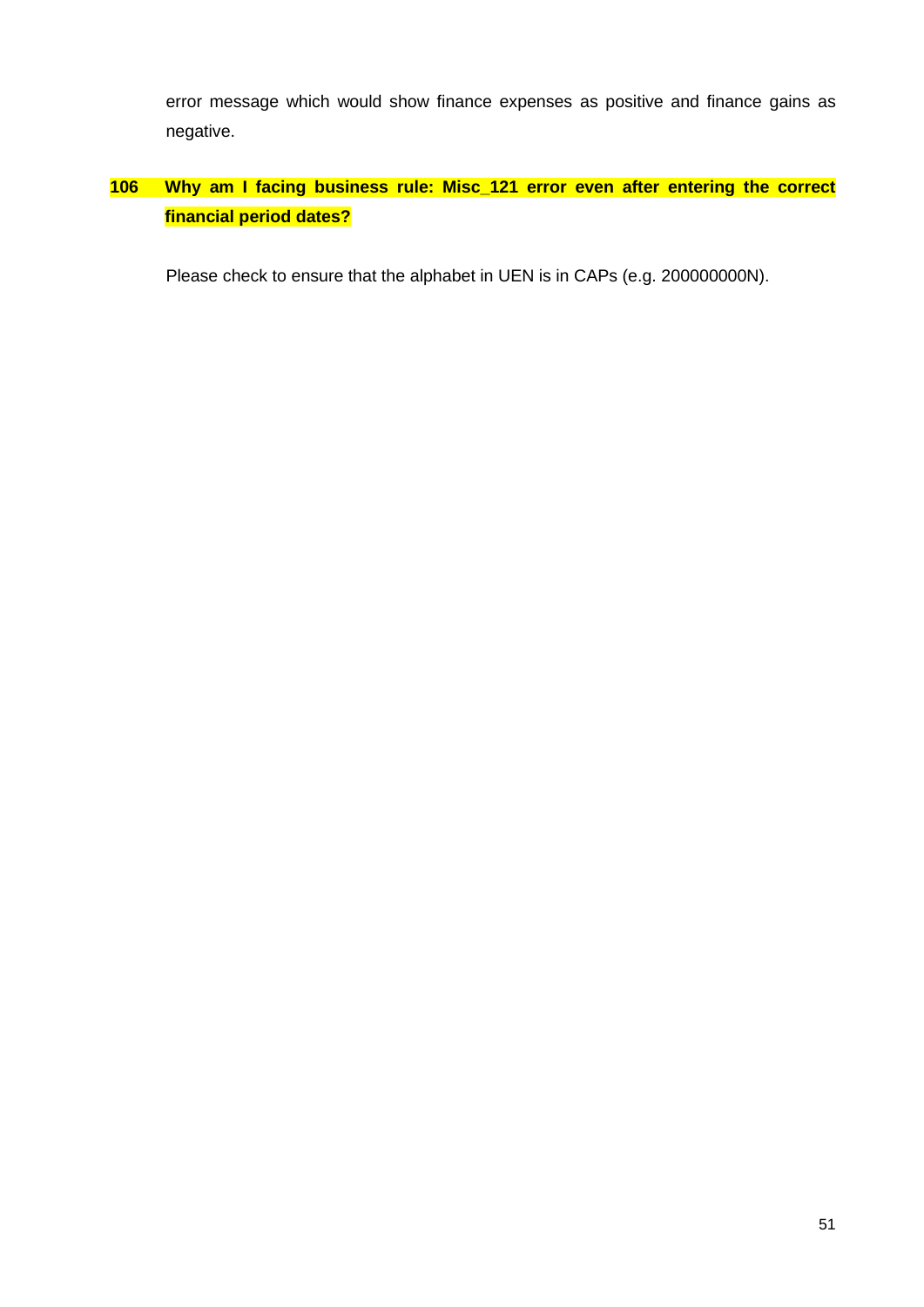error message which would show finance expenses as positive and finance gains as negative.

# <span id="page-51-0"></span>**106 Why am I facing business rule: Misc\_121 error even after entering the correct financial period dates?**

Please check to ensure that the alphabet in UEN is in CAPs (e.g. 200000000N).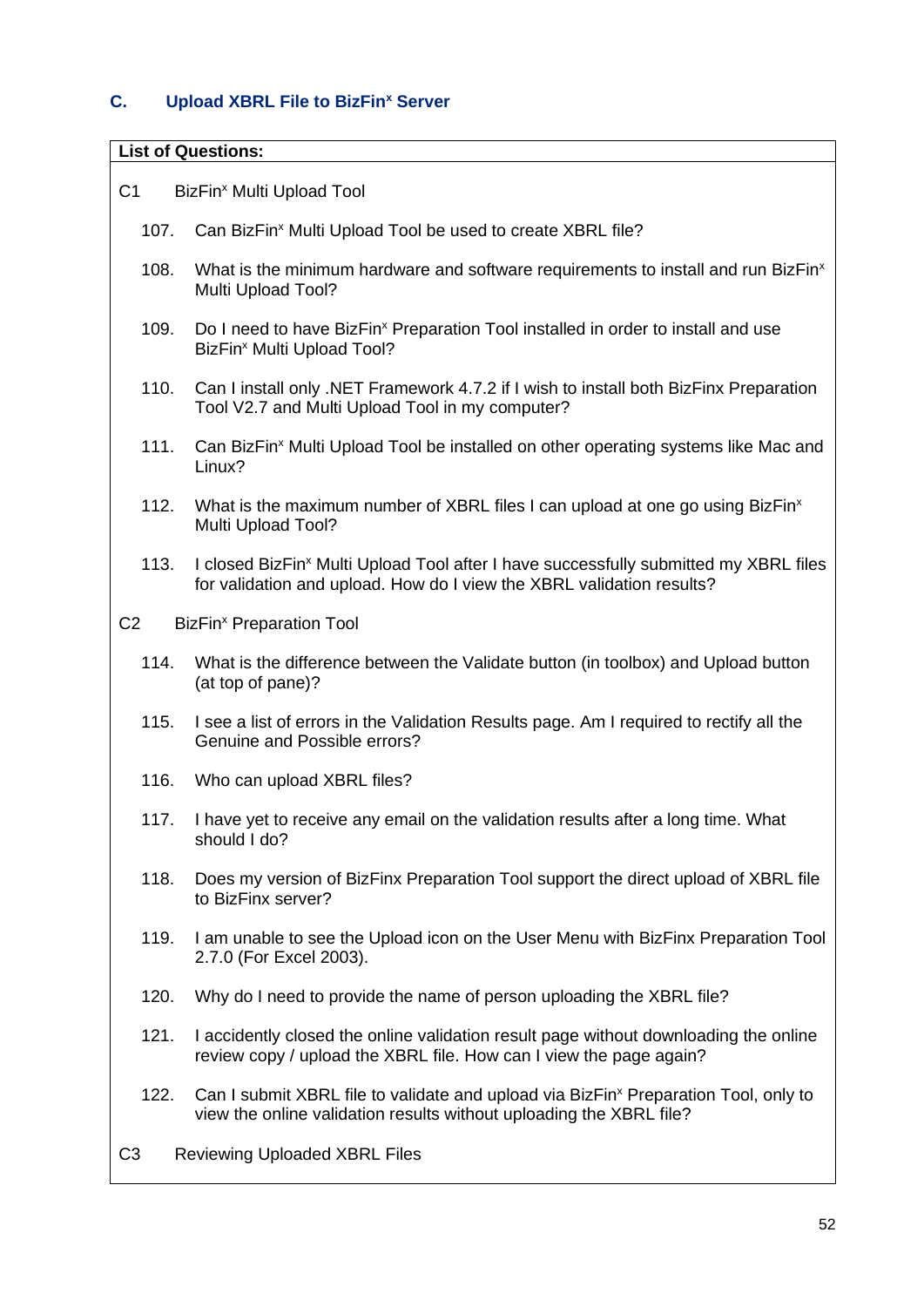## <span id="page-52-0"></span>**C. Upload XBRL File to BizFin<sup>x</sup> Server**

#### **List of Questions:**

- C1 BizFin<sup>x</sup> [Multi Upload Tool](#page-53-0)
	- 107. Can BizFin<sup>x</sup> [Multi Upload Tool be used to create XBRL file?](#page-53-1)
	- 108. [What is the minimum hardware and software requirements to install and run BizFin](#page-53-2)<sup>x</sup> [Multi Upload Tool?](#page-53-2)
	- 109. Do I need to have BizFin<sup>x</sup> Preparation Tool installed in order to install and use BizFin<sup>x</sup> [Multi Upload Tool?](#page-54-0)
	- 110. [Can I install only .NET Framework 4.7.2 if I wish to install both BizFinx Preparation](#page-54-1)  [Tool V2.7 and Multi Upload Tool in my computer?](#page-54-1)
	- 111. Can BizFin<sup>x</sup> Multi Upload Tool be installed on other operating systems like Mac and [Linux?](#page-54-2)
	- 112. [What is the maximum number of XBRL files I can upload at one go using BizFin](#page-54-3)<sup>x</sup> [Multi Upload Tool?](#page-54-3)
	- 113. I closed BizFin<sup>x</sup> Multi Upload Tool after I have successfully submitted my XBRL files [for validation and upload. How do I view the XBRL validation results?](#page-54-4)
- C2 BizFin<sup>x</sup> [Preparation Tool](#page-55-0)
	- 114. [What is the difference between the Validate button \(in toolbox\) and Upload button](#page-55-1)  [\(at top of pane\)?](#page-55-1)
	- 115. [I see a list of errors in the Validation Results page. Am I required to rectify all the](#page-55-2)  [Genuine and Possible errors?](#page-55-2)
	- 116. [Who can upload XBRL files?](#page-55-3)
	- 117. [I have yet to receive any email on the validation results after a long time. What](#page-56-0)  [should I do?](#page-56-0)
	- 118. [Does my version of BizFinx Preparation Tool support the direct upload of XBRL file](#page-56-1)  [to BizFinx server?](#page-56-1)
	- 119. [I am unable to see the Upload icon on the User Menu with BizFinx Preparation Tool](#page-56-2)  [2.7.0 \(For Excel 2003\).](#page-56-2)
	- 120. [Why do I need to provide the name of person uploading the XBRL file?](#page-56-3)
	- 121. [I accidently closed the online validation result page without downloading the online](#page-56-4)  [review copy / upload the XBRL file. How can I view the page again?](#page-56-4)
	- 122. Can I submit [XBRL file to validate and upload via BizFin](#page-56-5)<sup>x</sup> Preparation Tool, only to [view the online validation results without uploading the XBRL file?](#page-56-5)
- C3 [Reviewing Uploaded XBRL Files](#page-57-0)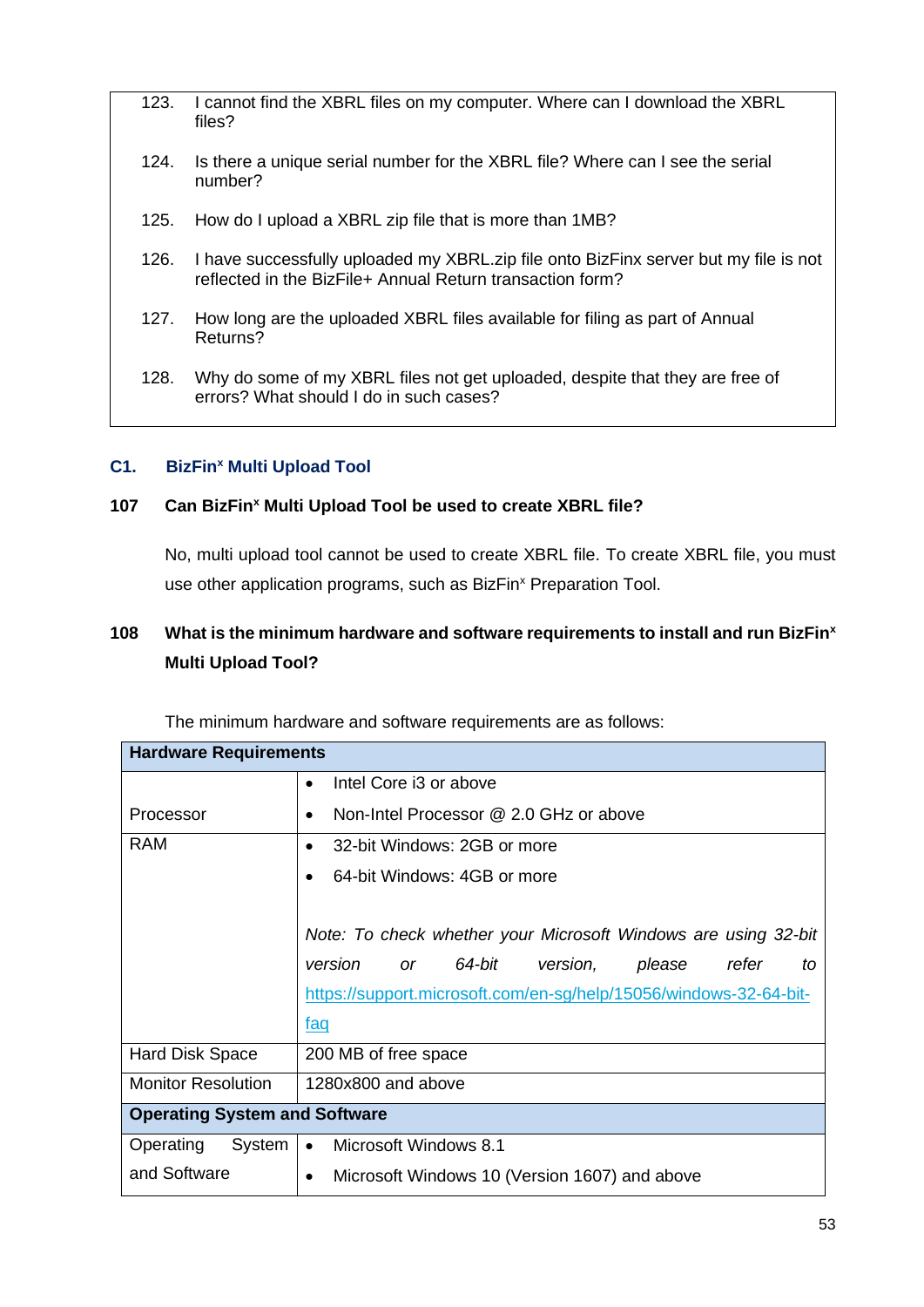- 123. [I cannot find the XBRL files on my computer. Where can I download the XBRL](#page-57-1)  [files?](#page-57-1)
- 124. [Is there a unique serial number for the XBRL file? Where can I see the serial](#page-57-2)  [number?](#page-57-2)
- 125. [How do I upload a XBRL zip file that is more than 1MB?](#page-57-3)
- 126. [I have successfully uploaded my XBRL.zip file onto BizFinx server but my file is not](#page-57-4)  [reflected in the BizFile+ Annual Return transaction form?](#page-57-4)
- 127. [How long are the uploaded XBRL files available for filing as part of Annual](#page-58-0)  [Returns?](#page-58-0)
- 128. [Why do some of my XBRL files not get uploaded, despite that they are free of](#page-58-1)  [errors? What should I do in such cases?](#page-58-1)

#### <span id="page-53-0"></span>**C1. BizFin<sup>x</sup> Multi Upload Tool**

#### <span id="page-53-1"></span>**107 Can BizFin<sup>x</sup> Multi Upload Tool be used to create XBRL file?**

No, multi upload tool cannot be used to create XBRL file. To create XBRL file, you must use other application programs, such as BizFin<sup>x</sup> Preparation Tool.

## <span id="page-53-2"></span>**108 What is the minimum hardware and software requirements to install and run BizFin<sup>x</sup> Multi Upload Tool?**

| <b>Hardware Requirements</b>         |                                                                     |  |
|--------------------------------------|---------------------------------------------------------------------|--|
|                                      | Intel Core i3 or above<br>$\bullet$                                 |  |
| Processor                            | Non-Intel Processor @ 2.0 GHz or above<br>$\bullet$                 |  |
| <b>RAM</b>                           | 32-bit Windows: 2GB or more<br>$\bullet$                            |  |
|                                      | 64-bit Windows: 4GB or more                                         |  |
|                                      |                                                                     |  |
|                                      | Note: To check whether your Microsoft Windows are using 32-bit      |  |
|                                      | 64-bit<br>version<br>version,<br>refer<br>please<br><b>or</b><br>to |  |
|                                      | https://support.microsoft.com/en-sg/help/15056/windows-32-64-bit-   |  |
|                                      | <u>faq</u>                                                          |  |
| Hard Disk Space                      | 200 MB of free space                                                |  |
| <b>Monitor Resolution</b>            | 1280x800 and above                                                  |  |
| <b>Operating System and Software</b> |                                                                     |  |
| Operating<br>System                  | Microsoft Windows 8.1<br>$\bullet$                                  |  |
| and Software                         | Microsoft Windows 10 (Version 1607) and above<br>$\bullet$          |  |

The minimum hardware and software requirements are as follows: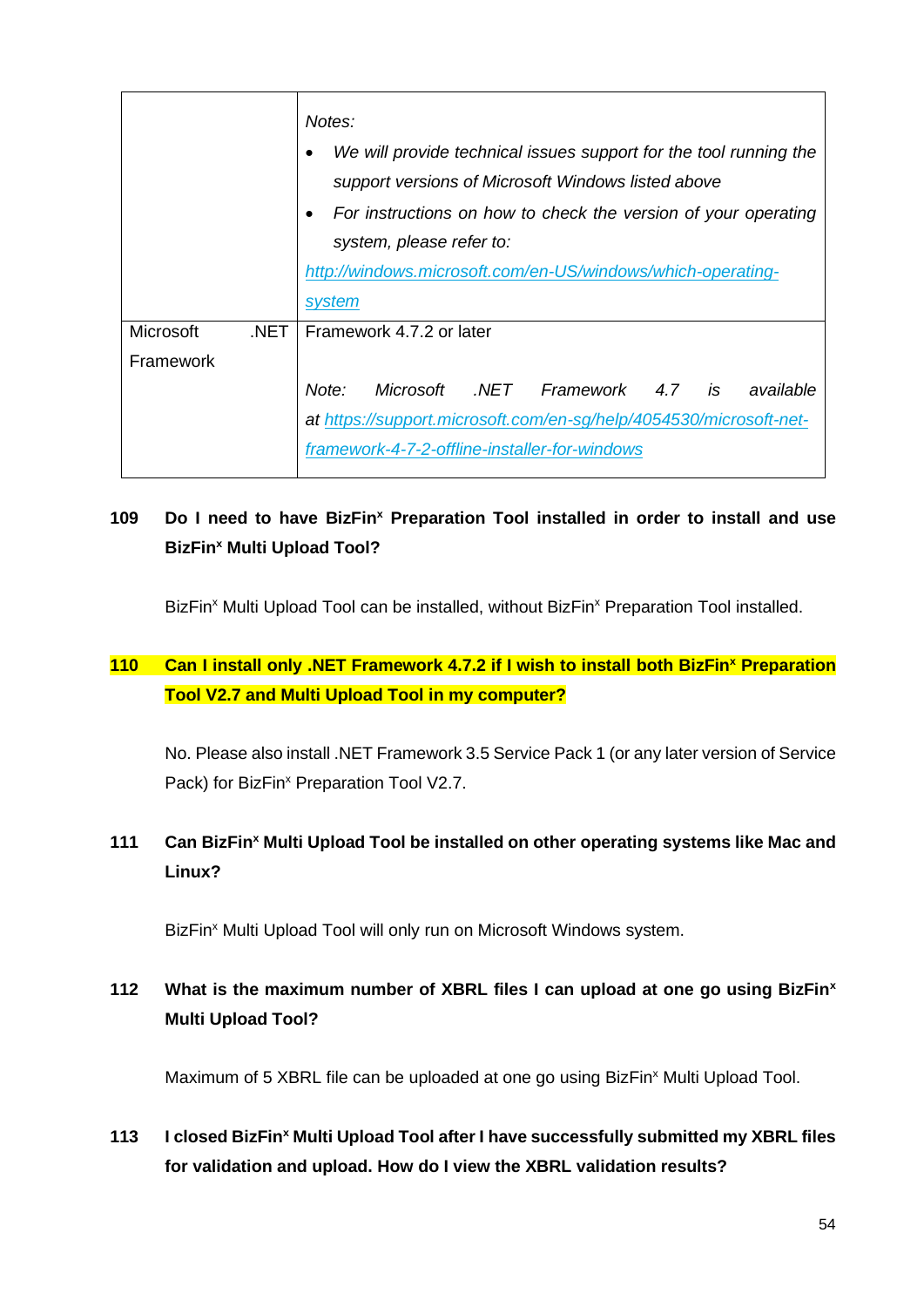|                   | Notes:                                                             |  |
|-------------------|--------------------------------------------------------------------|--|
|                   | We will provide technical issues support for the tool running the  |  |
|                   | support versions of Microsoft Windows listed above                 |  |
|                   | For instructions on how to check the version of your operating     |  |
|                   | system, please refer to:                                           |  |
|                   | http://windows.microsoft.com/en-US/windows/which-operating-        |  |
|                   | system                                                             |  |
| Microsoft<br>.NET | Framework 4.7.2 or later                                           |  |
| Framework         |                                                                    |  |
|                   | Microsoft .NET Framework 4.7 is available<br>Note:                 |  |
|                   | at https://support.microsoft.com/en-sq/help/4054530/microsoft-net- |  |
|                   | framework-4-7-2-offline-installer-for-windows                      |  |

# <span id="page-54-0"></span>**109 Do I need to have BizFin<sup>x</sup> Preparation Tool installed in order to install and use BizFin<sup>x</sup> Multi Upload Tool?**

BizFin<sup>x</sup> Multi Upload Tool can be installed, without BizFin<sup>x</sup> Preparation Tool installed.

## <span id="page-54-1"></span>**110 Can I install only .NET Framework 4.7.2 if I wish to install both BizFin<sup>x</sup> Preparation Tool V2.7 and Multi Upload Tool in my computer?**

No. Please also install .NET Framework 3.5 Service Pack 1 (or any later version of Service Pack) for BizFin<sup>x</sup> Preparation Tool V2.7.

## <span id="page-54-2"></span>**111 Can BizFin<sup>x</sup> Multi Upload Tool be installed on other operating systems like Mac and Linux?**

BizFin<sup>x</sup> Multi Upload Tool will only run on Microsoft Windows system.

# <span id="page-54-3"></span>**112 What is the maximum number of XBRL files I can upload at one go using BizFin<sup>x</sup> Multi Upload Tool?**

Maximum of 5 XBRL file can be uploaded at one go using BizFin<sup>x</sup> Multi Upload Tool.

## <span id="page-54-4"></span>**113 I closed BizFin<sup>x</sup> Multi Upload Tool after I have successfully submitted my XBRL files for validation and upload. How do I view the XBRL validation results?**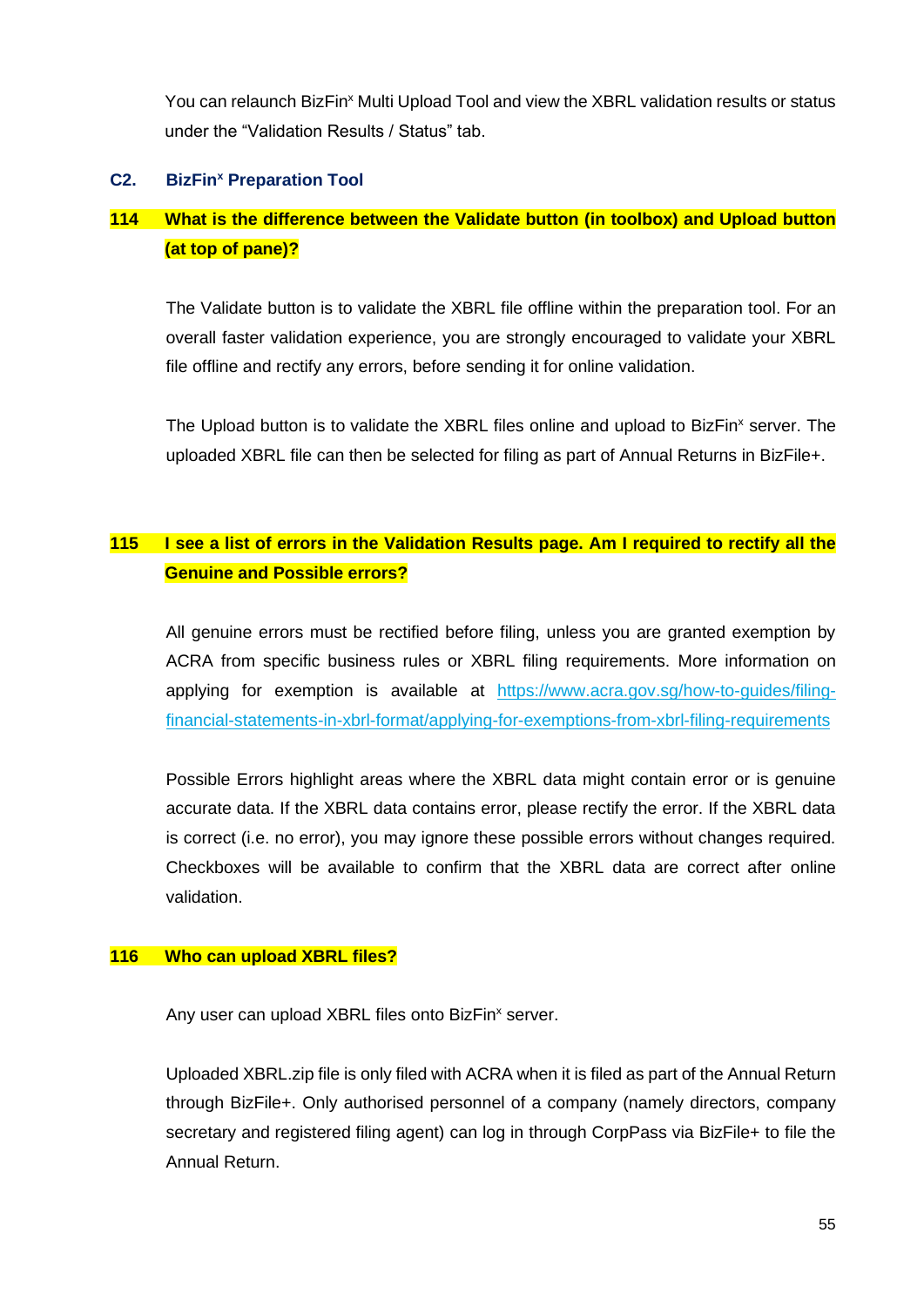You can relaunch BizFin<sup>x</sup> Multi Upload Tool and view the XBRL validation results or status under the "Validation Results / Status" tab.

#### <span id="page-55-0"></span>**C2. BizFin<sup>x</sup> Preparation Tool**

## <span id="page-55-1"></span>**114 What is the difference between the Validate button (in toolbox) and Upload button (at top of pane)?**

The Validate button is to validate the XBRL file offline within the preparation tool. For an overall faster validation experience, you are strongly encouraged to validate your XBRL file offline and rectify any errors, before sending it for online validation.

The Upload button is to validate the XBRL files online and upload to BizFin<sup>x</sup> server. The uploaded XBRL file can then be selected for filing as part of Annual Returns in BizFile+.

## <span id="page-55-2"></span>**115 I see a list of errors in the Validation Results page. Am I required to rectify all the Genuine and Possible errors?**

All genuine errors must be rectified before filing, unless you are granted exemption by ACRA from specific business rules or XBRL filing requirements. More information on applying for exemption is available at [https://www.acra.gov.sg/how-to-guides/filing](https://www.acra.gov.sg/how-to-guides/filing-financial-statements-in-xbrl-format/applying-for-exemptions-from-xbrl-filing-requirements)[financial-statements-in-xbrl-format/applying-for-exemptions-from-xbrl-filing-requirements](https://www.acra.gov.sg/how-to-guides/filing-financial-statements-in-xbrl-format/applying-for-exemptions-from-xbrl-filing-requirements)

Possible Errors highlight areas where the XBRL data might contain error or is genuine accurate data. If the XBRL data contains error, please rectify the error. If the XBRL data is correct (i.e. no error), you may ignore these possible errors without changes required. Checkboxes will be available to confirm that the XBRL data are correct after online validation.

#### <span id="page-55-3"></span>**116 Who can upload XBRL files?**

Any user can upload XBRL files onto BizFin<sup>x</sup> server.

Uploaded XBRL.zip file is only filed with ACRA when it is filed as part of the Annual Return through BizFile+. Only authorised personnel of a company (namely directors, company secretary and registered filing agent) can log in through CorpPass via BizFile+ to file the Annual Return.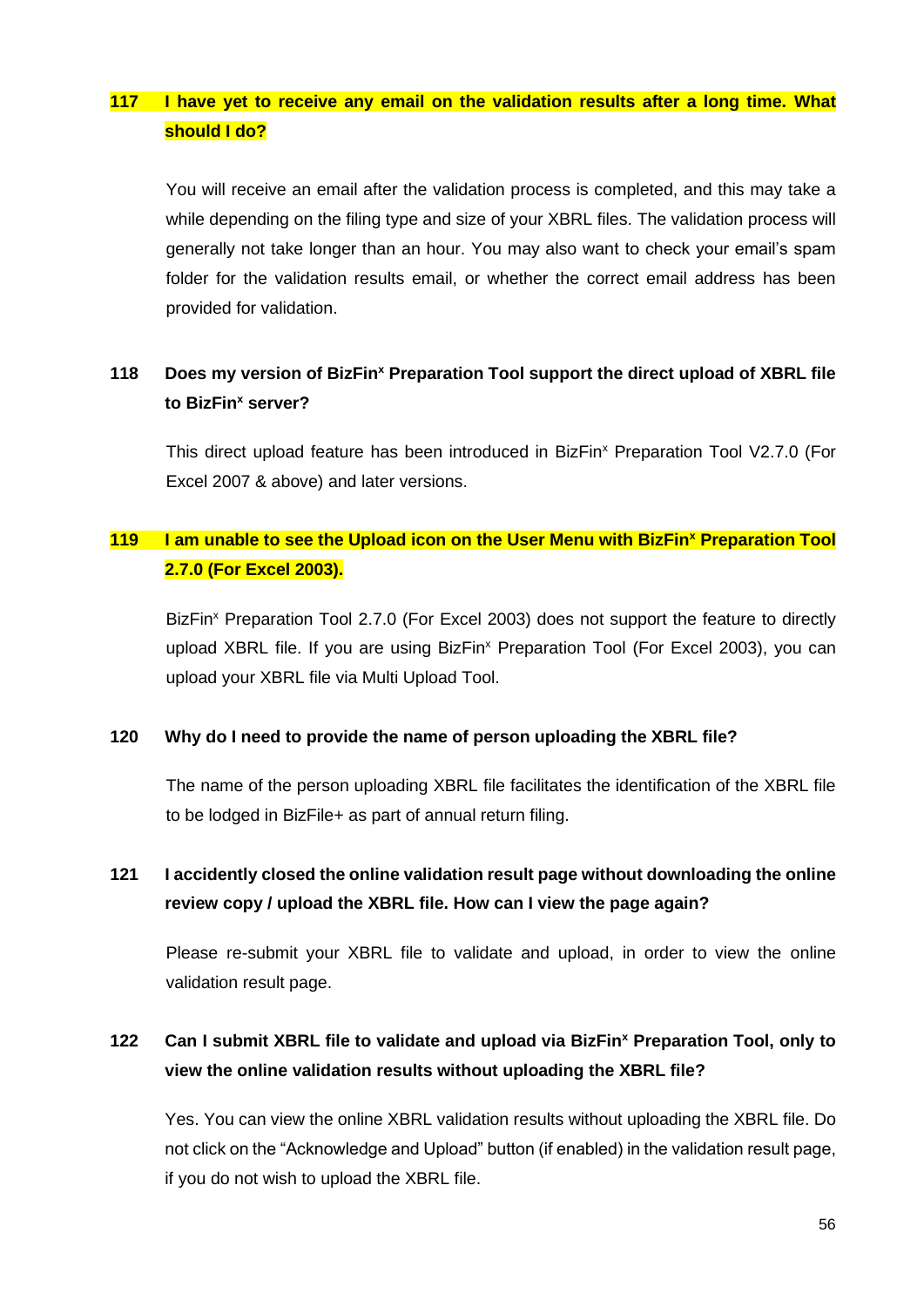## <span id="page-56-0"></span>**117 I have yet to receive any email on the validation results after a long time. What should I do?**

You will receive an email after the validation process is completed, and this may take a while depending on the filing type and size of your XBRL files. The validation process will generally not take longer than an hour. You may also want to check your email's spam folder for the validation results email, or whether the correct email address has been provided for validation.

## <span id="page-56-1"></span>**118 Does my version of BizFin<sup>x</sup> Preparation Tool support the direct upload of XBRL file to BizFin<sup>x</sup> server?**

This direct upload feature has been introduced in BizFin<sup>x</sup> Preparation Tool V2.7.0 (For Excel 2007 & above) and later versions.

# <span id="page-56-2"></span>**119 I am unable to see the Upload icon on the User Menu with BizFin<sup>x</sup> Preparation Tool 2.7.0 (For Excel 2003).**

BizFin<sup>x</sup> Preparation Tool 2.7.0 (For Excel 2003) does not support the feature to directly upload XBRL file. If you are using BizFin<sup>x</sup> Preparation Tool (For Excel 2003), you can upload your XBRL file via Multi Upload Tool.

#### <span id="page-56-3"></span>**120 Why do I need to provide the name of person uploading the XBRL file?**

The name of the person uploading XBRL file facilitates the identification of the XBRL file to be lodged in BizFile+ as part of annual return filing.

# <span id="page-56-4"></span>**121 I accidently closed the online validation result page without downloading the online review copy / upload the XBRL file. How can I view the page again?**

Please re-submit your XBRL file to validate and upload, in order to view the online validation result page.

## <span id="page-56-5"></span>**122 Can I submit XBRL file to validate and upload via BizFin<sup>x</sup> Preparation Tool, only to view the online validation results without uploading the XBRL file?**

Yes. You can view the online XBRL validation results without uploading the XBRL file. Do not click on the "Acknowledge and Upload" button (if enabled) in the validation result page, if you do not wish to upload the XBRL file.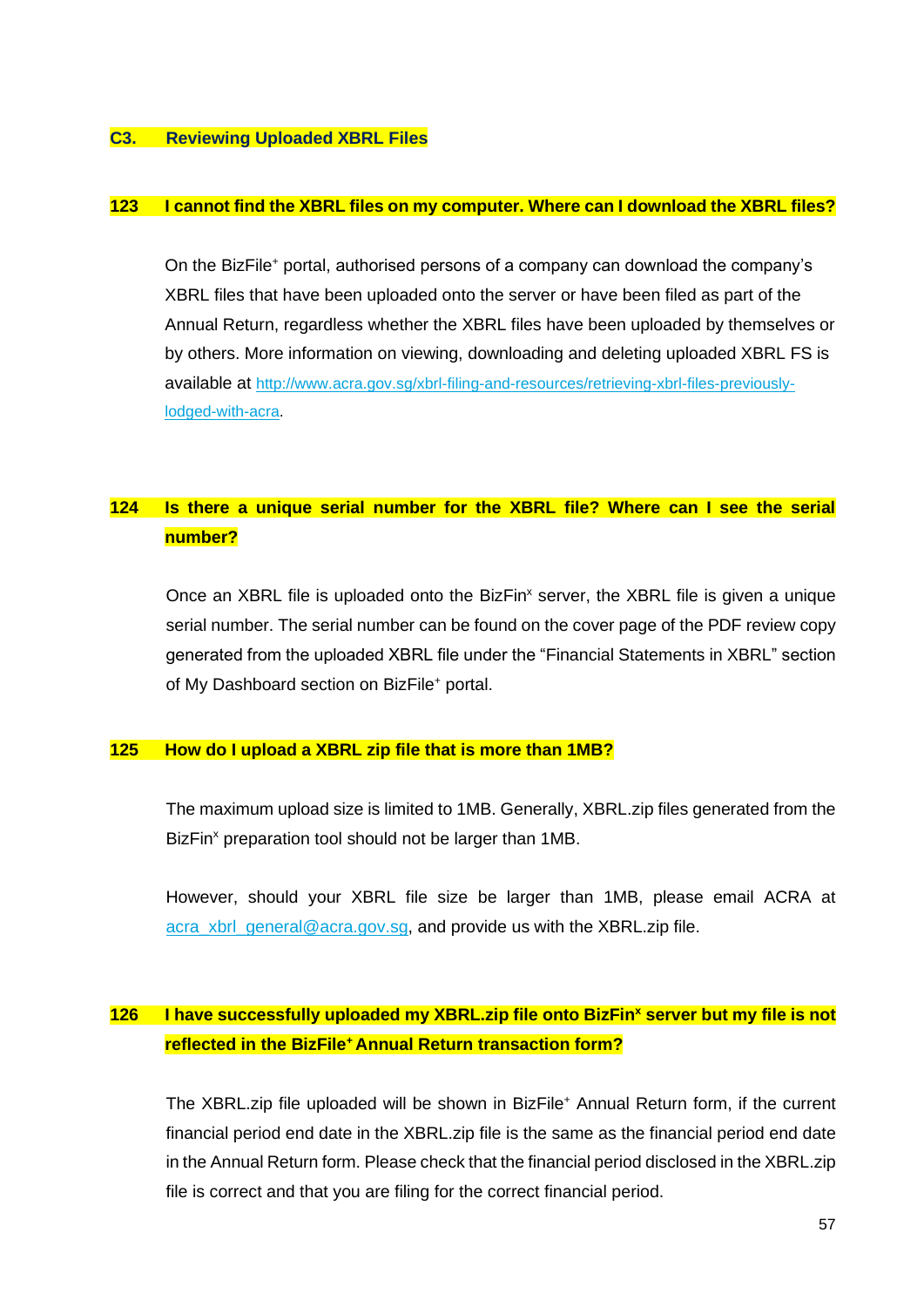#### <span id="page-57-0"></span>**C3. Reviewing Uploaded XBRL Files**

#### <span id="page-57-1"></span>**123 I cannot find the XBRL files on my computer. Where can I download the XBRL files?**

On the BizFile<sup>+</sup> portal, authorised persons of a company can download the company's XBRL files that have been uploaded onto the server or have been filed as part of the Annual Return, regardless whether the XBRL files have been uploaded by themselves or by others. More information on viewing, downloading and deleting uploaded XBRL FS is available at [http://www.acra.gov.sg/xbrl-filing-and-resources/retrieving-xbrl-files-previously](http://www.acra.gov.sg/xbrl-filing-and-resources/retrieving-xbrl-files-previously-lodged-with-acra)[lodged-with-acra.](http://www.acra.gov.sg/xbrl-filing-and-resources/retrieving-xbrl-files-previously-lodged-with-acra)

## <span id="page-57-2"></span>**124 Is there a unique serial number for the XBRL file? Where can I see the serial number?**

Once an XBRL file is uploaded onto the BizFin<sup>x</sup> server, the XBRL file is given a unique serial number. The serial number can be found on the cover page of the PDF review copy generated from the uploaded XBRL file under the "Financial Statements in XBRL" section of My Dashboard section on BizFile<sup>+</sup> portal.

#### <span id="page-57-3"></span>**125 How do I upload a XBRL zip file that is more than 1MB?**

The maximum upload size is limited to 1MB. Generally, XBRL.zip files generated from the BizFin<sup>x</sup> preparation tool should not be larger than 1MB.

However, should your XBRL file size be larger than 1MB, please email ACRA at acra xbrl\_general@acra.gov.sg, and provide us with the XBRL.zip file.

## <span id="page-57-4"></span>**126 I have successfully uploaded my XBRL.zip file onto BizFin<sup>x</sup> server but my file is not reflected in the BizFile<sup>+</sup>Annual Return transaction form?**

The XBRL.zip file uploaded will be shown in BizFile<sup>+</sup> Annual Return form, if the current financial period end date in the XBRL.zip file is the same as the financial period end date in the Annual Return form. Please check that the financial period disclosed in the XBRL.zip file is correct and that you are filing for the correct financial period.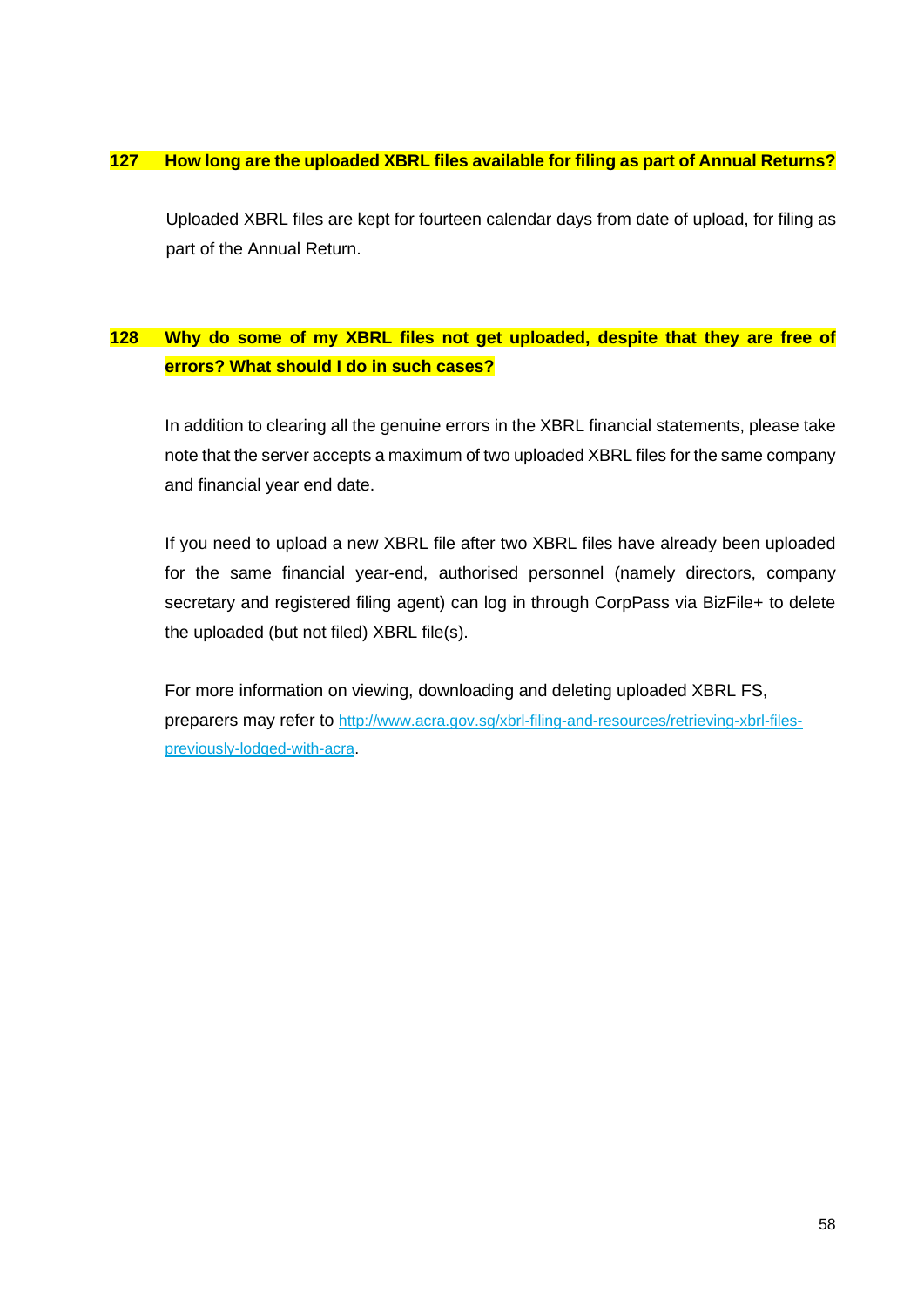## <span id="page-58-0"></span>**127 How long are the uploaded XBRL files available for filing as part of Annual Returns?**

Uploaded XBRL files are kept for fourteen calendar days from date of upload, for filing as part of the Annual Return.

## <span id="page-58-1"></span>**128 Why do some of my XBRL files not get uploaded, despite that they are free of errors? What should I do in such cases?**

In addition to clearing all the genuine errors in the XBRL financial statements, please take note that the server accepts a maximum of two uploaded XBRL files for the same company and financial year end date.

If you need to upload a new XBRL file after two XBRL files have already been uploaded for the same financial year-end, authorised personnel (namely directors, company secretary and registered filing agent) can log in through CorpPass via BizFile+ to delete the uploaded (but not filed) XBRL file(s).

For more information on viewing, downloading and deleting uploaded XBRL FS, preparers may refer to [http://www.acra.gov.sg/xbrl-filing-and-resources/retrieving-xbrl-files](http://www.acra.gov.sg/xbrl-filing-and-resources/retrieving-xbrl-files-previously-lodged-with-acra)[previously-lodged-with-acra.](http://www.acra.gov.sg/xbrl-filing-and-resources/retrieving-xbrl-files-previously-lodged-with-acra)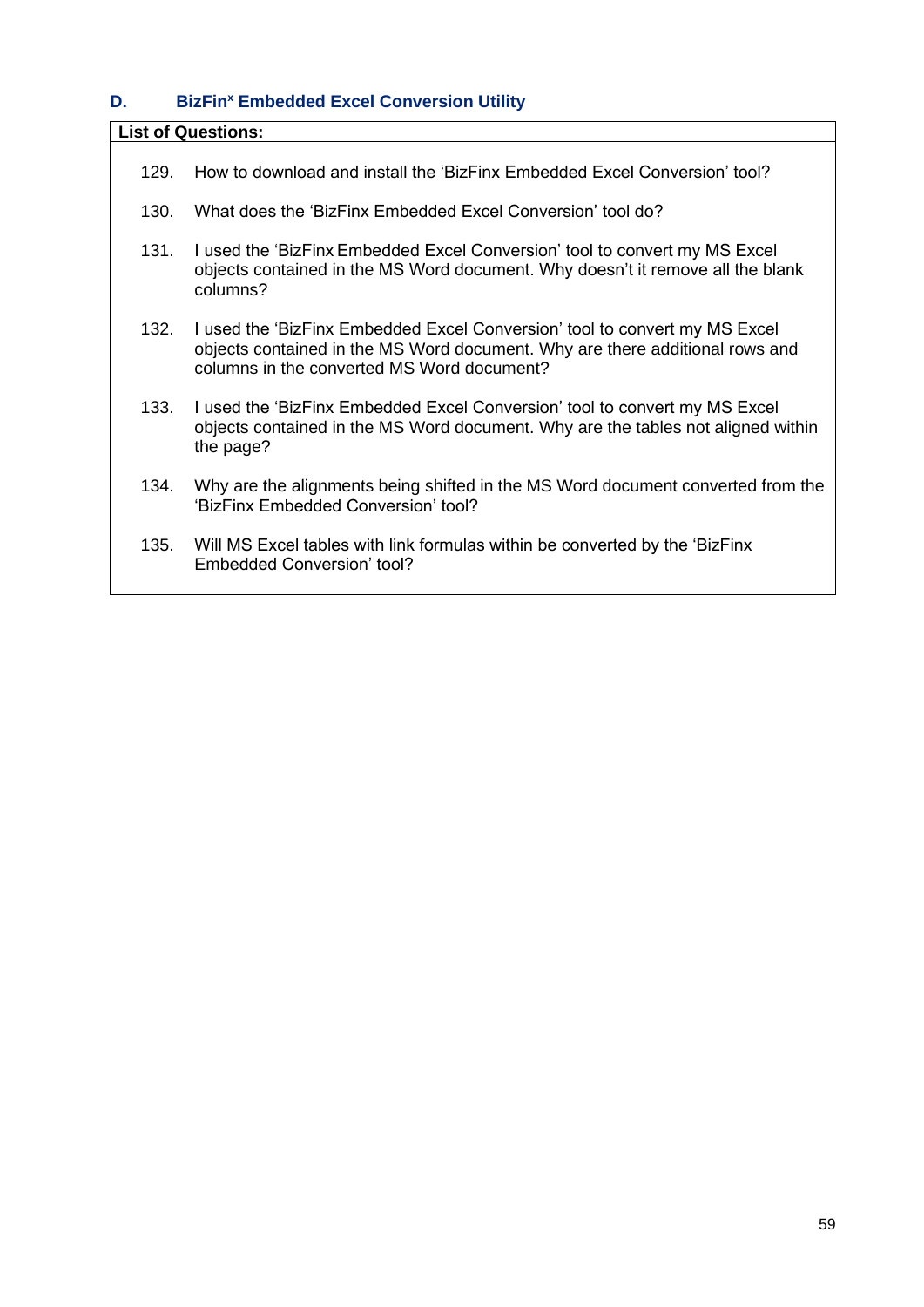# <span id="page-59-0"></span>**D. BizFin<sup>x</sup> Embedded Excel Conversion Utility**

| <b>List of Questions:</b> |                                                                                                                                                                                                          |  |
|---------------------------|----------------------------------------------------------------------------------------------------------------------------------------------------------------------------------------------------------|--|
| 129.                      | How to download and install the 'BizFinx Embedded Excel Conversion' tool?                                                                                                                                |  |
| 130.                      | What does the 'BizFinx Embedded Excel Conversion' tool do?                                                                                                                                               |  |
| 131.                      | I used the 'BizFinx Embedded Excel Conversion' tool to convert my MS Excel<br>objects contained in the MS Word document. Why doesn't it remove all the blank<br>columns?                                 |  |
| 132.                      | I used the 'BizFinx Embedded Excel Conversion' tool to convert my MS Excel<br>objects contained in the MS Word document. Why are there additional rows and<br>columns in the converted MS Word document? |  |
| 133.                      | I used the 'BizFinx Embedded Excel Conversion' tool to convert my MS Excel<br>objects contained in the MS Word document. Why are the tables not aligned within<br>the page?                              |  |
| 134.                      | Why are the alignments being shifted in the MS Word document converted from the<br>'BizFinx Embedded Conversion' tool?                                                                                   |  |
| 135.                      | Will MS Excel tables with link formulas within be converted by the 'BizFinx<br>Embedded Conversion' tool?                                                                                                |  |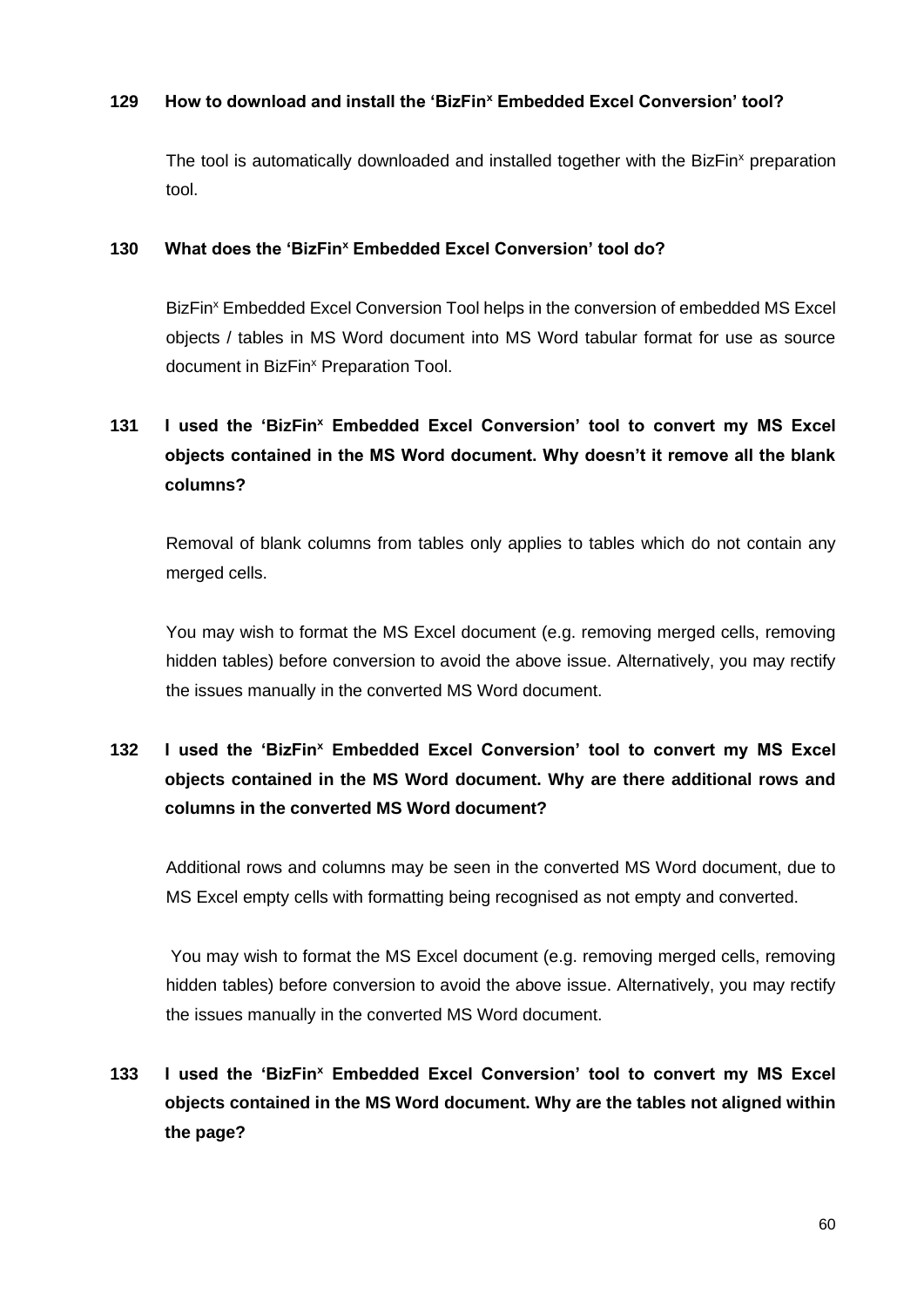## <span id="page-60-0"></span>**129 How to download and install the 'BizFin<sup>x</sup> Embedded Excel Conversion' tool?**

The tool is automatically downloaded and installed together with the BizFin<sup>x</sup> preparation tool.

## <span id="page-60-1"></span>**130 What does the 'BizFin<sup>x</sup> Embedded Excel Conversion' tool do?**

BizFin<sup>x</sup> Embedded Excel Conversion Tool helps in the conversion of embedded MS Excel objects / tables in MS Word document into MS Word tabular format for use as source document in BizFin<sup>x</sup> Preparation Tool.

# <span id="page-60-2"></span>**131 I used the 'BizFin<sup>x</sup> Embedded Excel Conversion' tool to convert my MS Excel objects contained in the MS Word document. Why doesn't it remove all the blank columns?**

Removal of blank columns from tables only applies to tables which do not contain any merged cells.

You may wish to format the MS Excel document (e.g. removing merged cells, removing hidden tables) before conversion to avoid the above issue. Alternatively, you may rectify the issues manually in the converted MS Word document.

# <span id="page-60-3"></span>**132 I used the 'BizFin<sup>x</sup> Embedded Excel Conversion' tool to convert my MS Excel objects contained in the MS Word document. Why are there additional rows and columns in the converted MS Word document?**

Additional rows and columns may be seen in the converted MS Word document, due to MS Excel empty cells with formatting being recognised as not empty and converted.

You may wish to format the MS Excel document (e.g. removing merged cells, removing hidden tables) before conversion to avoid the above issue. Alternatively, you may rectify the issues manually in the converted MS Word document.

# <span id="page-60-4"></span>**133 I used the 'BizFin<sup>x</sup> Embedded Excel Conversion' tool to convert my MS Excel objects contained in the MS Word document. Why are the tables not aligned within the page?**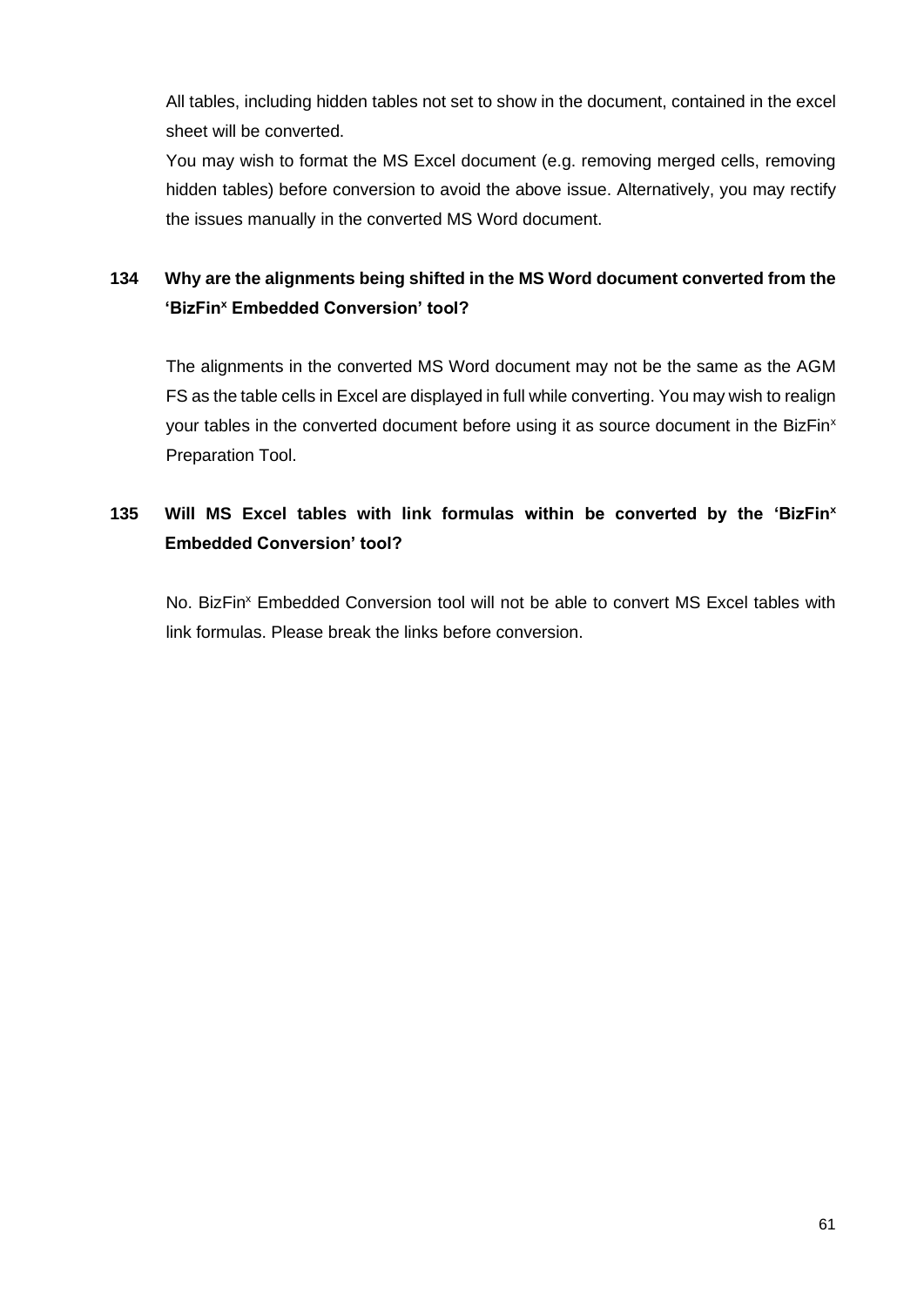All tables, including hidden tables not set to show in the document, contained in the excel sheet will be converted.

You may wish to format the MS Excel document (e.g. removing merged cells, removing hidden tables) before conversion to avoid the above issue. Alternatively, you may rectify the issues manually in the converted MS Word document.

# <span id="page-61-0"></span>**134 Why are the alignments being shifted in the MS Word document converted from the 'BizFin<sup>x</sup> Embedded Conversion' tool?**

The alignments in the converted MS Word document may not be the same as the AGM FS as the table cells in Excel are displayed in full while converting. You may wish to realign your tables in the converted document before using it as source document in the BizFin<sup>x</sup> Preparation Tool.

## <span id="page-61-1"></span>**135 Will MS Excel tables with link formulas within be converted by the 'BizFin<sup>x</sup> Embedded Conversion' tool?**

No. BizFin<sup>x</sup> Embedded Conversion tool will not be able to convert MS Excel tables with link formulas. Please break the links before conversion.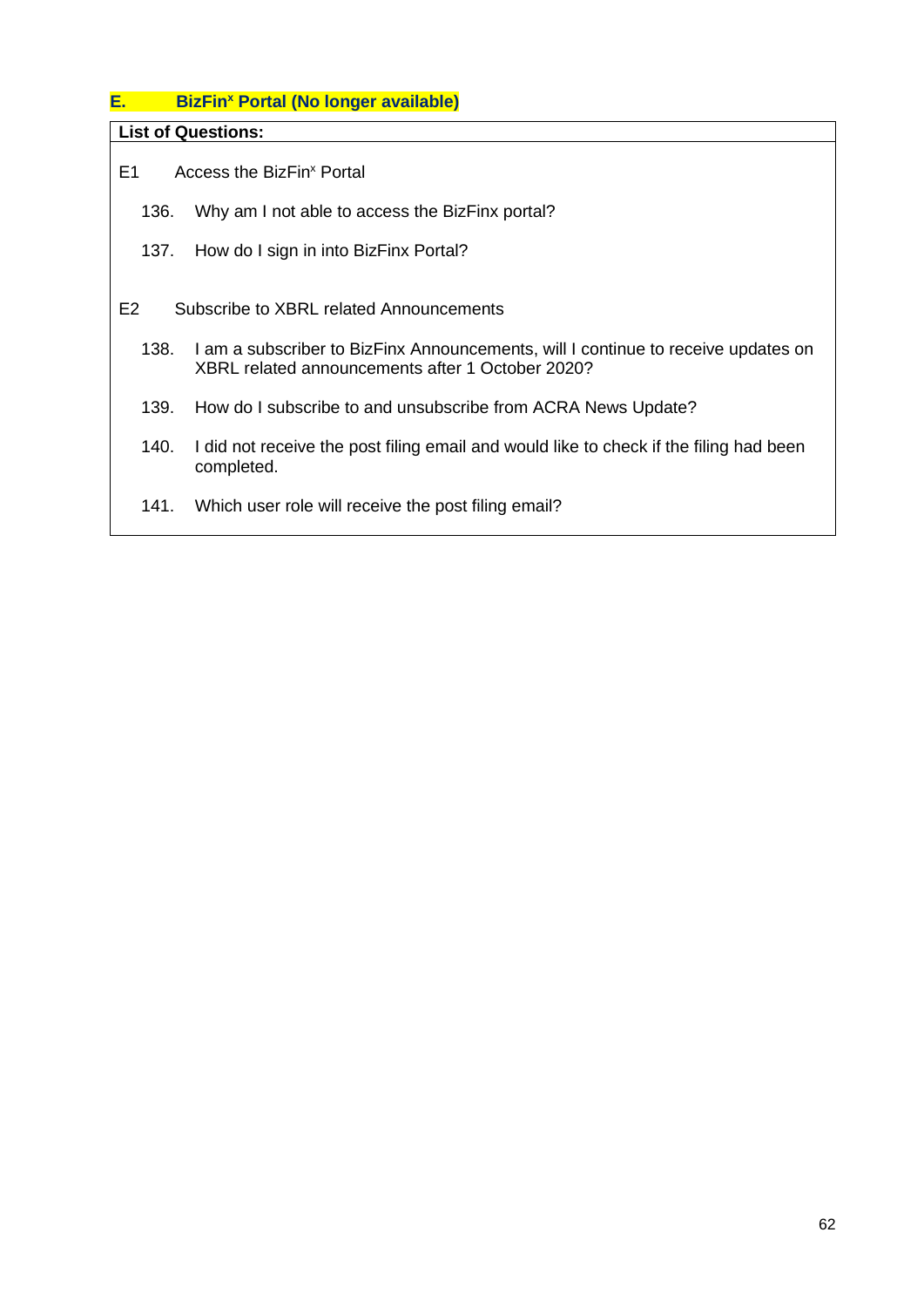## <span id="page-62-0"></span>**E. BizFin<sup>x</sup> Portal (No longer available)**

**List of Questions:**

E1 [Access the BizFin](#page-63-0)<sup>x</sup> Portal

- 136. [Why am I not able to access the BizFinx portal?](#page-63-2)
- 137. [How do I sign in into BizFinx Portal?](#page-63-3)

E2 Subscribe to XBRL related [Announcements](#page-63-1)

- 138. [I am a subscriber to BizFinx Announcements, will I continue to receive updates on](#page-63-4)  [XBRL related announcements after 1 October 2020?](#page-63-4)
- 139. [How do I subscribe to and unsubscribe from ACRA News Update?](#page-63-5)
- 140. [I did not receive the post filing email and would like to check if the filing had been](#page-63-6)  [completed.](#page-63-6)
- 141. [Which user role will receive the post filing email?](#page-64-0)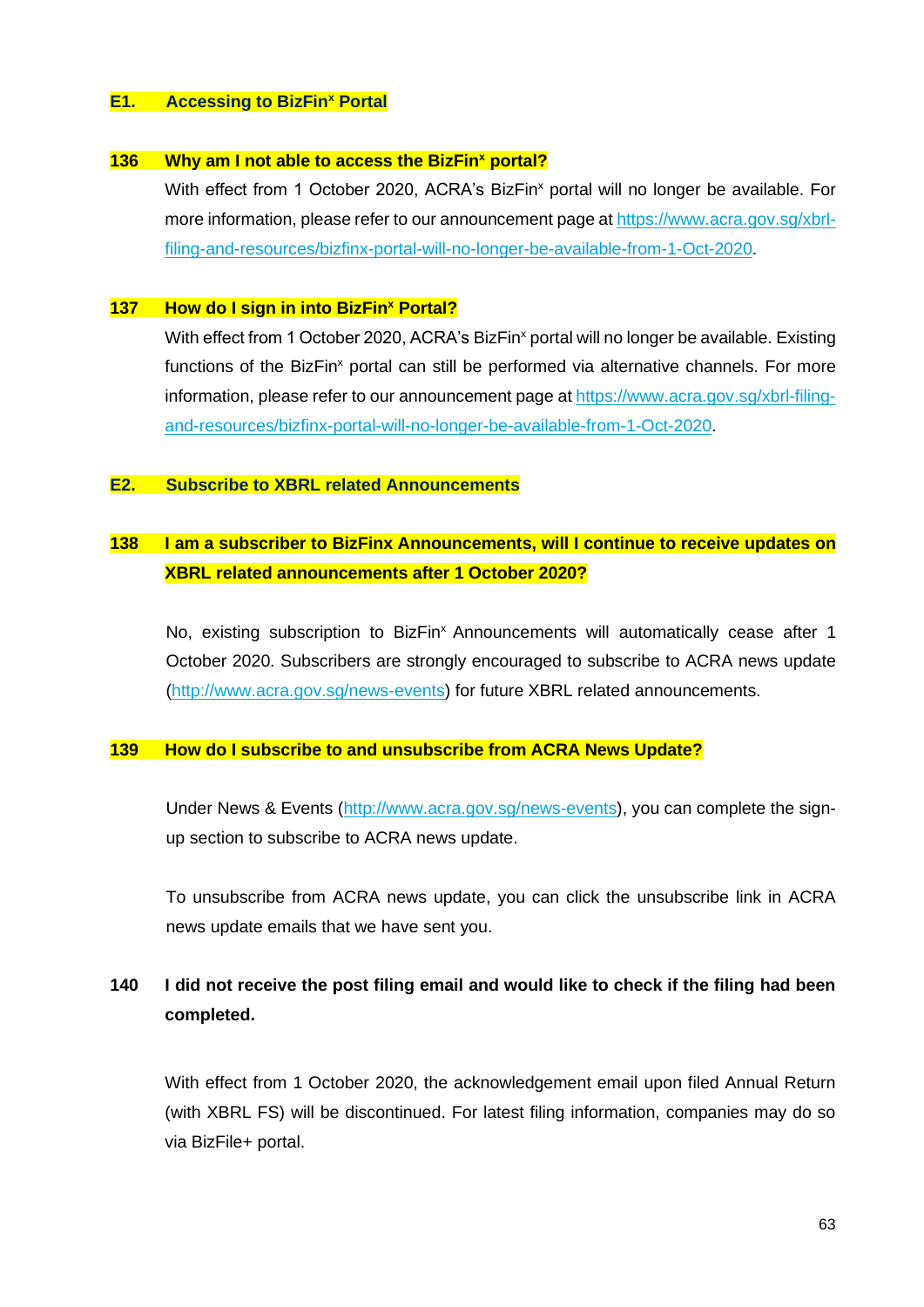#### <span id="page-63-0"></span>**E1. Accessing to BizFin<sup>x</sup> Portal**

#### <span id="page-63-2"></span>**136 Why am I not able to access the BizFin<sup>x</sup> portal?**

With effect from 1 October 2020, ACRA's BizFin<sup>x</sup> portal will no longer be available. For more information, please refer to our announcement page a[t https://www.acra.gov.sg/xbrl](https://www.acra.gov.sg/xbrl-filing-and-resources/bizfinx-portal-will-no-longer-be-available-from-1-Oct-2020)[filing-and-resources/bizfinx-portal-will-no-longer-be-available-from-1-Oct-2020.](https://www.acra.gov.sg/xbrl-filing-and-resources/bizfinx-portal-will-no-longer-be-available-from-1-Oct-2020)

#### <span id="page-63-3"></span>**137 How do I sign in into BizFin<sup>x</sup> Portal?**

With effect from 1 October 2020, ACRA's BizFin<sup>x</sup> portal will no longer be available. Existing functions of the BizFin<sup>x</sup> portal can still be performed via alternative channels. For more information, please refer to our announcement page at [https://www.acra.gov.sg/xbrl-filing](https://www.acra.gov.sg/xbrl-filing-and-resources/bizfinx-portal-will-no-longer-be-available-from-1-Oct-2020)[and-resources/bizfinx-portal-will-no-longer-be-available-from-1-Oct-2020.](https://www.acra.gov.sg/xbrl-filing-and-resources/bizfinx-portal-will-no-longer-be-available-from-1-Oct-2020)

#### <span id="page-63-1"></span>**E2. Subscribe to XBRL related Announcements**

## <span id="page-63-4"></span>**138 I am a subscriber to BizFinx Announcements, will I continue to receive updates on XBRL related announcements after 1 October 2020?**

No, existing subscription to BizFin<sup>x</sup> Announcements will automatically cease after 1 October 2020. Subscribers are strongly encouraged to subscribe to ACRA news update [\(http://www.acra.gov.sg/news-events\)](http://www.acra.gov.sg/news-events) for future XBRL related announcements.

#### <span id="page-63-5"></span>**139 How do I subscribe to and unsubscribe from ACRA News Update?**

Under News & Events [\(http://www.acra.gov.sg/news-events\)](http://www.acra.gov.sg/news-events), you can complete the signup section to subscribe to ACRA news update.

To unsubscribe from ACRA news update, you can click the unsubscribe link in ACRA news update emails that we have sent you.

## <span id="page-63-6"></span>**140 I did not receive the post filing email and would like to check if the filing had been completed.**

With effect from 1 October 2020, the acknowledgement email upon filed Annual Return (with XBRL FS) will be discontinued. For latest filing information, companies may do so via BizFile+ portal.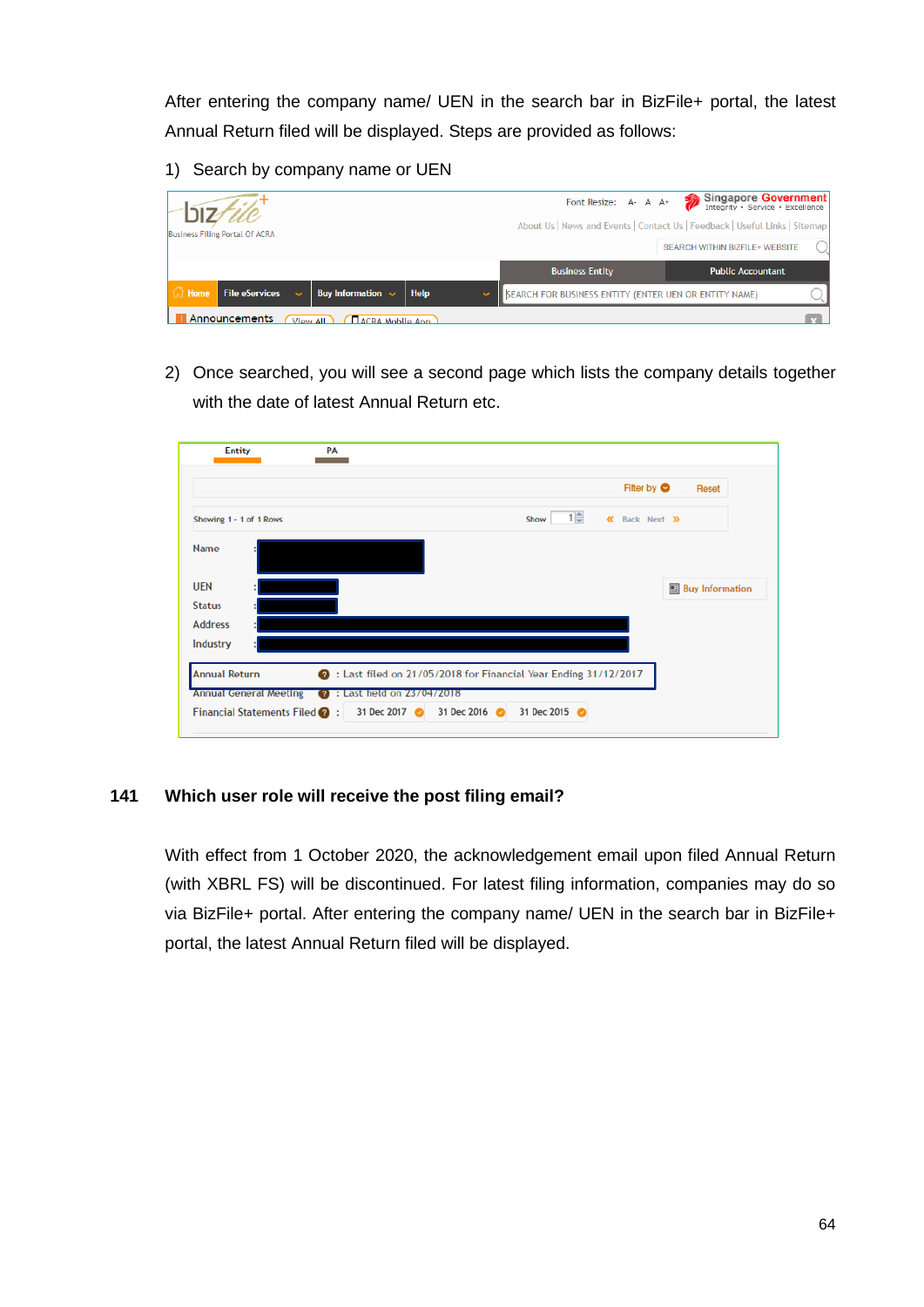After entering the company name/ UEN in the search bar in BizFile+ portal, the latest Annual Return filed will be displayed. Steps are provided as follows:

1) Search by company name or UEN

|         |                                       |                                            |      | Font Resize: A- A A+                                         | Singapore Government                                                        |
|---------|---------------------------------------|--------------------------------------------|------|--------------------------------------------------------------|-----------------------------------------------------------------------------|
|         |                                       |                                            |      |                                                              | About Us   News and Events   Contact Us   Feedback   Useful Links   Sitemap |
|         | <b>Business Filing Portal Of ACRA</b> |                                            |      |                                                              | SEARCH WITHIN BIZFILE+ WEBSITE                                              |
|         |                                       |                                            |      | <b>Business Entity</b>                                       | <b>Public Accountant</b>                                                    |
| In Home | File eServices                        | Buy Information $\sim$                     | Help | <b>SEARCH FOR BUSINESS ENTITY (ENTER UEN OR ENTITY NAME)</b> |                                                                             |
|         | Announcements                         | <b>DACRA Mobile App</b><br><b>View All</b> |      |                                                              |                                                                             |

2) Once searched, you will see a second page which lists the company details together with the date of latest Annual Return etc.



#### <span id="page-64-0"></span>**141 Which user role will receive the post filing email?**

With effect from 1 October 2020, the acknowledgement email upon filed Annual Return (with XBRL FS) will be discontinued. For latest filing information, companies may do so via BizFile+ portal. After entering the company name/ UEN in the search bar in BizFile+ portal, the latest Annual Return filed will be displayed.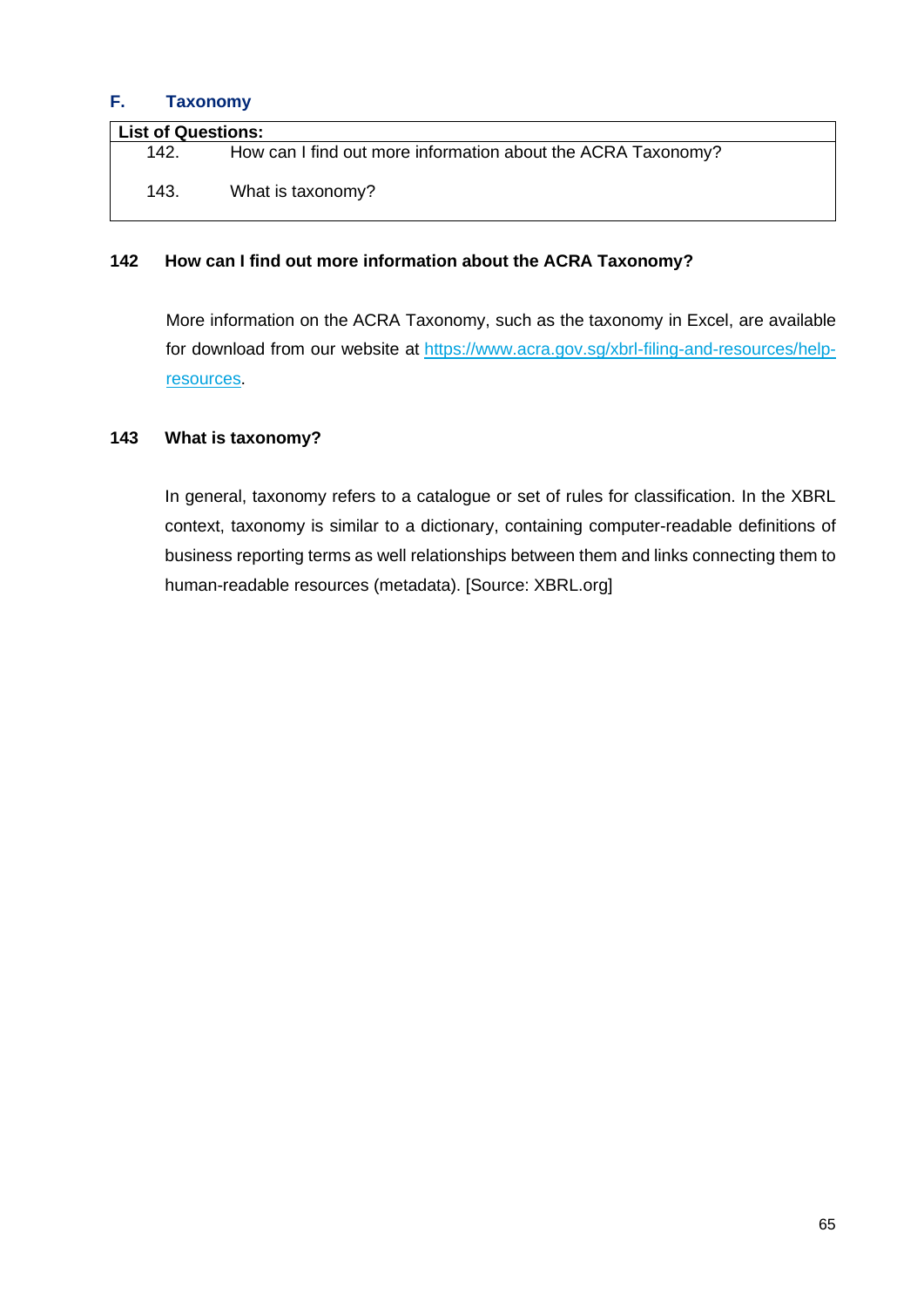## <span id="page-65-0"></span>**F. Taxonomy**

| <b>List of Questions:</b> |                                                              |  |
|---------------------------|--------------------------------------------------------------|--|
| 142.                      | How can I find out more information about the ACRA Taxonomy? |  |
| 143.                      | What is taxonomy?                                            |  |

#### <span id="page-65-1"></span>**142 How can I find out more information about the ACRA Taxonomy?**

More information on the ACRA Taxonomy, such as the taxonomy in Excel, are available for download from our website at [https://www.acra.gov.sg/xbrl-filing-and-resources/help](https://www.acra.gov.sg/xbrl-filing-and-resources/help-resources)[resources.](https://www.acra.gov.sg/xbrl-filing-and-resources/help-resources)

#### <span id="page-65-2"></span>**143 What is taxonomy?**

In general, taxonomy refers to a catalogue or set of rules for classification. In the XBRL context, taxonomy is similar to a dictionary, containing computer-readable definitions of business reporting terms as well relationships between them and links connecting them to human-readable resources (metadata). [Source: XBRL.org]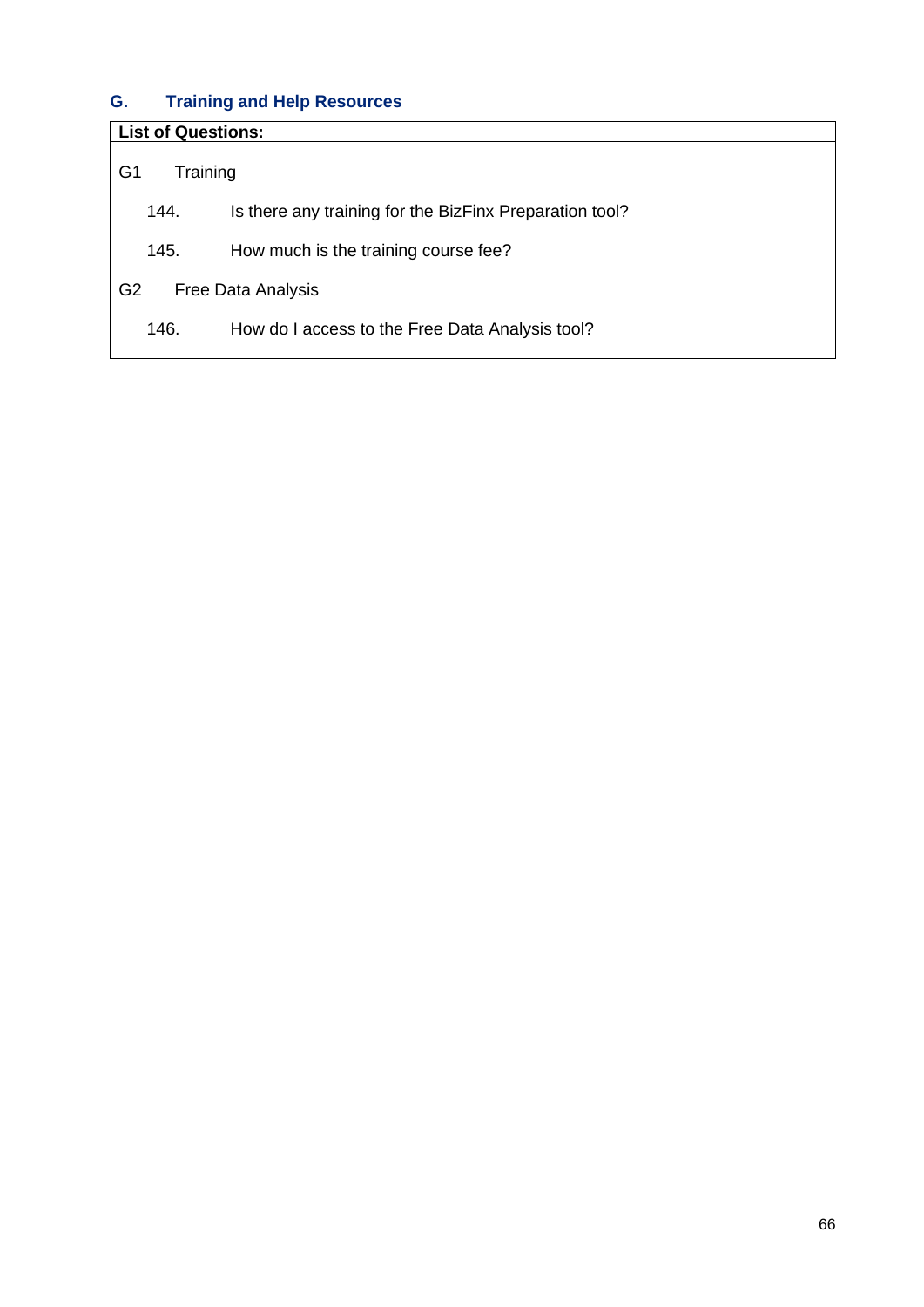# <span id="page-66-0"></span>**G. Training and Help Resources**

| <b>List of Questions:</b>                   |                                                         |  |  |
|---------------------------------------------|---------------------------------------------------------|--|--|
| G <sub>1</sub>                              | Training                                                |  |  |
| 144.                                        | Is there any training for the BizFinx Preparation tool? |  |  |
| 145.                                        | How much is the training course fee?                    |  |  |
| G <sub>2</sub><br><b>Free Data Analysis</b> |                                                         |  |  |
| 146.                                        | How do I access to the Free Data Analysis tool?         |  |  |
|                                             |                                                         |  |  |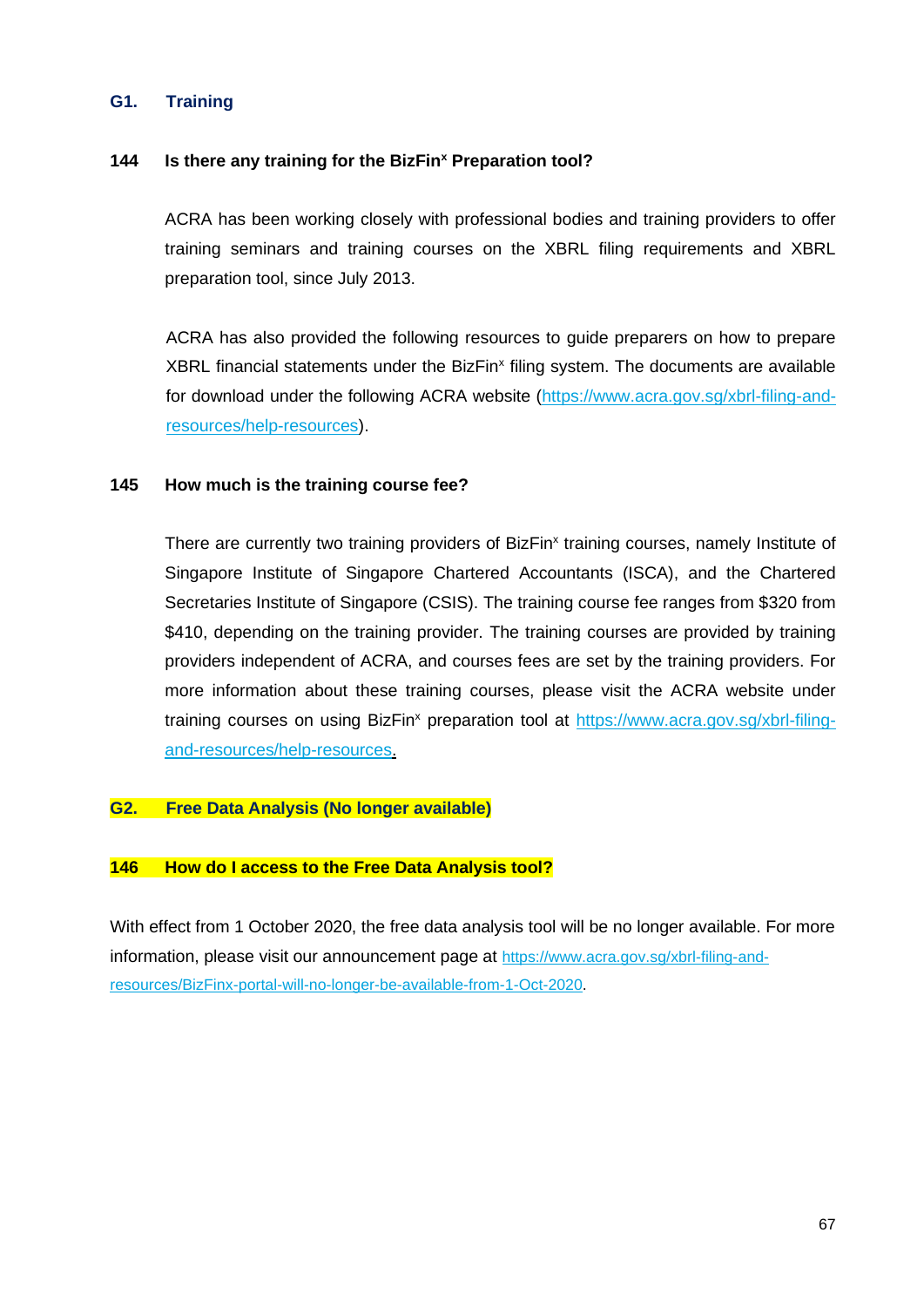## <span id="page-67-0"></span>**G1. Training**

#### <span id="page-67-2"></span>**144 Is there any training for the BizFin<sup>x</sup> Preparation tool?**

ACRA has been working closely with professional bodies and training providers to offer training seminars and training courses on the XBRL filing requirements and XBRL preparation tool, since July 2013.

ACRA has also provided the following resources to guide preparers on how to prepare XBRL financial statements under the BizFin<sup>x</sup> filing system. The documents are available for download under the following ACRA website (https://www.acra.gov.sg/xbrl-filing-andresources/help-resources).

#### <span id="page-67-3"></span>**145 How much is the training course fee?**

There are currently two training providers of BizFin<sup>x</sup> training courses, namely Institute of Singapore Institute of Singapore Chartered Accountants (ISCA), and the Chartered Secretaries Institute of Singapore (CSIS). The training course fee ranges from \$320 from \$410, depending on the training provider. The training courses are provided by training providers independent of ACRA, and courses fees are set by the training providers. For more information about these training courses, please visit the ACRA website under training courses on using BizFin<sup>x</sup> preparation tool at https://www.acra.gov.sg/xbrl-filingand-resources/help-resources.

#### <span id="page-67-1"></span>**G2. Free Data Analysis (No longer available)**

#### <span id="page-67-4"></span>**146 How do I access to the Free Data Analysis tool?**

With effect from 1 October 2020, the free data analysis tool will be no longer available. For more information, please visit our announcement page at [https://www.acra.gov.sg/xbrl-filing-and](https://www.acra.gov.sg/xbrl-filing-and-resources/BizFinx-portal-will-no-longer-be-available-from-1-Oct-2020)[resources/BizFinx-portal-will-no-longer-be-available-from-1-Oct-2020.](https://www.acra.gov.sg/xbrl-filing-and-resources/BizFinx-portal-will-no-longer-be-available-from-1-Oct-2020)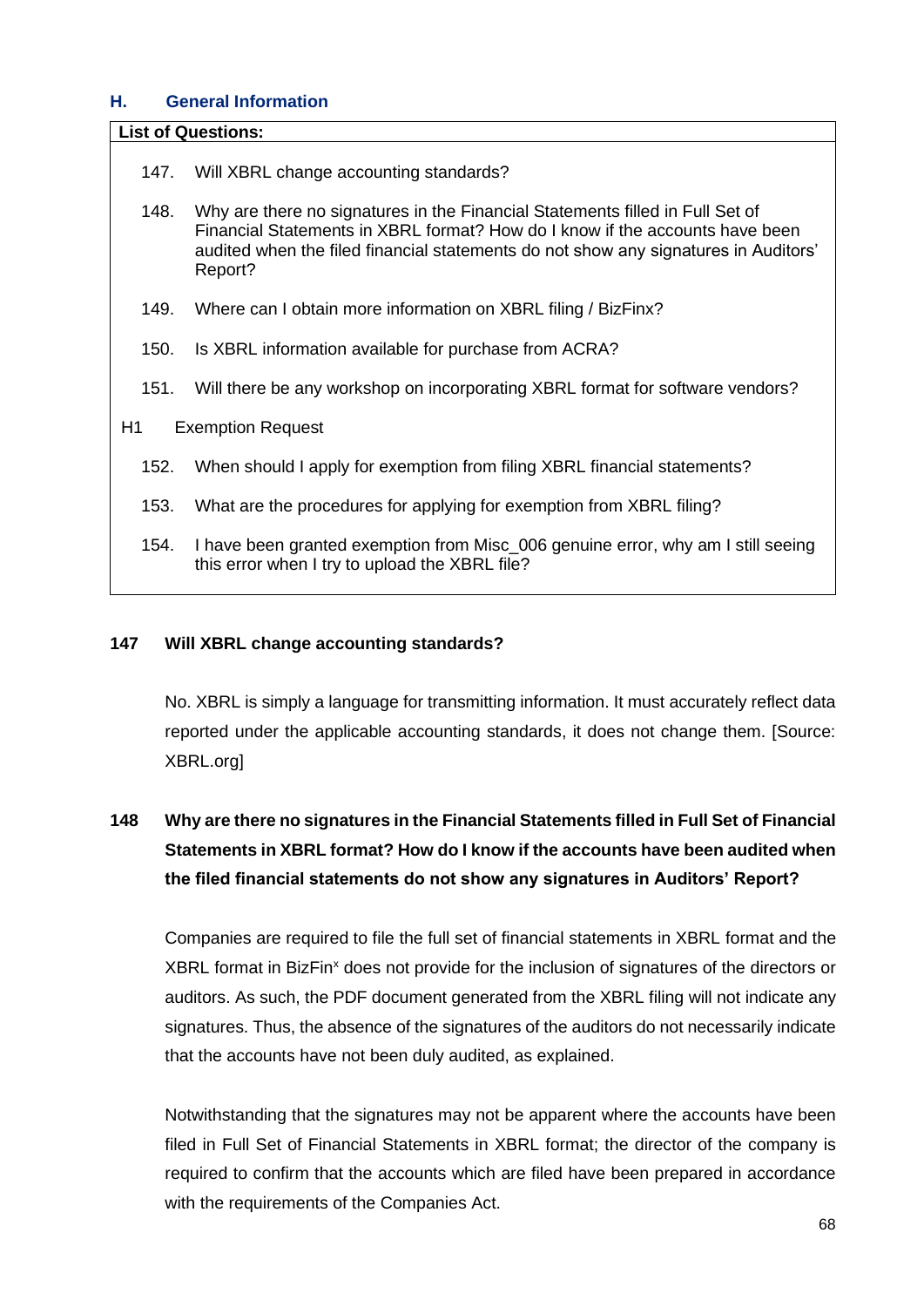## <span id="page-68-0"></span>**H. General Information**

#### **List of Questions:**

- 147. [Will XBRL change accounting standards?](#page-68-1)
- 148. [Why are there no signatures in the Financial Statements filled in Full Set of](#page-68-2)  [Financial Statements in XBRL format? How do I know if the accounts have been](#page-68-2)  [audited when the filed financial statements do not show any signatures in Auditors'](#page-68-2)  [Report?](#page-68-2)
- 149. [Where can I obtain more information on XBRL filing / BizFinx?](#page-69-1)
- 150. [Is XBRL information available for purchase from ACRA?](#page-69-2)
- 151. [Will there be any workshop on incorporating XBRL format for software vendors?](#page-69-3)
- H1 [Exemption Request](#page-69-0)
	- 152. [When should I apply for exemption from filing XBRL financial statements?](#page-69-4)
	- 153. [What are the procedures for applying for exemption from XBRL filing?](#page-70-0)
	- 154. [I have been granted exemption from Misc\\_006 genuine error, why am I still seeing](#page-70-1)  [this error when I try to upload the XBRL file?](#page-70-1)

#### <span id="page-68-1"></span>**147 Will XBRL change accounting standards?**

No. XBRL is simply a language for transmitting information. It must accurately reflect data reported under the applicable accounting standards, it does not change them. [Source: XBRL.org]

# <span id="page-68-2"></span>**148 Why are there no signatures in the Financial Statements filled in Full Set of Financial Statements in XBRL format? How do I know if the accounts have been audited when the filed financial statements do not show any signatures in Auditors' Report?**

Companies are required to file the full set of financial statements in XBRL format and the XBRL format in BizFin<sup>x</sup> does not provide for the inclusion of signatures of the directors or auditors. As such, the PDF document generated from the XBRL filing will not indicate any signatures. Thus, the absence of the signatures of the auditors do not necessarily indicate that the accounts have not been duly audited, as explained.

Notwithstanding that the signatures may not be apparent where the accounts have been filed in Full Set of Financial Statements in XBRL format; the director of the company is required to confirm that the accounts which are filed have been prepared in accordance with the requirements of the Companies Act.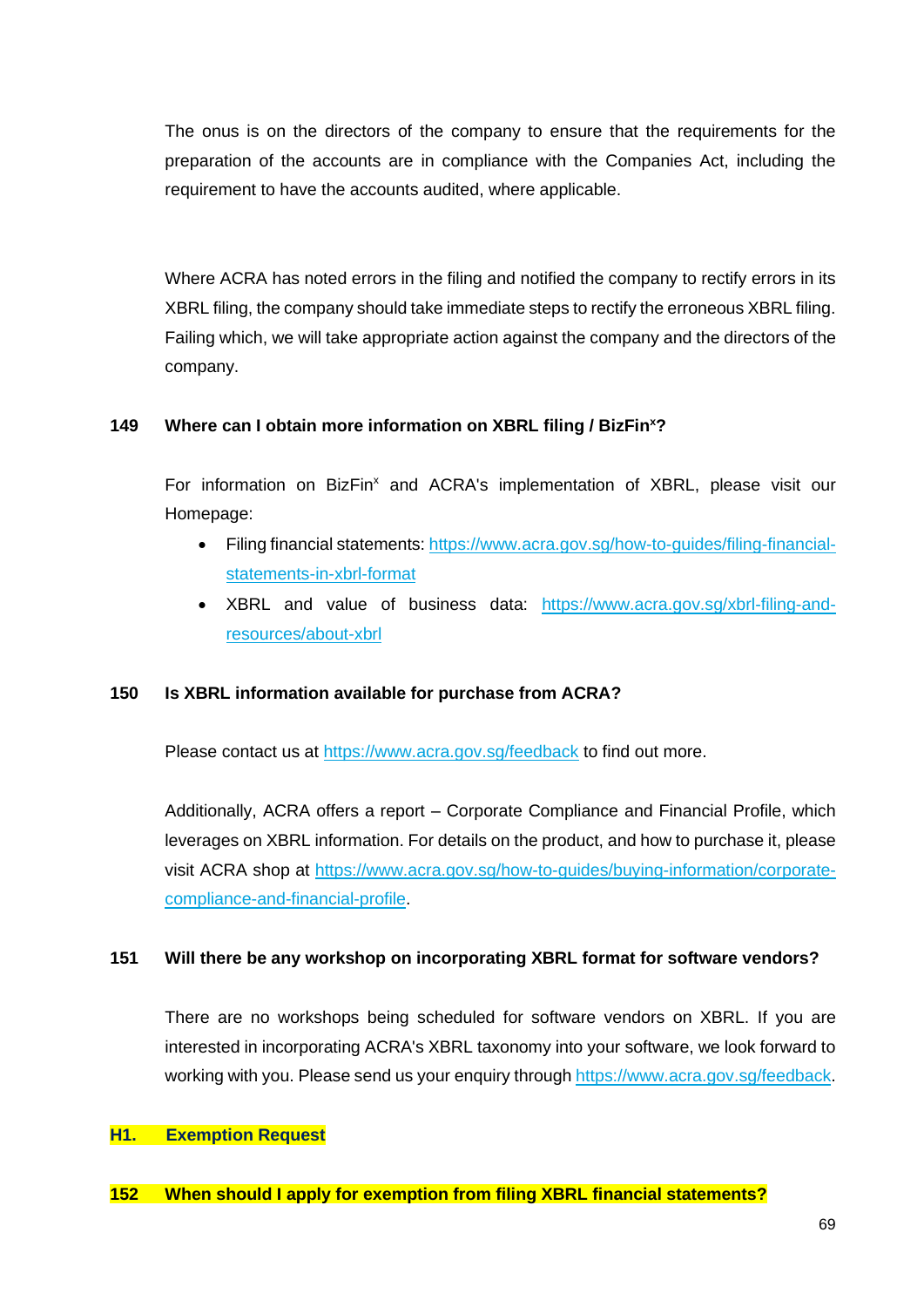The onus is on the directors of the company to ensure that the requirements for the preparation of the accounts are in compliance with the Companies Act, including the requirement to have the accounts audited, where applicable.

Where ACRA has noted errors in the filing and notified the company to rectify errors in its XBRL filing, the company should take immediate steps to rectify the erroneous XBRL filing. Failing which, we will take appropriate action against the company and the directors of the company.

#### <span id="page-69-1"></span>**149 Where can I obtain more information on XBRL filing / BizFin<sup>x</sup>?**

For information on BizFin<sup>x</sup> and ACRA's implementation of XBRL, please visit our Homepage:

- Filing financial statements: https://www.acra.gov.sg/how-to-guides/filing-financialstatements-in-xbrl-format
- XBRL and value of business data: https://www.acra.gov.sg/xbrl-filing-andresources/about-xbrl

#### <span id="page-69-2"></span>**150 Is XBRL information available for purchase from ACRA?**

Please contact us at<https://www.acra.gov.sg/feedback> to find out more.

Additionally, ACRA offers a report – Corporate Compliance and Financial Profile, which leverages on XBRL information. For details on the product, and how to purchase it, please visit ACRA shop at https://www.acra.gov.sg/how-to-guides/buying-information/corporatecompliance-and-financial-profile.

#### <span id="page-69-3"></span>**151 Will there be any workshop on incorporating XBRL format for software vendors?**

There are no workshops being scheduled for software vendors on XBRL. If you are interested in incorporating ACRA's XBRL taxonomy into your software, we look forward to working with you. Please send us your enquiry through [https://www.acra.gov.sg/feedback.](https://www.acra.gov.sg/feedback)

#### <span id="page-69-0"></span>**H1. Exemption Request**

#### <span id="page-69-4"></span>**152 When should I apply for exemption from filing XBRL financial statements?**